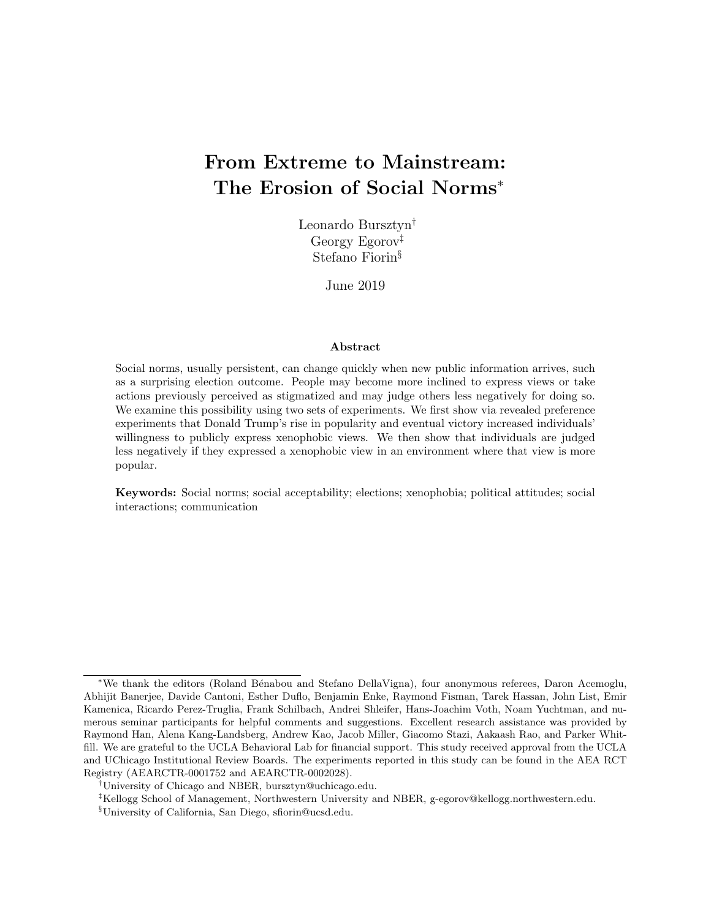## From Extreme to Mainstream: The Erosion of Social Norms<sup>∗</sup>

Leonardo Bursztyn† Georgy Egorov‡ Stefano Fiorin§

June 2019

#### Abstract

Social norms, usually persistent, can change quickly when new public information arrives, such as a surprising election outcome. People may become more inclined to express views or take actions previously perceived as stigmatized and may judge others less negatively for doing so. We examine this possibility using two sets of experiments. We first show via revealed preference experiments that Donald Trump's rise in popularity and eventual victory increased individuals' willingness to publicly express xenophobic views. We then show that individuals are judged less negatively if they expressed a xenophobic view in an environment where that view is more popular.

Keywords: Social norms; social acceptability; elections; xenophobia; political attitudes; social interactions; communication

<sup>∗</sup>We thank the editors (Roland B´enabou and Stefano DellaVigna), four anonymous referees, Daron Acemoglu, Abhijit Banerjee, Davide Cantoni, Esther Duflo, Benjamin Enke, Raymond Fisman, Tarek Hassan, John List, Emir Kamenica, Ricardo Perez-Truglia, Frank Schilbach, Andrei Shleifer, Hans-Joachim Voth, Noam Yuchtman, and numerous seminar participants for helpful comments and suggestions. Excellent research assistance was provided by Raymond Han, Alena Kang-Landsberg, Andrew Kao, Jacob Miller, Giacomo Stazi, Aakaash Rao, and Parker Whitfill. We are grateful to the UCLA Behavioral Lab for financial support. This study received approval from the UCLA and UChicago Institutional Review Boards. The experiments reported in this study can be found in the AEA RCT Registry (AEARCTR-0001752 and AEARCTR-0002028).

<sup>†</sup>University of Chicago and NBER, bursztyn@uchicago.edu.

<sup>‡</sup>Kellogg School of Management, Northwestern University and NBER, g-egorov@kellogg.northwestern.edu.

<sup>§</sup>University of California, San Diego, sfiorin@ucsd.edu.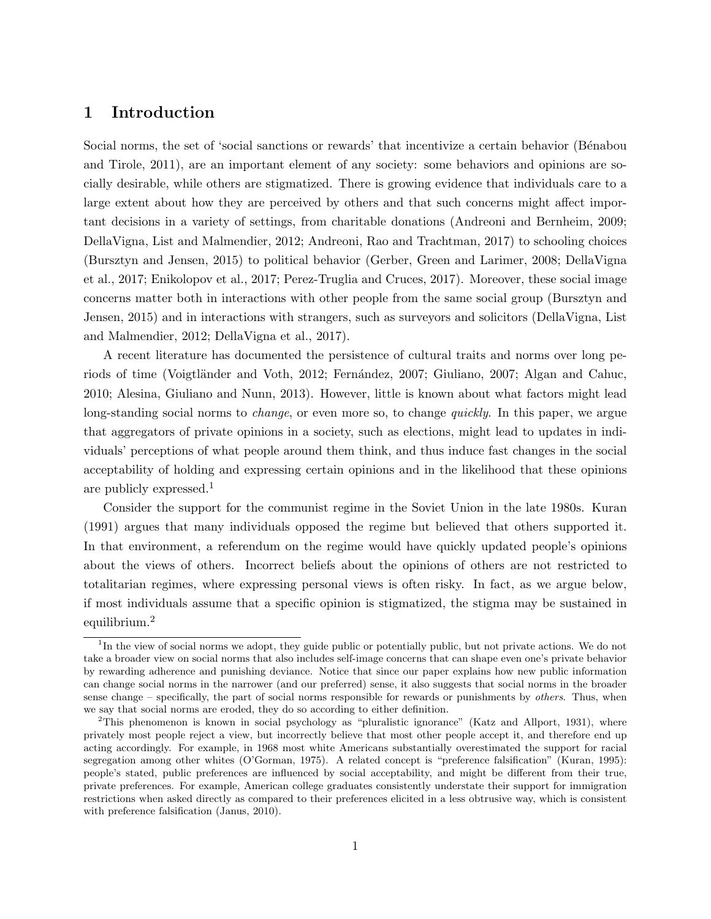## 1 Introduction

Social norms, the set of 'social sanctions or rewards' that incentivize a certain behavior (Bénabou [and Tirole, 2011\)](#page-24-0), are an important element of any society: some behaviors and opinions are socially desirable, while others are stigmatized. There is growing evidence that individuals care to a large extent about how they are perceived by others and that such concerns might affect important decisions in a variety of settings, from charitable donations [\(Andreoni and Bernheim, 2009;](#page-24-1) [DellaVigna, List and Malmendier, 2012;](#page-24-2) [Andreoni, Rao and Trachtman, 2017\)](#page-24-3) to schooling choices [\(Bursztyn and Jensen, 2015\)](#page-24-4) to political behavior [\(Gerber, Green and Larimer, 2008;](#page-25-0) [DellaVigna](#page-25-1) [et al., 2017;](#page-25-1) [Enikolopov et al., 2017;](#page-25-2) [Perez-Truglia and Cruces, 2017\)](#page-26-0). Moreover, these social image concerns matter both in interactions with other people from the same social group [\(Bursztyn and](#page-24-4) [Jensen, 2015\)](#page-24-4) and in interactions with strangers, such as surveyors and solicitors [\(DellaVigna, List](#page-24-2) [and Malmendier, 2012;](#page-24-2) [DellaVigna et al., 2017\)](#page-25-1).

A recent literature has documented the persistence of cultural traits and norms over long pe-riods of time (Voigtländer and Voth, 2012; Fernández, 2007; [Giuliano, 2007;](#page-25-4) [Algan and Cahuc,](#page-24-5) [2010;](#page-24-5) [Alesina, Giuliano and Nunn, 2013\)](#page-24-6). However, little is known about what factors might lead long-standing social norms to *change*, or even more so, to change *quickly*. In this paper, we argue that aggregators of private opinions in a society, such as elections, might lead to updates in individuals' perceptions of what people around them think, and thus induce fast changes in the social acceptability of holding and expressing certain opinions and in the likelihood that these opinions are publicly expressed.<sup>[1](#page-1-0)</sup>

Consider the support for the communist regime in the Soviet Union in the late 1980s. [Kuran](#page-25-5) [\(1991\)](#page-25-5) argues that many individuals opposed the regime but believed that others supported it. In that environment, a referendum on the regime would have quickly updated people's opinions about the views of others. Incorrect beliefs about the opinions of others are not restricted to totalitarian regimes, where expressing personal views is often risky. In fact, as we argue below, if most individuals assume that a specific opinion is stigmatized, the stigma may be sustained in equilibrium.[2](#page-1-1)

<span id="page-1-0"></span><sup>&</sup>lt;sup>1</sup>In the view of social norms we adopt, they guide public or potentially public, but not private actions. We do not take a broader view on social norms that also includes self-image concerns that can shape even one's private behavior by rewarding adherence and punishing deviance. Notice that since our paper explains how new public information can change social norms in the narrower (and our preferred) sense, it also suggests that social norms in the broader sense change – specifically, the part of social norms responsible for rewards or punishments by *others*. Thus, when we say that social norms are eroded, they do so according to either definition.

<span id="page-1-1"></span><sup>&</sup>lt;sup>2</sup>This phenomenon is known in social psychology as "pluralistic ignorance" [\(Katz and Allport, 1931\)](#page-25-6), where privately most people reject a view, but incorrectly believe that most other people accept it, and therefore end up acting accordingly. For example, in 1968 most white Americans substantially overestimated the support for racial segregation among other whites [\(O'Gorman, 1975\)](#page-26-2). A related concept is "preference falsification" [\(Kuran, 1995\)](#page-25-7): people's stated, public preferences are influenced by social acceptability, and might be different from their true, private preferences. For example, American college graduates consistently understate their support for immigration restrictions when asked directly as compared to their preferences elicited in a less obtrusive way, which is consistent with preference falsification [\(Janus, 2010\)](#page-25-8).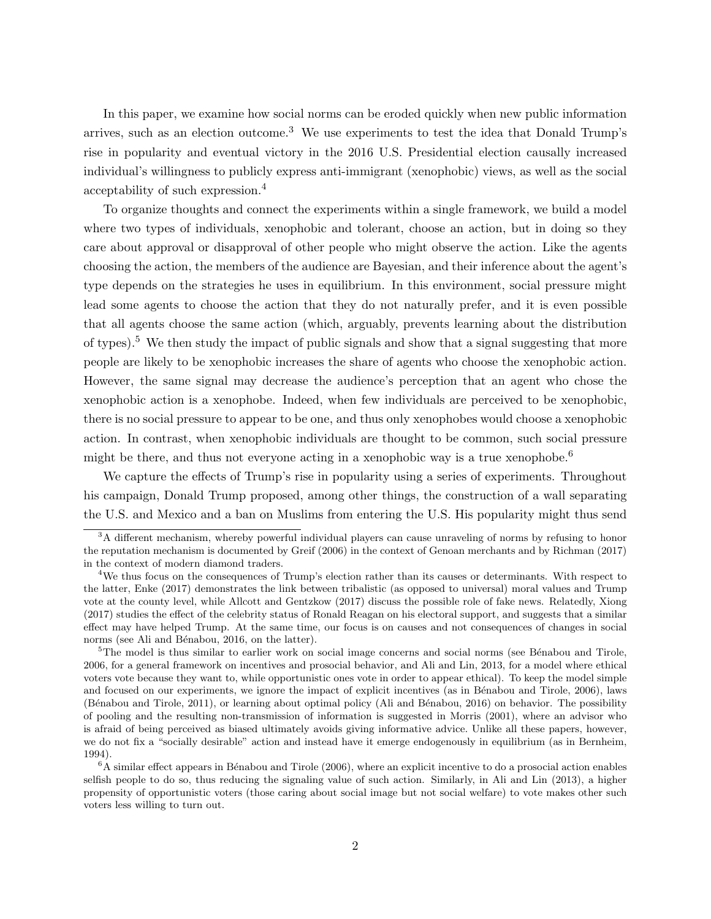In this paper, we examine how social norms can be eroded quickly when new public information arrives, such as an election outcome.<sup>[3](#page-2-0)</sup> We use experiments to test the idea that Donald Trump's rise in popularity and eventual victory in the 2016 U.S. Presidential election causally increased individual's willingness to publicly express anti-immigrant (xenophobic) views, as well as the social acceptability of such expression.[4](#page-2-1)

To organize thoughts and connect the experiments within a single framework, we build a model where two types of individuals, xenophobic and tolerant, choose an action, but in doing so they care about approval or disapproval of other people who might observe the action. Like the agents choosing the action, the members of the audience are Bayesian, and their inference about the agent's type depends on the strategies he uses in equilibrium. In this environment, social pressure might lead some agents to choose the action that they do not naturally prefer, and it is even possible that all agents choose the same action (which, arguably, prevents learning about the distribution of types).[5](#page-2-2) We then study the impact of public signals and show that a signal suggesting that more people are likely to be xenophobic increases the share of agents who choose the xenophobic action. However, the same signal may decrease the audience's perception that an agent who chose the xenophobic action is a xenophobe. Indeed, when few individuals are perceived to be xenophobic, there is no social pressure to appear to be one, and thus only xenophobes would choose a xenophobic action. In contrast, when xenophobic individuals are thought to be common, such social pressure might be there, and thus not everyone acting in a xenophobic way is a true xenophobe.[6](#page-2-3)

We capture the effects of Trump's rise in popularity using a series of experiments. Throughout his campaign, Donald Trump proposed, among other things, the construction of a wall separating the U.S. and Mexico and a ban on Muslims from entering the U.S. His popularity might thus send

<span id="page-2-3"></span> ${}^{6}$ A similar effect appears in Bénabou and Tirole [\(2006\)](#page-24-9), where an explicit incentive to do a prosocial action enables selfish people to do so, thus reducing the signaling value of such action. Similarly, in [Ali and Lin](#page-24-10) [\(2013\)](#page-24-10), a higher propensity of opportunistic voters (those caring about social image but not social welfare) to vote makes other such voters less willing to turn out.

<span id="page-2-0"></span><sup>&</sup>lt;sup>3</sup>A different mechanism, whereby powerful individual players can cause unraveling of norms by refusing to honor the reputation mechanism is documented by [Greif](#page-25-9) [\(2006\)](#page-25-9) in the context of Genoan merchants and by [Richman](#page-26-3) [\(2017\)](#page-26-3) in the context of modern diamond traders.

<span id="page-2-1"></span><sup>4</sup>We thus focus on the consequences of Trump's election rather than its causes or determinants. With respect to the latter, [Enke](#page-25-10) [\(2017\)](#page-25-10) demonstrates the link between tribalistic (as opposed to universal) moral values and Trump vote at the county level, while [Allcott and Gentzkow](#page-24-7) [\(2017\)](#page-24-7) discuss the possible role of fake news. Relatedly, [Xiong](#page-26-4) [\(2017\)](#page-26-4) studies the effect of the celebrity status of Ronald Reagan on his electoral support, and suggests that a similar effect may have helped Trump. At the same time, our focus is on causes and not consequences of changes in social norms (see Ali and Bénabou, 2016, on the latter).

<span id="page-2-2"></span><sup>&</sup>lt;sup>5</sup>The model is thus similar to earlier work on social image concerns and social norms (see Bénabou and Tirole, [2006,](#page-24-9) for a general framework on incentives and prosocial behavior, and [Ali and Lin, 2013,](#page-24-10) for a model where ethical voters vote because they want to, while opportunistic ones vote in order to appear ethical). To keep the model simple and focused on our experiments, we ignore the impact of explicit incentives (as in Bénabou and Tirole, 2006), laws (Bénabou and Tirole, 2011), or learning about optimal policy (Ali and Bénabou, 2016) on behavior. The possibility of pooling and the resulting non-transmission of information is suggested in [Morris](#page-26-5) [\(2001\)](#page-26-5), where an advisor who is afraid of being perceived as biased ultimately avoids giving informative advice. Unlike all these papers, however, we do not fix a "socially desirable" action and instead have it emerge endogenously in equilibrium (as in [Bernheim,](#page-24-11) [1994\)](#page-24-11).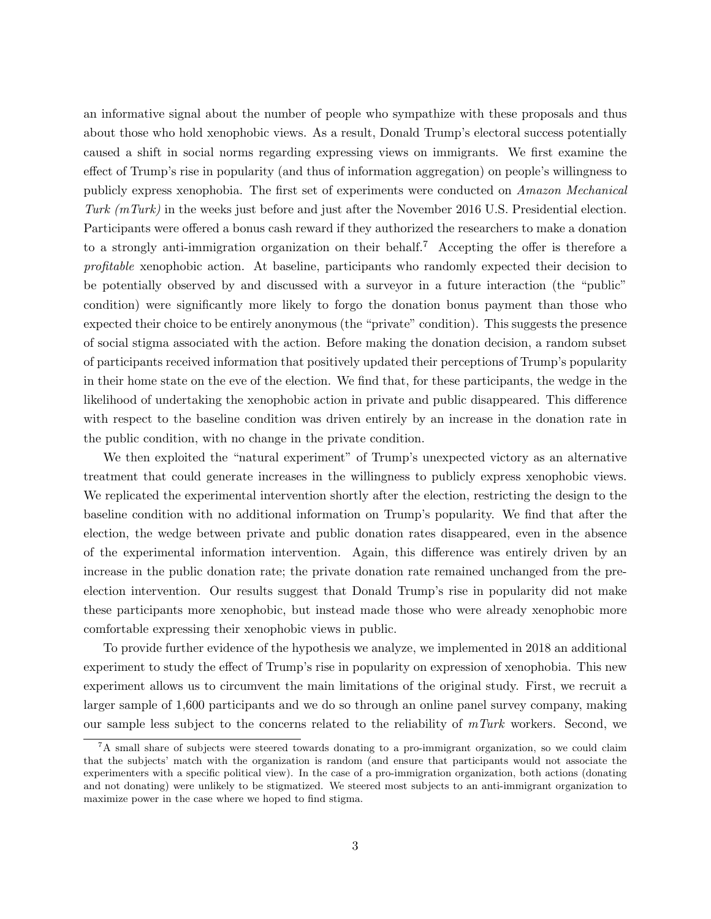an informative signal about the number of people who sympathize with these proposals and thus about those who hold xenophobic views. As a result, Donald Trump's electoral success potentially caused a shift in social norms regarding expressing views on immigrants. We first examine the effect of Trump's rise in popularity (and thus of information aggregation) on people's willingness to publicly express xenophobia. The first set of experiments were conducted on Amazon Mechanical Turk  $(mTurk)$  in the weeks just before and just after the November 2016 U.S. Presidential election. Participants were offered a bonus cash reward if they authorized the researchers to make a donation to a strongly anti-immigration organization on their behalf.<sup>[7](#page-3-0)</sup> Accepting the offer is therefore a profitable xenophobic action. At baseline, participants who randomly expected their decision to be potentially observed by and discussed with a surveyor in a future interaction (the "public" condition) were significantly more likely to forgo the donation bonus payment than those who expected their choice to be entirely anonymous (the "private" condition). This suggests the presence of social stigma associated with the action. Before making the donation decision, a random subset of participants received information that positively updated their perceptions of Trump's popularity in their home state on the eve of the election. We find that, for these participants, the wedge in the likelihood of undertaking the xenophobic action in private and public disappeared. This difference with respect to the baseline condition was driven entirely by an increase in the donation rate in the public condition, with no change in the private condition.

We then exploited the "natural experiment" of Trump's unexpected victory as an alternative treatment that could generate increases in the willingness to publicly express xenophobic views. We replicated the experimental intervention shortly after the election, restricting the design to the baseline condition with no additional information on Trump's popularity. We find that after the election, the wedge between private and public donation rates disappeared, even in the absence of the experimental information intervention. Again, this difference was entirely driven by an increase in the public donation rate; the private donation rate remained unchanged from the preelection intervention. Our results suggest that Donald Trump's rise in popularity did not make these participants more xenophobic, but instead made those who were already xenophobic more comfortable expressing their xenophobic views in public.

To provide further evidence of the hypothesis we analyze, we implemented in 2018 an additional experiment to study the effect of Trump's rise in popularity on expression of xenophobia. This new experiment allows us to circumvent the main limitations of the original study. First, we recruit a larger sample of 1,600 participants and we do so through an online panel survey company, making our sample less subject to the concerns related to the reliability of  $mTurk$  workers. Second, we

<span id="page-3-0"></span><sup>&</sup>lt;sup>7</sup>A small share of subjects were steered towards donating to a pro-immigrant organization, so we could claim that the subjects' match with the organization is random (and ensure that participants would not associate the experimenters with a specific political view). In the case of a pro-immigration organization, both actions (donating and not donating) were unlikely to be stigmatized. We steered most subjects to an anti-immigrant organization to maximize power in the case where we hoped to find stigma.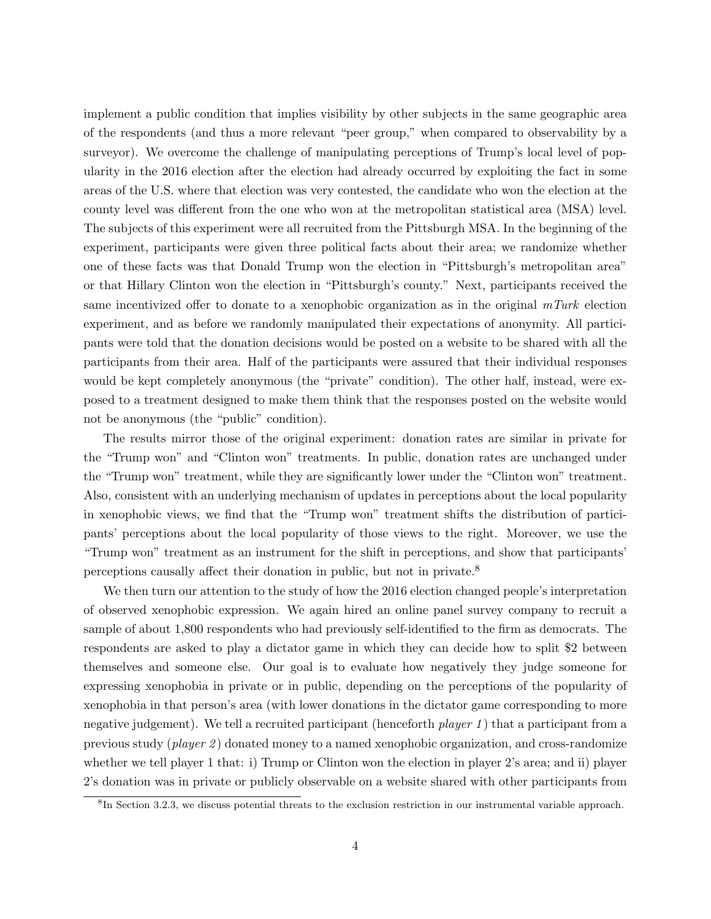implement a public condition that implies visibility by other subjects in the same geographic area of the respondents (and thus a more relevant "peer group," when compared to observability by a surveyor). We overcome the challenge of manipulating perceptions of Trump's local level of popularity in the 2016 election after the election had already occurred by exploiting the fact in some areas of the U.S. where that election was very contested, the candidate who won the election at the county level was different from the one who won at the metropolitan statistical area (MSA) level. The subjects of this experiment were all recruited from the Pittsburgh MSA. In the beginning of the experiment, participants were given three political facts about their area; we randomize whether one of these facts was that Donald Trump won the election in "Pittsburgh's metropolitan area" or that Hillary Clinton won the election in "Pittsburgh's county." Next, participants received the same incentivized offer to donate to a xenophobic organization as in the original  $mTurk$  election experiment, and as before we randomly manipulated their expectations of anonymity. All participants were told that the donation decisions would be posted on a website to be shared with all the participants from their area. Half of the participants were assured that their individual responses would be kept completely anonymous (the "private" condition). The other half, instead, were exposed to a treatment designed to make them think that the responses posted on the website would not be anonymous (the "public" condition).

The results mirror those of the original experiment: donation rates are similar in private for the "Trump won" and "Clinton won" treatments. In public, donation rates are unchanged under the "Trump won" treatment, while they are significantly lower under the "Clinton won" treatment. Also, consistent with an underlying mechanism of updates in perceptions about the local popularity in xenophobic views, we find that the "Trump won" treatment shifts the distribution of participants' perceptions about the local popularity of those views to the right. Moreover, we use the "Trump won" treatment as an instrument for the shift in perceptions, and show that participants' perceptions causally affect their donation in public, but not in private.[8](#page-4-0)

We then turn our attention to the study of how the 2016 election changed people's interpretation of observed xenophobic expression. We again hired an online panel survey company to recruit a sample of about 1,800 respondents who had previously self-identified to the firm as democrats. The respondents are asked to play a dictator game in which they can decide how to split \$2 between themselves and someone else. Our goal is to evaluate how negatively they judge someone for expressing xenophobia in private or in public, depending on the perceptions of the popularity of xenophobia in that person's area (with lower donations in the dictator game corresponding to more negative judgement). We tell a recruited participant (henceforth *player 1*) that a participant from a previous study (*player 2*) donated money to a named xenophobic organization, and cross-randomize whether we tell player 1 that: i) Trump or Clinton won the election in player 2's area; and ii) player 2's donation was in private or publicly observable on a website shared with other participants from

<span id="page-4-0"></span><sup>&</sup>lt;sup>8</sup>In Section [3.2.3,](#page-18-0) we discuss potential threats to the exclusion restriction in our instrumental variable approach.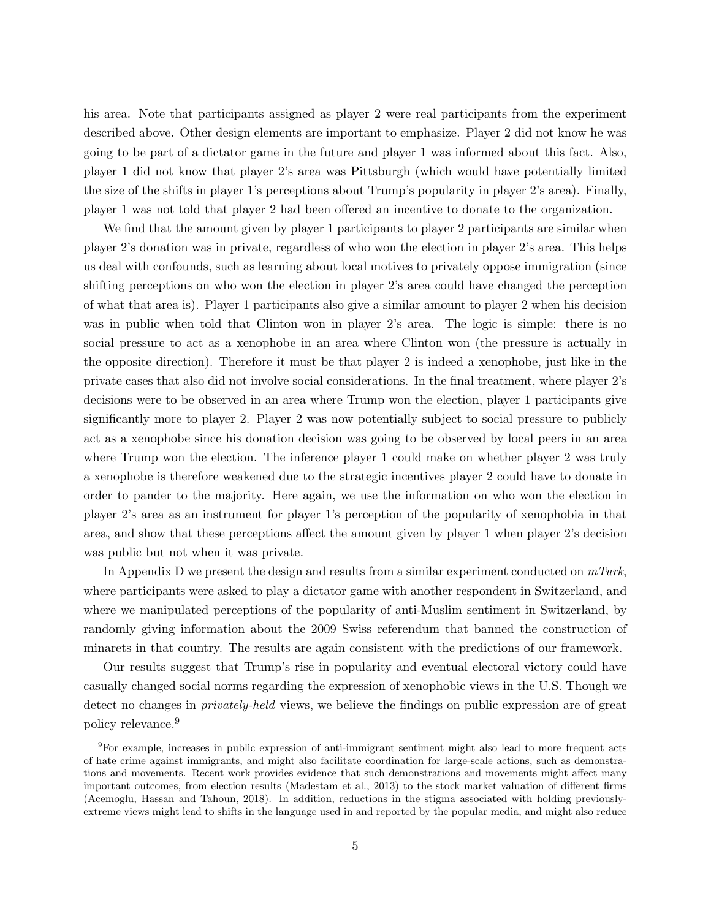his area. Note that participants assigned as player 2 were real participants from the experiment described above. Other design elements are important to emphasize. Player 2 did not know he was going to be part of a dictator game in the future and player 1 was informed about this fact. Also, player 1 did not know that player 2's area was Pittsburgh (which would have potentially limited the size of the shifts in player 1's perceptions about Trump's popularity in player 2's area). Finally, player 1 was not told that player 2 had been offered an incentive to donate to the organization.

We find that the amount given by player 1 participants to player 2 participants are similar when player 2's donation was in private, regardless of who won the election in player 2's area. This helps us deal with confounds, such as learning about local motives to privately oppose immigration (since shifting perceptions on who won the election in player 2's area could have changed the perception of what that area is). Player 1 participants also give a similar amount to player 2 when his decision was in public when told that Clinton won in player 2's area. The logic is simple: there is no social pressure to act as a xenophobe in an area where Clinton won (the pressure is actually in the opposite direction). Therefore it must be that player 2 is indeed a xenophobe, just like in the private cases that also did not involve social considerations. In the final treatment, where player 2's decisions were to be observed in an area where Trump won the election, player 1 participants give significantly more to player 2. Player 2 was now potentially subject to social pressure to publicly act as a xenophobe since his donation decision was going to be observed by local peers in an area where Trump won the election. The inference player 1 could make on whether player 2 was truly a xenophobe is therefore weakened due to the strategic incentives player 2 could have to donate in order to pander to the majority. Here again, we use the information on who won the election in player 2's area as an instrument for player 1's perception of the popularity of xenophobia in that area, and show that these perceptions affect the amount given by player 1 when player 2's decision was public but not when it was private.

In Appendix [D](#page-65-0) we present the design and results from a similar experiment conducted on  $mTurk$ , where participants were asked to play a dictator game with another respondent in Switzerland, and where we manipulated perceptions of the popularity of anti-Muslim sentiment in Switzerland, by randomly giving information about the 2009 Swiss referendum that banned the construction of minarets in that country. The results are again consistent with the predictions of our framework.

Our results suggest that Trump's rise in popularity and eventual electoral victory could have casually changed social norms regarding the expression of xenophobic views in the U.S. Though we detect no changes in privately-held views, we believe the findings on public expression are of great policy relevance.[9](#page-5-0)

<span id="page-5-0"></span><sup>9</sup>For example, increases in public expression of anti-immigrant sentiment might also lead to more frequent acts of hate crime against immigrants, and might also facilitate coordination for large-scale actions, such as demonstrations and movements. Recent work provides evidence that such demonstrations and movements might affect many important outcomes, from election results [\(Madestam et al., 2013\)](#page-26-6) to the stock market valuation of different firms [\(Acemoglu, Hassan and Tahoun, 2018\)](#page-24-12). In addition, reductions in the stigma associated with holding previouslyextreme views might lead to shifts in the language used in and reported by the popular media, and might also reduce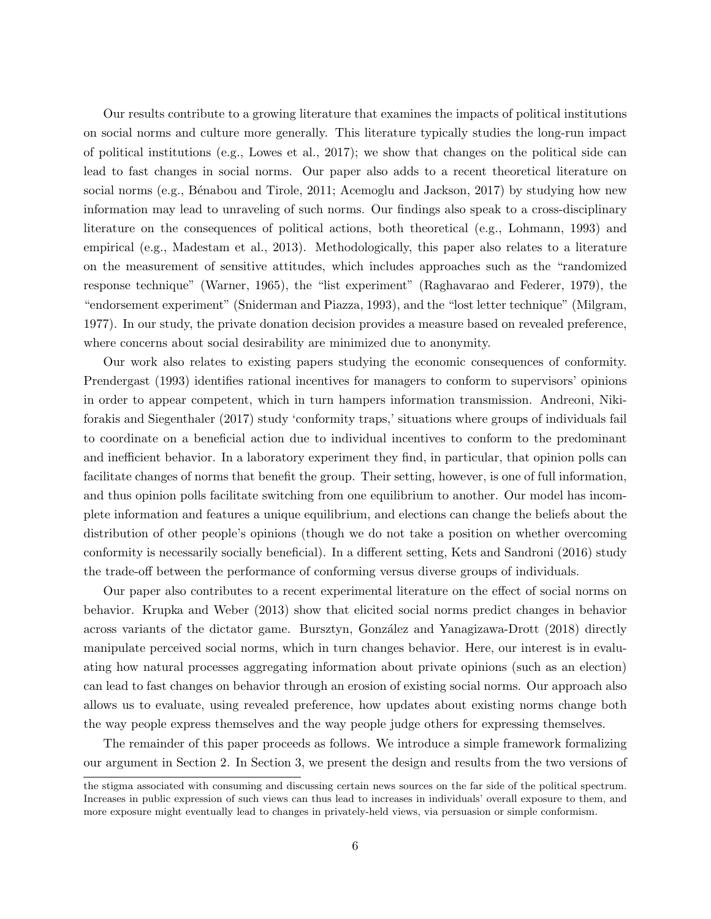Our results contribute to a growing literature that examines the impacts of political institutions on social norms and culture more generally. This literature typically studies the long-run impact of political institutions (e.g., [Lowes et al., 2017\)](#page-26-7); we show that changes on the political side can lead to fast changes in social norms. Our paper also adds to a recent theoretical literature on social norms (e.g., Bénabou and Tirole, 2011; [Acemoglu and Jackson, 2017\)](#page-24-13) by studying how new information may lead to unraveling of such norms. Our findings also speak to a cross-disciplinary literature on the consequences of political actions, both theoretical (e.g., [Lohmann, 1993\)](#page-26-8) and empirical (e.g., [Madestam et al., 2013\)](#page-26-6). Methodologically, this paper also relates to a literature on the measurement of sensitive attitudes, which includes approaches such as the "randomized response technique" [\(Warner, 1965\)](#page-26-9), the "list experiment" [\(Raghavarao and Federer, 1979\)](#page-26-10), the "endorsement experiment" [\(Sniderman and Piazza, 1993\)](#page-26-11), and the "lost letter technique" [\(Milgram,](#page-26-12) [1977\)](#page-26-12). In our study, the private donation decision provides a measure based on revealed preference, where concerns about social desirability are minimized due to anonymity.

Our work also relates to existing papers studying the economic consequences of conformity. [Prendergast](#page-26-13) [\(1993\)](#page-26-13) identifies rational incentives for managers to conform to supervisors' opinions in order to appear competent, which in turn hampers information transmission. [Andreoni, Niki](#page-24-14)[forakis and Siegenthaler](#page-24-14) [\(2017\)](#page-24-14) study 'conformity traps,' situations where groups of individuals fail to coordinate on a beneficial action due to individual incentives to conform to the predominant and inefficient behavior. In a laboratory experiment they find, in particular, that opinion polls can facilitate changes of norms that benefit the group. Their setting, however, is one of full information, and thus opinion polls facilitate switching from one equilibrium to another. Our model has incomplete information and features a unique equilibrium, and elections can change the beliefs about the distribution of other people's opinions (though we do not take a position on whether overcoming conformity is necessarily socially beneficial). In a different setting, [Kets and Sandroni](#page-25-11) [\(2016\)](#page-25-11) study the trade-off between the performance of conforming versus diverse groups of individuals.

Our paper also contributes to a recent experimental literature on the effect of social norms on behavior. [Krupka and Weber](#page-25-12) [\(2013\)](#page-25-12) show that elicited social norms predict changes in behavior across variants of the dictator game. Bursztyn, González and Yanagizawa-Drott [\(2018\)](#page-24-15) directly manipulate perceived social norms, which in turn changes behavior. Here, our interest is in evaluating how natural processes aggregating information about private opinions (such as an election) can lead to fast changes on behavior through an erosion of existing social norms. Our approach also allows us to evaluate, using revealed preference, how updates about existing norms change both the way people express themselves and the way people judge others for expressing themselves.

The remainder of this paper proceeds as follows. We introduce a simple framework formalizing our argument in Section [2.](#page-7-0) In Section [3,](#page-10-0) we present the design and results from the two versions of

the stigma associated with consuming and discussing certain news sources on the far side of the political spectrum. Increases in public expression of such views can thus lead to increases in individuals' overall exposure to them, and more exposure might eventually lead to changes in privately-held views, via persuasion or simple conformism.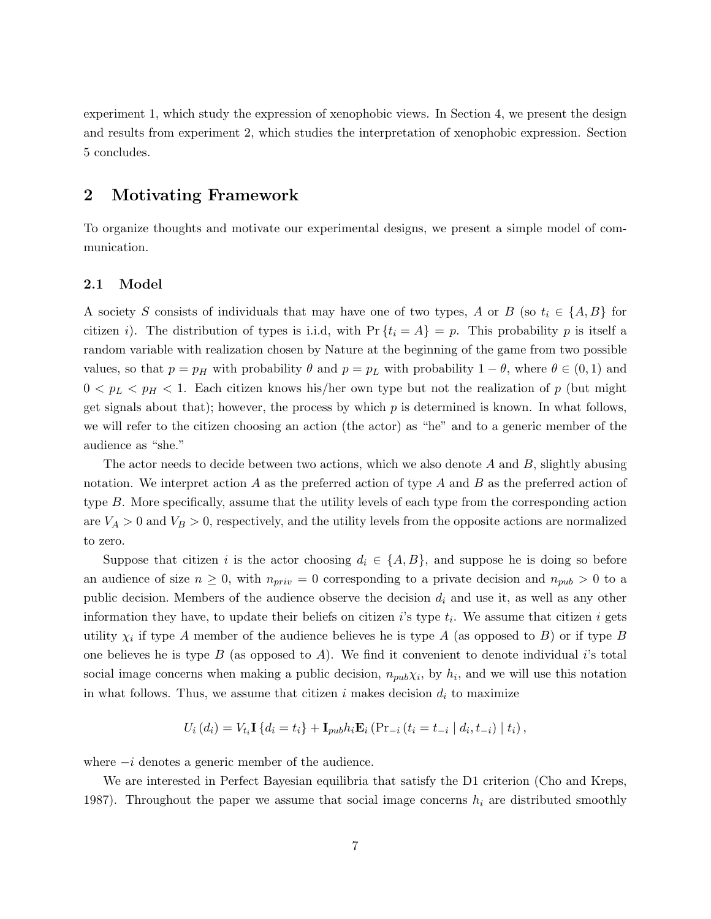experiment 1, which study the expression of xenophobic views. In Section [4,](#page-19-0) we present the design and results from experiment 2, which studies the interpretation of xenophobic expression. Section [5](#page-22-0) concludes.

### <span id="page-7-0"></span>2 Motivating Framework

To organize thoughts and motivate our experimental designs, we present a simple model of communication.

#### 2.1 Model

A society S consists of individuals that may have one of two types, A or B (so  $t_i \in \{A, B\}$  for citizen i). The distribution of types is i.i.d, with  $Pr\{t_i = A\} = p$ . This probability p is itself a random variable with realization chosen by Nature at the beginning of the game from two possible values, so that  $p = p_H$  with probability  $\theta$  and  $p = p_L$  with probability  $1 - \theta$ , where  $\theta \in (0, 1)$  and  $0 < p_L < p_H < 1$ . Each citizen knows his/her own type but not the realization of p (but might get signals about that); however, the process by which  $p$  is determined is known. In what follows, we will refer to the citizen choosing an action (the actor) as "he" and to a generic member of the audience as "she."

The actor needs to decide between two actions, which we also denote A and B, slightly abusing notation. We interpret action A as the preferred action of type A and B as the preferred action of type B. More specifically, assume that the utility levels of each type from the corresponding action are  $V_A > 0$  and  $V_B > 0$ , respectively, and the utility levels from the opposite actions are normalized to zero.

Suppose that citizen i is the actor choosing  $d_i \in \{A, B\}$ , and suppose he is doing so before an audience of size  $n \geq 0$ , with  $n_{priv} = 0$  corresponding to a private decision and  $n_{pub} > 0$  to a public decision. Members of the audience observe the decision  $d_i$  and use it, as well as any other information they have, to update their beliefs on citizen  $i$ 's type  $t_i$ . We assume that citizen  $i$  gets utility  $\chi_i$  if type A member of the audience believes he is type A (as opposed to B) or if type B one believes he is type  $B$  (as opposed to  $A$ ). We find it convenient to denote individual i's total social image concerns when making a public decision,  $n_{pub}\chi_i$ , by  $h_i$ , and we will use this notation in what follows. Thus, we assume that citizen i makes decision  $d_i$  to maximize

$$
U_i(d_i) = V_{t_i} \mathbf{I} \{ d_i = t_i \} + \mathbf{I}_{pub} h_i \mathbf{E}_i \left( \Pr_{-i} (t_i = t_{-i} | d_i, t_{-i}) | t_i \right),
$$

where  $-i$  denotes a generic member of the audience.

We are interested in Perfect Bayesian equilibria that satisfy the D1 criterion (Cho and Kreps, 1987). Throughout the paper we assume that social image concerns  $h_i$  are distributed smoothly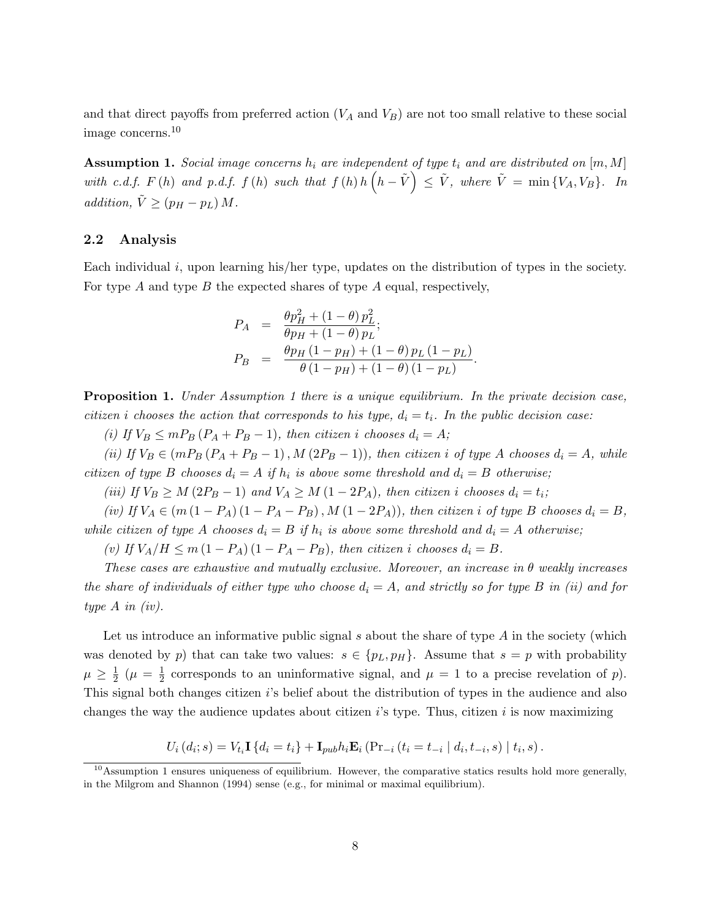and that direct payoffs from preferred action  $(V_A \text{ and } V_B)$  are not too small relative to these social image concerns.[10](#page-8-0)

<span id="page-8-1"></span>**Assumption 1.** Social image concerns  $h_i$  are independent of type  $t_i$  and are distributed on  $[m, M]$ with c.d.f.  $F(h)$  and p.d.f.  $f(h)$  such that  $f(h) h(h - \tilde{V}) \leq \tilde{V}$ , where  $\tilde{V} = \min \{V_A, V_B\}$ . In addition,  $\tilde{V} \ge (p_H - p_L) M$ .

#### 2.2 Analysis

Each individual i, upon learning his/her type, updates on the distribution of types in the society. For type A and type B the expected shares of type A equal, respectively,

$$
P_A = \frac{\theta p_H^2 + (1 - \theta) p_L^2}{\theta p_H + (1 - \theta) p_L};
$$
  
\n
$$
P_B = \frac{\theta p_H (1 - p_H) + (1 - \theta) p_L (1 - p_L)}{\theta (1 - p_H) + (1 - \theta) (1 - p_L)}.
$$

<span id="page-8-2"></span>**Proposition [1](#page-8-1).** Under Assumption 1 there is a unique equilibrium. In the private decision case, citizen i chooses the action that corresponds to his type,  $d_i = t_i$ . In the public decision case:

(i) If  $V_B \leq m P_B (P_A + P_B - 1)$ , then citizen i chooses  $d_i = A$ ;

(ii) If  $V_B \in (mP_B(P_A + P_B - 1), M(2P_B - 1))$ , then citizen i of type A chooses  $d_i = A$ , while citizen of type B chooses  $d_i = A$  if  $h_i$  is above some threshold and  $d_i = B$  otherwise;

(iii) If  $V_B \geq M (2P_B - 1)$  and  $V_A \geq M (1 - 2P_A)$ , then citizen i chooses  $d_i = t_i$ ;

(iv) If  $V_A \in (m(1 - P_A) (1 - P_A - P_B), M (1 - 2P_A))$ , then citizen i of type B chooses  $d_i = B$ , while citizen of type A chooses  $d_i = B$  if  $h_i$  is above some threshold and  $d_i = A$  otherwise;

(v) If  $V_A/H \le m(1 - P_A)(1 - P_A - P_B)$ , then citizen i chooses  $d_i = B$ .

These cases are exhaustive and mutually exclusive. Moreover, an increase in  $\theta$  weakly increases the share of individuals of either type who choose  $d_i = A$ , and strictly so for type B in (ii) and for type A in (iv).

Let us introduce an informative public signal s about the share of type  $A$  in the society (which was denoted by p) that can take two values:  $s \in \{p_L, p_H\}$ . Assume that  $s = p$  with probability  $\mu \geq \frac{1}{2}$  $\frac{1}{2}$   $(\mu = \frac{1}{2})$  $\frac{1}{2}$  corresponds to an uninformative signal, and  $\mu = 1$  to a precise revelation of p). This signal both changes citizen i's belief about the distribution of types in the audience and also changes the way the audience updates about citizen  $i$ 's type. Thus, citizen  $i$  is now maximizing

$$
U_i(d_i; s) = V_{t_i} \mathbf{I} \{ d_i = t_i \} + \mathbf{I}_{pub} h_i \mathbf{E}_i \left( Pr_{-i} (t_i = t_{-i} | d_i, t_{-i}, s) | t_i, s \right).
$$

<span id="page-8-0"></span> $10$ Assumption [1](#page-8-1) ensures uniqueness of equilibrium. However, the comparative statics results hold more generally, in the [Milgrom and Shannon](#page-26-14) [\(1994\)](#page-26-14) sense (e.g., for minimal or maximal equilibrium).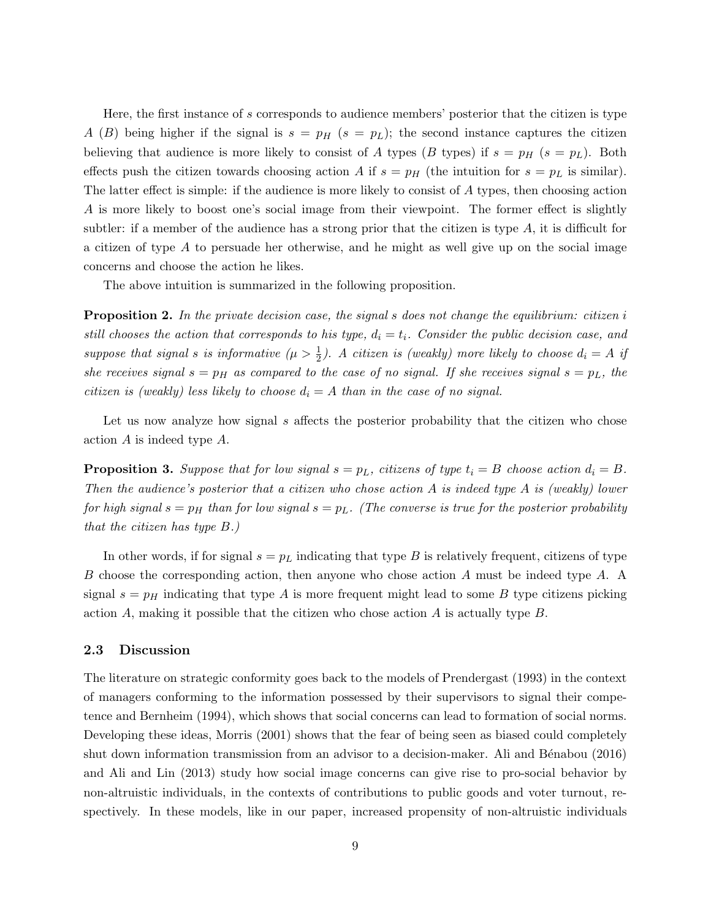Here, the first instance of s corresponds to audience members' posterior that the citizen is type A (B) being higher if the signal is  $s = p_H$  ( $s = p_L$ ); the second instance captures the citizen believing that audience is more likely to consist of A types (B types) if  $s = p_H$  ( $s = p_L$ ). Both effects push the citizen towards choosing action A if  $s = p<sub>H</sub>$  (the intuition for  $s = p<sub>L</sub>$  is similar). The latter effect is simple: if the audience is more likely to consist of A types, then choosing action A is more likely to boost one's social image from their viewpoint. The former effect is slightly subtler: if a member of the audience has a strong prior that the citizen is type  $A$ , it is difficult for a citizen of type  $A$  to persuade her otherwise, and he might as well give up on the social image concerns and choose the action he likes.

The above intuition is summarized in the following proposition.

<span id="page-9-0"></span>**Proposition 2.** In the private decision case, the signal s does not change the equilibrium: citizen i still chooses the action that corresponds to his type,  $d_i = t_i$ . Consider the public decision case, and suppose that signal s is informative  $(\mu > \frac{1}{2})$ . A citizen is (weakly) more likely to choose  $d_i = A$  if she receives signal  $s = p_H$  as compared to the case of no signal. If she receives signal  $s = p_L$ , the citizen is (weakly) less likely to choose  $d_i = A$  than in the case of no signal.

Let us now analyze how signal  $s$  affects the posterior probability that the citizen who chose action A is indeed type A.

<span id="page-9-1"></span>**Proposition 3.** Suppose that for low signal  $s = p_L$ , citizens of type  $t_i = B$  choose action  $d_i = B$ . Then the audience's posterior that a citizen who chose action A is indeed type A is (weakly) lower for high signal  $s = p_H$  than for low signal  $s = p_L$ . (The converse is true for the posterior probability that the citizen has type B.)

In other words, if for signal  $s = p<sub>L</sub>$  indicating that type B is relatively frequent, citizens of type B choose the corresponding action, then anyone who chose action A must be indeed type A. A signal  $s = p_H$  indicating that type A is more frequent might lead to some B type citizens picking action  $A$ , making it possible that the citizen who chose action  $A$  is actually type  $B$ .

#### 2.3 Discussion

The literature on strategic conformity goes back to the models of [Prendergast](#page-26-13) [\(1993\)](#page-26-13) in the context of managers conforming to the information possessed by their supervisors to signal their competence and [Bernheim](#page-24-11) [\(1994\)](#page-24-11), which shows that social concerns can lead to formation of social norms. Developing these ideas, [Morris](#page-26-5) [\(2001\)](#page-26-5) shows that the fear of being seen as biased could completely shut down information transmission from an advisor to a decision-maker. Ali and Bénabou [\(2016\)](#page-24-8) and [Ali and Lin](#page-24-10) [\(2013\)](#page-24-10) study how social image concerns can give rise to pro-social behavior by non-altruistic individuals, in the contexts of contributions to public goods and voter turnout, respectively. In these models, like in our paper, increased propensity of non-altruistic individuals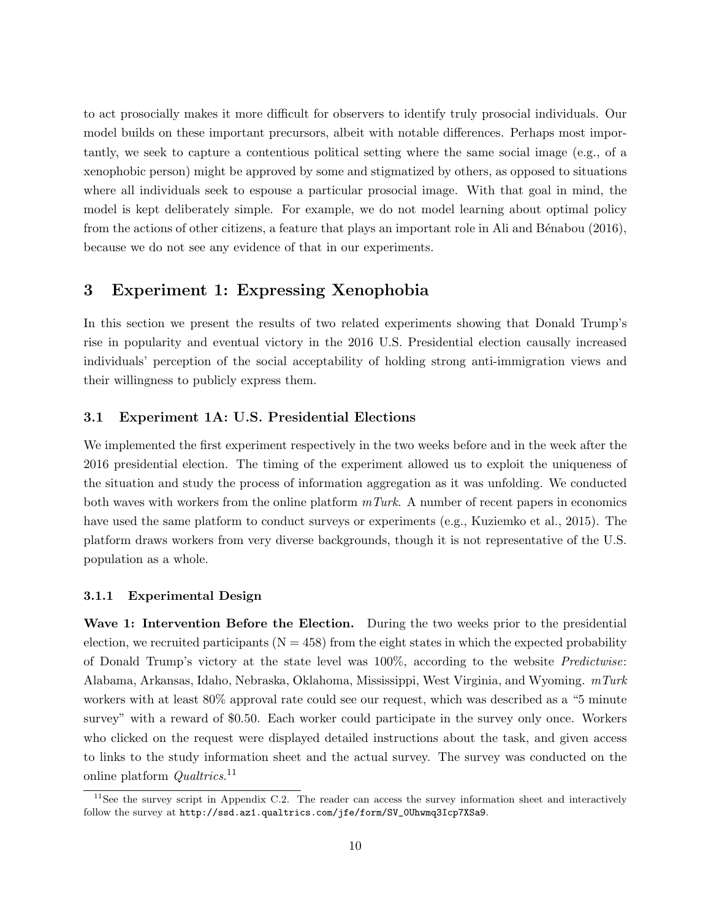to act prosocially makes it more difficult for observers to identify truly prosocial individuals. Our model builds on these important precursors, albeit with notable differences. Perhaps most importantly, we seek to capture a contentious political setting where the same social image (e.g., of a xenophobic person) might be approved by some and stigmatized by others, as opposed to situations where all individuals seek to espouse a particular prosocial image. With that goal in mind, the model is kept deliberately simple. For example, we do not model learning about optimal policy from the actions of other citizens, a feature that plays an important role in Ali and Bénabou [\(2016\)](#page-24-8), because we do not see any evidence of that in our experiments.

## <span id="page-10-0"></span>3 Experiment 1: Expressing Xenophobia

In this section we present the results of two related experiments showing that Donald Trump's rise in popularity and eventual victory in the 2016 U.S. Presidential election causally increased individuals' perception of the social acceptability of holding strong anti-immigration views and their willingness to publicly express them.

#### 3.1 Experiment 1A: U.S. Presidential Elections

We implemented the first experiment respectively in the two weeks before and in the week after the 2016 presidential election. The timing of the experiment allowed us to exploit the uniqueness of the situation and study the process of information aggregation as it was unfolding. We conducted both waves with workers from the online platform  $mTurk$ . A number of recent papers in economics have used the same platform to conduct surveys or experiments (e.g., [Kuziemko et al., 2015\)](#page-25-13). The platform draws workers from very diverse backgrounds, though it is not representative of the U.S. population as a whole.

#### 3.1.1 Experimental Design

Wave 1: Intervention Before the Election. During the two weeks prior to the presidential election, we recruited participants  $(N = 458)$  from the eight states in which the expected probability of Donald Trump's victory at the state level was 100%, according to the website Predictwise: Alabama, Arkansas, Idaho, Nebraska, Oklahoma, Mississippi, West Virginia, and Wyoming. mTurk workers with at least 80% approval rate could see our request, which was described as a "5 minute survey" with a reward of \$0.50. Each worker could participate in the survey only once. Workers who clicked on the request were displayed detailed instructions about the task, and given access to links to the study information sheet and the actual survey. The survey was conducted on the online platform  $Qualrices$ <sup>[11](#page-10-1)</sup>

<span id="page-10-1"></span> $11$ See the survey script in Appendix [C.2.](#page-53-0) The reader can access the survey information sheet and interactively follow the survey at [http://ssd.az1.qualtrics.com/jfe/form/SV\\_0Uhwmq3Icp7XSa9](http://ssd.az1.qualtrics.com/jfe/form/SV_0Uhwmq3Icp7XSa9).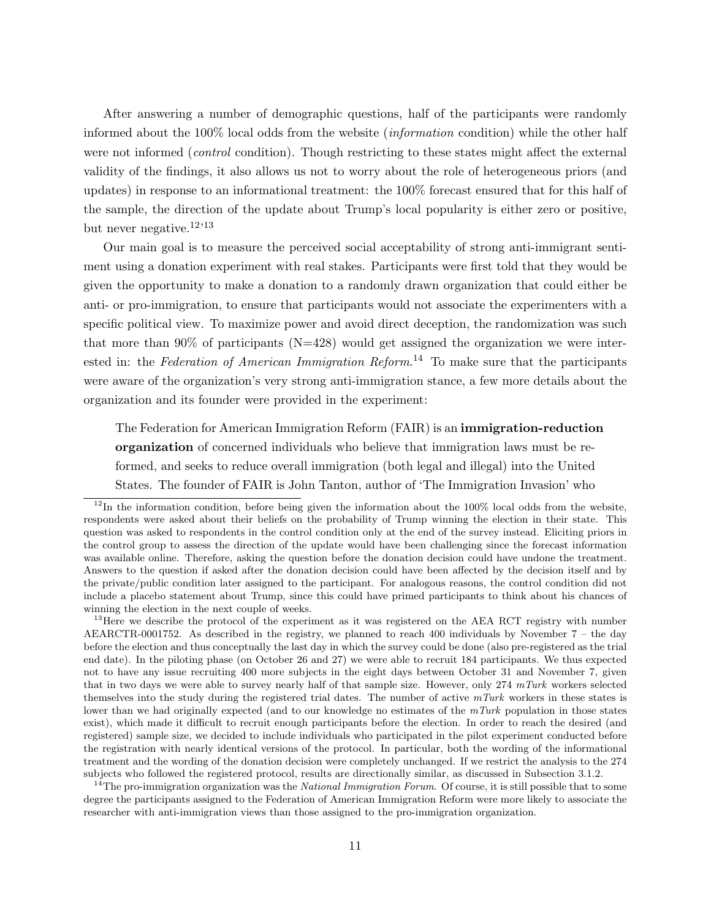After answering a number of demographic questions, half of the participants were randomly informed about the 100% local odds from the website (information condition) while the other half were not informed *(control* condition). Though restricting to these states might affect the external validity of the findings, it also allows us not to worry about the role of heterogeneous priors (and updates) in response to an informational treatment: the 100% forecast ensured that for this half of the sample, the direction of the update about Trump's local popularity is either zero or positive, but never negative.<sup>[12](#page-11-0),[13](#page-11-1)</sup>

Our main goal is to measure the perceived social acceptability of strong anti-immigrant sentiment using a donation experiment with real stakes. Participants were first told that they would be given the opportunity to make a donation to a randomly drawn organization that could either be anti- or pro-immigration, to ensure that participants would not associate the experimenters with a specific political view. To maximize power and avoid direct deception, the randomization was such that more than  $90\%$  of participants (N=428) would get assigned the organization we were inter-ested in: the Federation of American Immigration Reform.<sup>[14](#page-11-2)</sup> To make sure that the participants were aware of the organization's very strong anti-immigration stance, a few more details about the organization and its founder were provided in the experiment:

The Federation for American Immigration Reform (FAIR) is an immigration-reduction organization of concerned individuals who believe that immigration laws must be reformed, and seeks to reduce overall immigration (both legal and illegal) into the United States. The founder of FAIR is John Tanton, author of 'The Immigration Invasion' who

<span id="page-11-1"></span> $13$ Here we describe the protocol of the experiment as it was registered on the AEA RCT registry with number AEARCTR-0001752. As described in the registry, we planned to reach 400 individuals by November 7 – the day before the election and thus conceptually the last day in which the survey could be done (also pre-registered as the trial end date). In the piloting phase (on October 26 and 27) we were able to recruit 184 participants. We thus expected not to have any issue recruiting 400 more subjects in the eight days between October 31 and November 7, given that in two days we were able to survey nearly half of that sample size. However, only 274  $mTurk$  workers selected themselves into the study during the registered trial dates. The number of active  $mTurk$  workers in these states is lower than we had originally expected (and to our knowledge no estimates of the  $mTurk$  population in those states exist), which made it difficult to recruit enough participants before the election. In order to reach the desired (and registered) sample size, we decided to include individuals who participated in the pilot experiment conducted before the registration with nearly identical versions of the protocol. In particular, both the wording of the informational treatment and the wording of the donation decision were completely unchanged. If we restrict the analysis to the 274 subjects who followed the registered protocol, results are directionally similar, as discussed in Subsection [3.1.2.](#page-13-0)

<span id="page-11-2"></span><sup>14</sup>The pro-immigration organization was the *National Immigration Forum*. Of course, it is still possible that to some degree the participants assigned to the Federation of American Immigration Reform were more likely to associate the researcher with anti-immigration views than those assigned to the pro-immigration organization.

<span id="page-11-0"></span> $12$ In the information condition, before being given the information about the 100% local odds from the website, respondents were asked about their beliefs on the probability of Trump winning the election in their state. This question was asked to respondents in the control condition only at the end of the survey instead. Eliciting priors in the control group to assess the direction of the update would have been challenging since the forecast information was available online. Therefore, asking the question before the donation decision could have undone the treatment. Answers to the question if asked after the donation decision could have been affected by the decision itself and by the private/public condition later assigned to the participant. For analogous reasons, the control condition did not include a placebo statement about Trump, since this could have primed participants to think about his chances of winning the election in the next couple of weeks.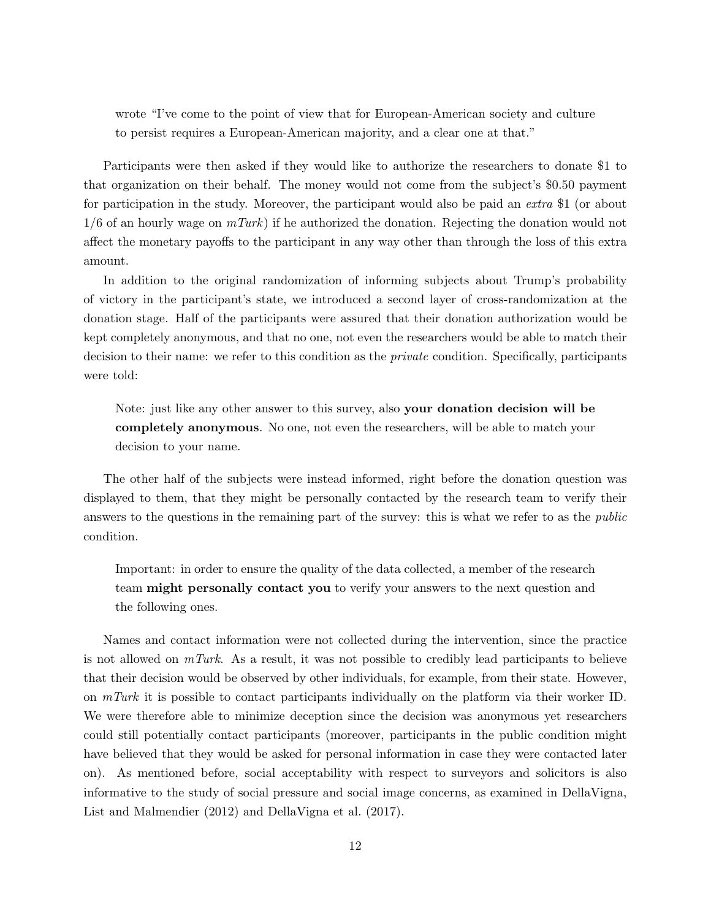wrote "I've come to the point of view that for European-American society and culture to persist requires a European-American majority, and a clear one at that."

Participants were then asked if they would like to authorize the researchers to donate \$1 to that organization on their behalf. The money would not come from the subject's \$0.50 payment for participation in the study. Moreover, the participant would also be paid an extra \$1 (or about  $1/6$  of an hourly wage on  $mTurk$ ) if he authorized the donation. Rejecting the donation would not affect the monetary payoffs to the participant in any way other than through the loss of this extra amount.

In addition to the original randomization of informing subjects about Trump's probability of victory in the participant's state, we introduced a second layer of cross-randomization at the donation stage. Half of the participants were assured that their donation authorization would be kept completely anonymous, and that no one, not even the researchers would be able to match their decision to their name: we refer to this condition as the *private* condition. Specifically, participants were told:

Note: just like any other answer to this survey, also your donation decision will be completely anonymous. No one, not even the researchers, will be able to match your decision to your name.

The other half of the subjects were instead informed, right before the donation question was displayed to them, that they might be personally contacted by the research team to verify their answers to the questions in the remaining part of the survey: this is what we refer to as the *public* condition.

Important: in order to ensure the quality of the data collected, a member of the research team might personally contact you to verify your answers to the next question and the following ones.

Names and contact information were not collected during the intervention, since the practice is not allowed on  $mTurk$ . As a result, it was not possible to credibly lead participants to believe that their decision would be observed by other individuals, for example, from their state. However, on  $mTurk$  it is possible to contact participants individually on the platform via their worker ID. We were therefore able to minimize deception since the decision was anonymous yet researchers could still potentially contact participants (moreover, participants in the public condition might have believed that they would be asked for personal information in case they were contacted later on). As mentioned before, social acceptability with respect to surveyors and solicitors is also informative to the study of social pressure and social image concerns, as examined in [DellaVigna,](#page-24-2) [List and Malmendier](#page-24-2) [\(2012\)](#page-24-2) and [DellaVigna et al.](#page-25-1) [\(2017\)](#page-25-1).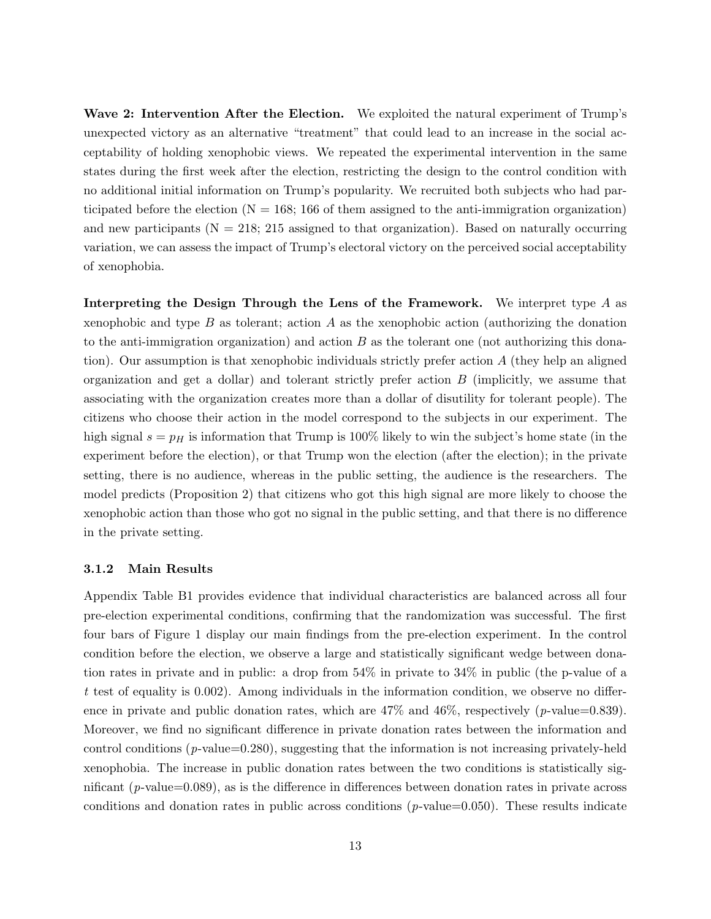Wave 2: Intervention After the Election. We exploited the natural experiment of Trump's unexpected victory as an alternative "treatment" that could lead to an increase in the social acceptability of holding xenophobic views. We repeated the experimental intervention in the same states during the first week after the election, restricting the design to the control condition with no additional initial information on Trump's popularity. We recruited both subjects who had participated before the election  $(N = 168; 166$  of them assigned to the anti-immigration organization) and new participants ( $N = 218$ ; 215 assigned to that organization). Based on naturally occurring variation, we can assess the impact of Trump's electoral victory on the perceived social acceptability of xenophobia.

Interpreting the Design Through the Lens of the Framework. We interpret type A as xenophobic and type  $B$  as tolerant; action  $A$  as the xenophobic action (authorizing the donation to the anti-immigration organization) and action  $B$  as the tolerant one (not authorizing this donation). Our assumption is that xenophobic individuals strictly prefer action A (they help an aligned organization and get a dollar) and tolerant strictly prefer action  $B$  (implicitly, we assume that associating with the organization creates more than a dollar of disutility for tolerant people). The citizens who choose their action in the model correspond to the subjects in our experiment. The high signal  $s = p<sub>H</sub>$  is information that Trump is 100% likely to win the subject's home state (in the experiment before the election), or that Trump won the election (after the election); in the private setting, there is no audience, whereas in the public setting, the audience is the researchers. The model predicts (Proposition [2\)](#page-9-0) that citizens who got this high signal are more likely to choose the xenophobic action than those who got no signal in the public setting, and that there is no difference in the private setting.

#### <span id="page-13-0"></span>3.1.2 Main Results

Appendix Table [B1](#page-42-0) provides evidence that individual characteristics are balanced across all four pre-election experimental conditions, confirming that the randomization was successful. The first four bars of Figure [1](#page-27-0) display our main findings from the pre-election experiment. In the control condition before the election, we observe a large and statistically significant wedge between donation rates in private and in public: a drop from 54% in private to 34% in public (the p-value of a t test of equality is 0.002). Among individuals in the information condition, we observe no difference in private and public donation rates, which are  $47\%$  and  $46\%$ , respectively (p-value=0.839). Moreover, we find no significant difference in private donation rates between the information and control conditions  $(p$ -value=0.280), suggesting that the information is not increasing privately-held xenophobia. The increase in public donation rates between the two conditions is statistically significant (p-value=0.089), as is the difference in differences between donation rates in private across conditions and donation rates in public across conditions ( $p$ -value=0.050). These results indicate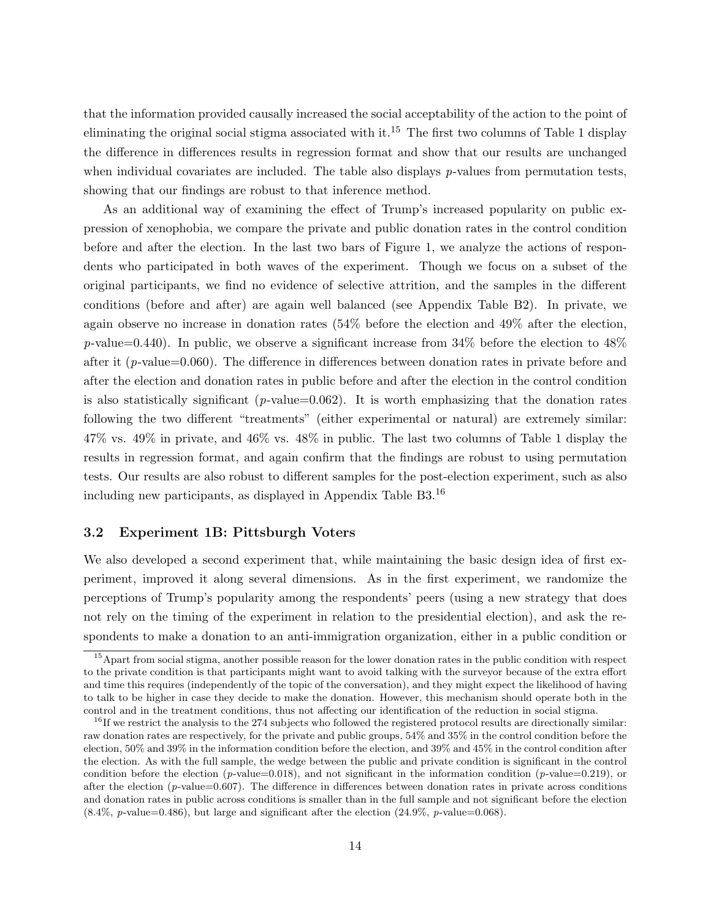that the information provided causally increased the social acceptability of the action to the point of eliminating the original social stigma associated with it.<sup>[15](#page-14-0)</sup> The first two columns of Table [1](#page-30-0) display the difference in differences results in regression format and show that our results are unchanged when individual covariates are included. The table also displays  $p$ -values from permutation tests, showing that our findings are robust to that inference method.

As an additional way of examining the effect of Trump's increased popularity on public expression of xenophobia, we compare the private and public donation rates in the control condition before and after the election. In the last two bars of Figure [1,](#page-27-0) we analyze the actions of respondents who participated in both waves of the experiment. Though we focus on a subset of the original participants, we find no evidence of selective attrition, and the samples in the different conditions (before and after) are again well balanced (see Appendix Table [B2\)](#page-43-0). In private, we again observe no increase in donation rates (54% before the election and 49% after the election,  $p$ -value=0.440). In public, we observe a significant increase from 34% before the election to 48% after it  $(p$ -value=0.060). The difference in differences between donation rates in private before and after the election and donation rates in public before and after the election in the control condition is also statistically significant ( $p$ -value=0.062). It is worth emphasizing that the donation rates following the two different "treatments" (either experimental or natural) are extremely similar: 47% vs. 49% in private, and 46% vs. 48% in public. The last two columns of Table [1](#page-30-0) display the results in regression format, and again confirm that the findings are robust to using permutation tests. Our results are also robust to different samples for the post-election experiment, such as also including new participants, as displayed in Appendix Table [B3.](#page-44-0)[16](#page-14-1)

#### 3.2 Experiment 1B: Pittsburgh Voters

We also developed a second experiment that, while maintaining the basic design idea of first experiment, improved it along several dimensions. As in the first experiment, we randomize the perceptions of Trump's popularity among the respondents' peers (using a new strategy that does not rely on the timing of the experiment in relation to the presidential election), and ask the respondents to make a donation to an anti-immigration organization, either in a public condition or

<span id="page-14-0"></span><sup>&</sup>lt;sup>15</sup>Apart from social stigma, another possible reason for the lower donation rates in the public condition with respect to the private condition is that participants might want to avoid talking with the surveyor because of the extra effort and time this requires (independently of the topic of the conversation), and they might expect the likelihood of having to talk to be higher in case they decide to make the donation. However, this mechanism should operate both in the control and in the treatment conditions, thus not affecting our identification of the reduction in social stigma.

<span id="page-14-1"></span> $^{16}$ If we restrict the analysis to the 274 subjects who followed the registered protocol results are directionally similar: raw donation rates are respectively, for the private and public groups, 54% and 35% in the control condition before the election, 50% and 39% in the information condition before the election, and 39% and 45% in the control condition after the election. As with the full sample, the wedge between the public and private condition is significant in the control condition before the election (p-value=0.018), and not significant in the information condition (p-value=0.219), or after the election  $(p\text{-value}=0.607)$ . The difference in differences between donation rates in private across conditions and donation rates in public across conditions is smaller than in the full sample and not significant before the election  $(8.4\%, p-value=0.486)$ , but large and significant after the election  $(24.9\%, p-value=0.068)$ .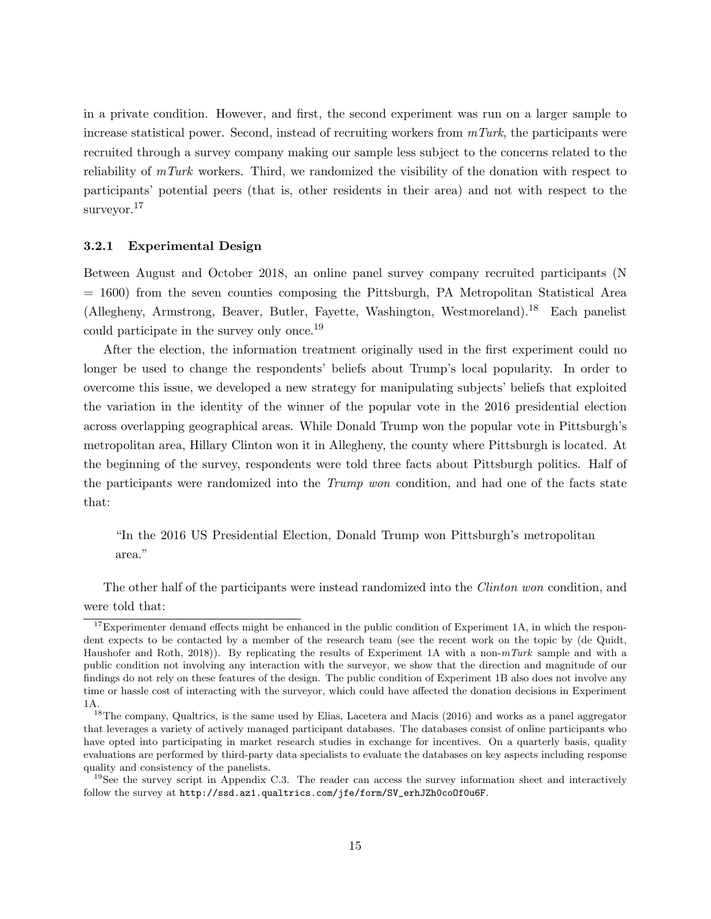in a private condition. However, and first, the second experiment was run on a larger sample to increase statistical power. Second, instead of recruiting workers from  $mTurk$ , the participants were recruited through a survey company making our sample less subject to the concerns related to the reliability of mTurk workers. Third, we randomized the visibility of the donation with respect to participants' potential peers (that is, other residents in their area) and not with respect to the surveyor.<sup>[17](#page-15-0)</sup>

#### 3.2.1 Experimental Design

Between August and October 2018, an online panel survey company recruited participants (N = 1600) from the seven counties composing the Pittsburgh, PA Metropolitan Statistical Area (Allegheny, Armstrong, Beaver, Butler, Fayette, Washington, Westmoreland).[18](#page-15-1) Each panelist could participate in the survey only once.[19](#page-15-2)

After the election, the information treatment originally used in the first experiment could no longer be used to change the respondents' beliefs about Trump's local popularity. In order to overcome this issue, we developed a new strategy for manipulating subjects' beliefs that exploited the variation in the identity of the winner of the popular vote in the 2016 presidential election across overlapping geographical areas. While Donald Trump won the popular vote in Pittsburgh's metropolitan area, Hillary Clinton won it in Allegheny, the county where Pittsburgh is located. At the beginning of the survey, respondents were told three facts about Pittsburgh politics. Half of the participants were randomized into the *Trump won* condition, and had one of the facts state that:

"In the 2016 US Presidential Election, Donald Trump won Pittsburgh's metropolitan area."

The other half of the participants were instead randomized into the Clinton won condition, and were told that:

<span id="page-15-0"></span><sup>&</sup>lt;sup>17</sup>Experimenter demand effects might be enhanced in the public condition of Experiment 1A, in which the respondent expects to be contacted by a member of the research team (see the recent work on the topic by [\(de Quidt,](#page-25-14) [Haushofer and Roth, 2018\)](#page-25-14)). By replicating the results of Experiment 1A with a non-mTurk sample and with a public condition not involving any interaction with the surveyor, we show that the direction and magnitude of our findings do not rely on these features of the design. The public condition of Experiment 1B also does not involve any time or hassle cost of interacting with the surveyor, which could have affected the donation decisions in Experiment 1A.

<span id="page-15-1"></span><sup>&</sup>lt;sup>18</sup>The company, Qualtrics, is the same used by [Elias, Lacetera and Macis](#page-25-15) [\(2016\)](#page-25-15) and works as a panel aggregator that leverages a variety of actively managed participant databases. The databases consist of online participants who have opted into participating in market research studies in exchange for incentives. On a quarterly basis, quality evaluations are performed by third-party data specialists to evaluate the databases on key aspects including response quality and consistency of the panelists.

<span id="page-15-2"></span> $19$ See the survey script in Appendix [C.3.](#page-57-0) The reader can access the survey information sheet and interactively follow the survey at [http://ssd.az1.qualtrics.com/jfe/form/SV\\_erhJZh0coOf0u6F](http://ssd.az1.qualtrics.com/jfe/form/SV_erhJZh0coOf0u6F).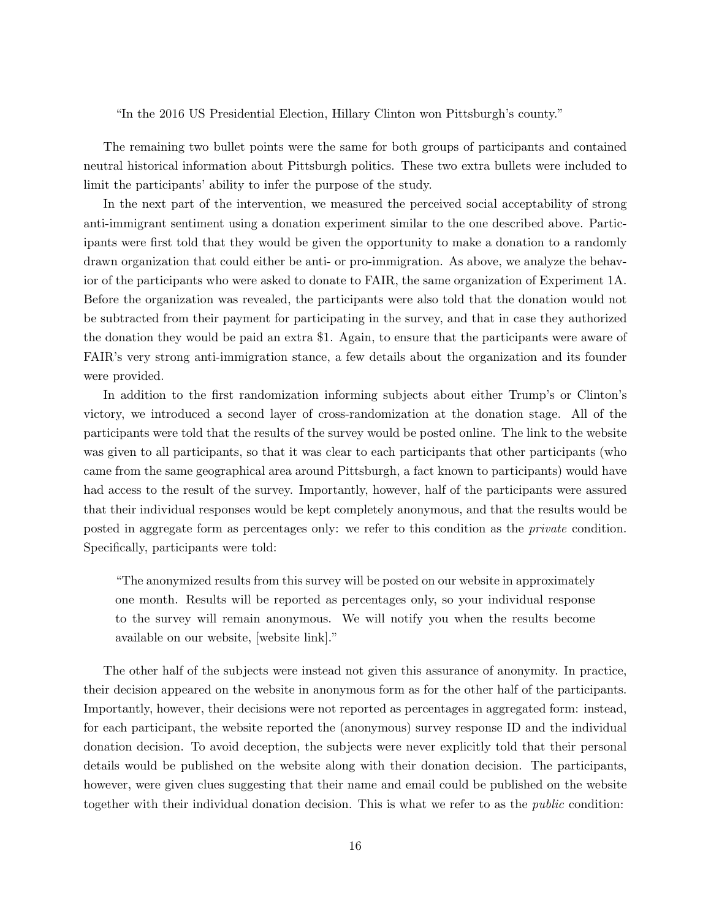"In the 2016 US Presidential Election, Hillary Clinton won Pittsburgh's county."

The remaining two bullet points were the same for both groups of participants and contained neutral historical information about Pittsburgh politics. These two extra bullets were included to limit the participants' ability to infer the purpose of the study.

In the next part of the intervention, we measured the perceived social acceptability of strong anti-immigrant sentiment using a donation experiment similar to the one described above. Participants were first told that they would be given the opportunity to make a donation to a randomly drawn organization that could either be anti- or pro-immigration. As above, we analyze the behavior of the participants who were asked to donate to FAIR, the same organization of Experiment 1A. Before the organization was revealed, the participants were also told that the donation would not be subtracted from their payment for participating in the survey, and that in case they authorized the donation they would be paid an extra \$1. Again, to ensure that the participants were aware of FAIR's very strong anti-immigration stance, a few details about the organization and its founder were provided.

In addition to the first randomization informing subjects about either Trump's or Clinton's victory, we introduced a second layer of cross-randomization at the donation stage. All of the participants were told that the results of the survey would be posted online. The link to the website was given to all participants, so that it was clear to each participants that other participants (who came from the same geographical area around Pittsburgh, a fact known to participants) would have had access to the result of the survey. Importantly, however, half of the participants were assured that their individual responses would be kept completely anonymous, and that the results would be posted in aggregate form as percentages only: we refer to this condition as the private condition. Specifically, participants were told:

"The anonymized results from this survey will be posted on our website in approximately one month. Results will be reported as percentages only, so your individual response to the survey will remain anonymous. We will notify you when the results become available on our website, [website link]."

The other half of the subjects were instead not given this assurance of anonymity. In practice, their decision appeared on the website in anonymous form as for the other half of the participants. Importantly, however, their decisions were not reported as percentages in aggregated form: instead, for each participant, the website reported the (anonymous) survey response ID and the individual donation decision. To avoid deception, the subjects were never explicitly told that their personal details would be published on the website along with their donation decision. The participants, however, were given clues suggesting that their name and email could be published on the website together with their individual donation decision. This is what we refer to as the public condition: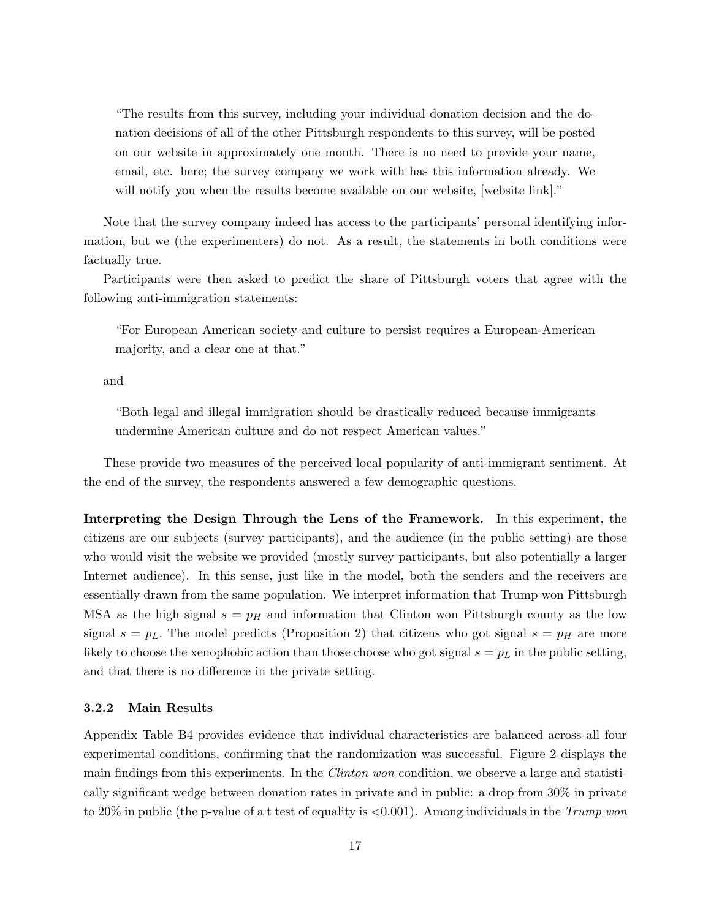"The results from this survey, including your individual donation decision and the donation decisions of all of the other Pittsburgh respondents to this survey, will be posted on our website in approximately one month. There is no need to provide your name, email, etc. here; the survey company we work with has this information already. We will notify you when the results become available on our website, [website link]."

Note that the survey company indeed has access to the participants' personal identifying information, but we (the experimenters) do not. As a result, the statements in both conditions were factually true.

Participants were then asked to predict the share of Pittsburgh voters that agree with the following anti-immigration statements:

"For European American society and culture to persist requires a European-American majority, and a clear one at that."

and

"Both legal and illegal immigration should be drastically reduced because immigrants undermine American culture and do not respect American values."

These provide two measures of the perceived local popularity of anti-immigrant sentiment. At the end of the survey, the respondents answered a few demographic questions.

Interpreting the Design Through the Lens of the Framework. In this experiment, the citizens are our subjects (survey participants), and the audience (in the public setting) are those who would visit the website we provided (mostly survey participants, but also potentially a larger Internet audience). In this sense, just like in the model, both the senders and the receivers are essentially drawn from the same population. We interpret information that Trump won Pittsburgh MSA as the high signal  $s = p_H$  and information that Clinton won Pittsburgh county as the low signal  $s = p<sub>L</sub>$ . The model predicts (Proposition [2\)](#page-9-0) that citizens who got signal  $s = p<sub>H</sub>$  are more likely to choose the xenophobic action than those choose who got signal  $s = p<sub>L</sub>$  in the public setting, and that there is no difference in the private setting.

#### 3.2.2 Main Results

Appendix Table [B4](#page-45-0) provides evidence that individual characteristics are balanced across all four experimental conditions, confirming that the randomization was successful. Figure [2](#page-28-0) displays the main findings from this experiments. In the Clinton won condition, we observe a large and statistically significant wedge between donation rates in private and in public: a drop from 30% in private to 20% in public (the p-value of a t test of equality is  $\langle 0.001 \rangle$ ). Among individuals in the Trump won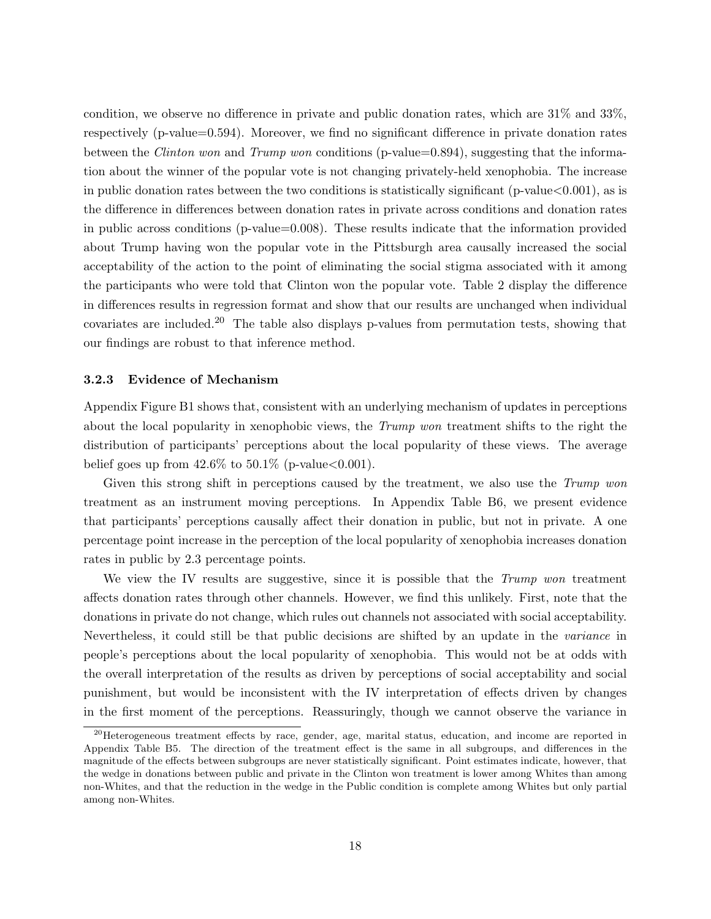condition, we observe no difference in private and public donation rates, which are 31% and 33%, respectively (p-value=0.594). Moreover, we find no significant difference in private donation rates between the *Clinton won* and *Trump won* conditions (p-value=0.894), suggesting that the information about the winner of the popular vote is not changing privately-held xenophobia. The increase in public donation rates between the two conditions is statistically significant ( $p$ -value $<0.001$ ), as is the difference in differences between donation rates in private across conditions and donation rates in public across conditions (p-value=0.008). These results indicate that the information provided about Trump having won the popular vote in the Pittsburgh area causally increased the social acceptability of the action to the point of eliminating the social stigma associated with it among the participants who were told that Clinton won the popular vote. Table [2](#page-31-0) display the difference in differences results in regression format and show that our results are unchanged when individual covariates are included.<sup>[20](#page-18-1)</sup> The table also displays p-values from permutation tests, showing that our findings are robust to that inference method.

#### <span id="page-18-0"></span>3.2.3 Evidence of Mechanism

Appendix Figure [B1](#page-40-0) shows that, consistent with an underlying mechanism of updates in perceptions about the local popularity in xenophobic views, the Trump won treatment shifts to the right the distribution of participants' perceptions about the local popularity of these views. The average belief goes up from  $42.6\%$  to  $50.1\%$  (p-value  $< 0.001$ ).

Given this strong shift in perceptions caused by the treatment, we also use the Trump won treatment as an instrument moving perceptions. In Appendix Table [B6,](#page-47-0) we present evidence that participants' perceptions causally affect their donation in public, but not in private. A one percentage point increase in the perception of the local popularity of xenophobia increases donation rates in public by 2.3 percentage points.

We view the IV results are suggestive, since it is possible that the Trump won treatment affects donation rates through other channels. However, we find this unlikely. First, note that the donations in private do not change, which rules out channels not associated with social acceptability. Nevertheless, it could still be that public decisions are shifted by an update in the variance in people's perceptions about the local popularity of xenophobia. This would not be at odds with the overall interpretation of the results as driven by perceptions of social acceptability and social punishment, but would be inconsistent with the IV interpretation of effects driven by changes in the first moment of the perceptions. Reassuringly, though we cannot observe the variance in

<span id="page-18-1"></span><sup>&</sup>lt;sup>20</sup>Heterogeneous treatment effects by race, gender, age, marital status, education, and income are reported in Appendix Table [B5.](#page-46-0) The direction of the treatment effect is the same in all subgroups, and differences in the magnitude of the effects between subgroups are never statistically significant. Point estimates indicate, however, that the wedge in donations between public and private in the Clinton won treatment is lower among Whites than among non-Whites, and that the reduction in the wedge in the Public condition is complete among Whites but only partial among non-Whites.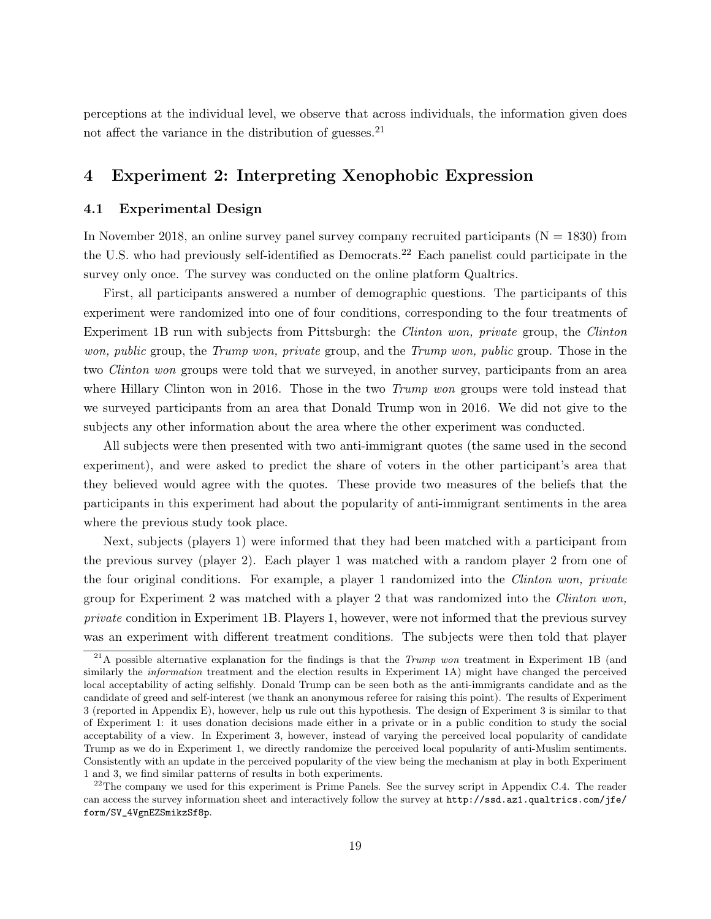perceptions at the individual level, we observe that across individuals, the information given does not affect the variance in the distribution of guesses.  $21$ 

## <span id="page-19-0"></span>4 Experiment 2: Interpreting Xenophobic Expression

#### 4.1 Experimental Design

In November 2018, an online survey panel survey company recruited participants  $(N = 1830)$  from the U.S. who had previously self-identified as Democrats.[22](#page-19-2) Each panelist could participate in the survey only once. The survey was conducted on the online platform Qualtrics.

First, all participants answered a number of demographic questions. The participants of this experiment were randomized into one of four conditions, corresponding to the four treatments of Experiment 1B run with subjects from Pittsburgh: the Clinton won, private group, the Clinton won, public group, the Trump won, private group, and the Trump won, public group. Those in the two *Clinton won* groups were told that we surveyed, in another survey, participants from an area where Hillary Clinton won in 2016. Those in the two *Trump won* groups were told instead that we surveyed participants from an area that Donald Trump won in 2016. We did not give to the subjects any other information about the area where the other experiment was conducted.

All subjects were then presented with two anti-immigrant quotes (the same used in the second experiment), and were asked to predict the share of voters in the other participant's area that they believed would agree with the quotes. These provide two measures of the beliefs that the participants in this experiment had about the popularity of anti-immigrant sentiments in the area where the previous study took place.

Next, subjects (players 1) were informed that they had been matched with a participant from the previous survey (player 2). Each player 1 was matched with a random player 2 from one of the four original conditions. For example, a player 1 randomized into the Clinton won, private group for Experiment 2 was matched with a player 2 that was randomized into the *Clinton won*, private condition in Experiment 1B. Players 1, however, were not informed that the previous survey was an experiment with different treatment conditions. The subjects were then told that player

<span id="page-19-1"></span><sup>&</sup>lt;sup>21</sup>A possible alternative explanation for the findings is that the *Trump won* treatment in Experiment 1B (and similarly the *information* treatment and the election results in Experiment 1A) might have changed the perceived local acceptability of acting selfishly. Donald Trump can be seen both as the anti-immigrants candidate and as the candidate of greed and self-interest (we thank an anonymous referee for raising this point). The results of Experiment 3 (reported in Appendix [E\)](#page-70-0), however, help us rule out this hypothesis. The design of Experiment 3 is similar to that of Experiment 1: it uses donation decisions made either in a private or in a public condition to study the social acceptability of a view. In Experiment 3, however, instead of varying the perceived local popularity of candidate Trump as we do in Experiment 1, we directly randomize the perceived local popularity of anti-Muslim sentiments. Consistently with an update in the perceived popularity of the view being the mechanism at play in both Experiment 1 and 3, we find similar patterns of results in both experiments.

<span id="page-19-2"></span><sup>&</sup>lt;sup>22</sup>The company we used for this experiment is Prime Panels. See the survey script in Appendix [C.4.](#page-61-0) The reader can access the survey information sheet and interactively follow the survey at [http://ssd.az1.qualtrics.com/jfe/](http://ssd.az1.qualtrics.com/jfe/form/SV_4VgnEZSmikzSf8p) [form/SV\\_4VgnEZSmikzSf8p](http://ssd.az1.qualtrics.com/jfe/form/SV_4VgnEZSmikzSf8p).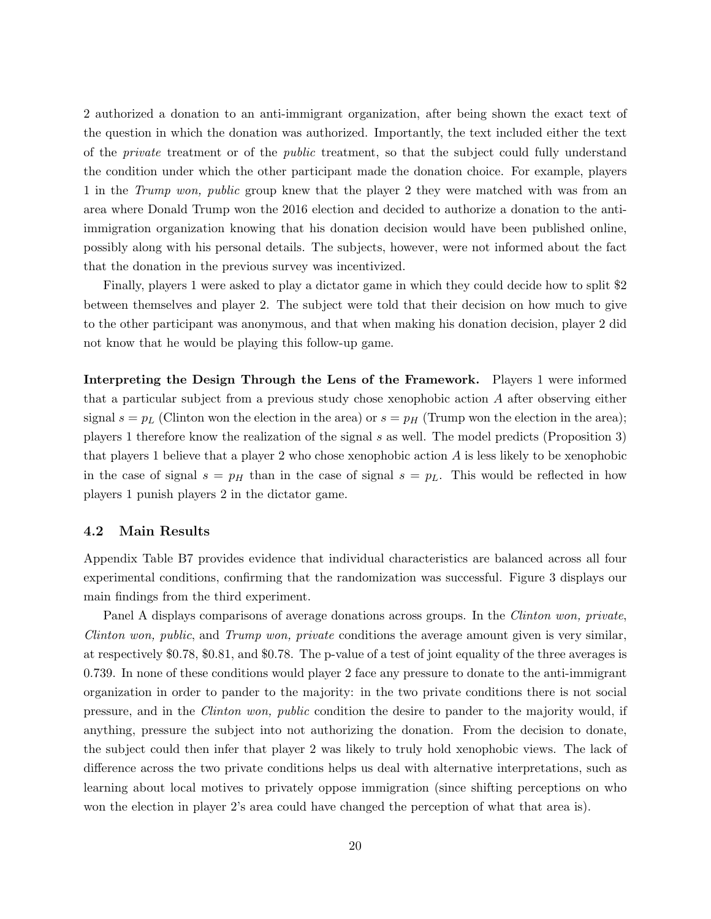2 authorized a donation to an anti-immigrant organization, after being shown the exact text of the question in which the donation was authorized. Importantly, the text included either the text of the private treatment or of the public treatment, so that the subject could fully understand the condition under which the other participant made the donation choice. For example, players 1 in the Trump won, public group knew that the player 2 they were matched with was from an area where Donald Trump won the 2016 election and decided to authorize a donation to the antiimmigration organization knowing that his donation decision would have been published online, possibly along with his personal details. The subjects, however, were not informed about the fact that the donation in the previous survey was incentivized.

Finally, players 1 were asked to play a dictator game in which they could decide how to split \$2 between themselves and player 2. The subject were told that their decision on how much to give to the other participant was anonymous, and that when making his donation decision, player 2 did not know that he would be playing this follow-up game.

Interpreting the Design Through the Lens of the Framework. Players 1 were informed that a particular subject from a previous study chose xenophobic action A after observing either signal  $s = p_L$  (Clinton won the election in the area) or  $s = p_H$  (Trump won the election in the area); players 1 therefore know the realization of the signal s as well. The model predicts (Proposition [3\)](#page-9-1) that players 1 believe that a player 2 who chose xenophobic action  $A$  is less likely to be xenophobic in the case of signal  $s = p_H$  than in the case of signal  $s = p_L$ . This would be reflected in how players 1 punish players 2 in the dictator game.

#### 4.2 Main Results

Appendix Table [B7](#page-48-0) provides evidence that individual characteristics are balanced across all four experimental conditions, confirming that the randomization was successful. Figure [3](#page-29-0) displays our main findings from the third experiment.

Panel A displays comparisons of average donations across groups. In the *Clinton won, private*, Clinton won, public, and Trump won, private conditions the average amount given is very similar, at respectively \$0.78, \$0.81, and \$0.78. The p-value of a test of joint equality of the three averages is 0.739. In none of these conditions would player 2 face any pressure to donate to the anti-immigrant organization in order to pander to the majority: in the two private conditions there is not social pressure, and in the Clinton won, public condition the desire to pander to the majority would, if anything, pressure the subject into not authorizing the donation. From the decision to donate, the subject could then infer that player 2 was likely to truly hold xenophobic views. The lack of difference across the two private conditions helps us deal with alternative interpretations, such as learning about local motives to privately oppose immigration (since shifting perceptions on who won the election in player 2's area could have changed the perception of what that area is).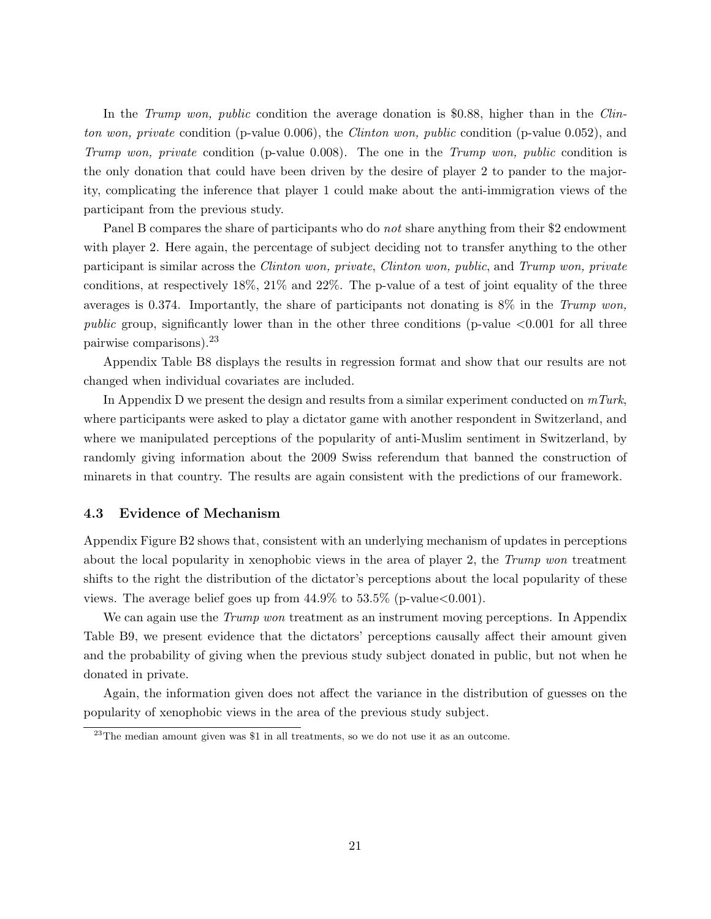In the *Trump won, public* condition the average donation is \$0.88, higher than in the *Clin*ton won, private condition (p-value 0.006), the *Clinton won, public* condition (p-value 0.052), and Trump won, private condition (p-value 0.008). The one in the Trump won, public condition is the only donation that could have been driven by the desire of player 2 to pander to the majority, complicating the inference that player 1 could make about the anti-immigration views of the participant from the previous study.

Panel B compares the share of participants who do *not* share anything from their \$2 endowment with player 2. Here again, the percentage of subject deciding not to transfer anything to the other participant is similar across the Clinton won, private, Clinton won, public, and Trump won, private conditions, at respectively 18%, 21% and 22%. The p-value of a test of joint equality of the three averages is 0.374. Importantly, the share of participants not donating is  $8\%$  in the Trump won, public group, significantly lower than in the other three conditions (p-value  $\langle 0.001 \rangle$  for all three pairwise comparisons).[23](#page-21-0)

Appendix Table [B8](#page-49-0) displays the results in regression format and show that our results are not changed when individual covariates are included.

In Appendix [D](#page-65-0) we present the design and results from a similar experiment conducted on  $mTurk$ , where participants were asked to play a dictator game with another respondent in Switzerland, and where we manipulated perceptions of the popularity of anti-Muslim sentiment in Switzerland, by randomly giving information about the 2009 Swiss referendum that banned the construction of minarets in that country. The results are again consistent with the predictions of our framework.

#### 4.3 Evidence of Mechanism

Appendix Figure [B2](#page-41-0) shows that, consistent with an underlying mechanism of updates in perceptions about the local popularity in xenophobic views in the area of player 2, the Trump won treatment shifts to the right the distribution of the dictator's perceptions about the local popularity of these views. The average belief goes up from  $44.9\%$  to  $53.5\%$  (p-value  $< 0.001$ ).

We can again use the *Trump won* treatment as an instrument moving perceptions. In Appendix Table [B9,](#page-50-0) we present evidence that the dictators' perceptions causally affect their amount given and the probability of giving when the previous study subject donated in public, but not when he donated in private.

Again, the information given does not affect the variance in the distribution of guesses on the popularity of xenophobic views in the area of the previous study subject.

<span id="page-21-0"></span><sup>&</sup>lt;sup>23</sup>The median amount given was \$1 in all treatments, so we do not use it as an outcome.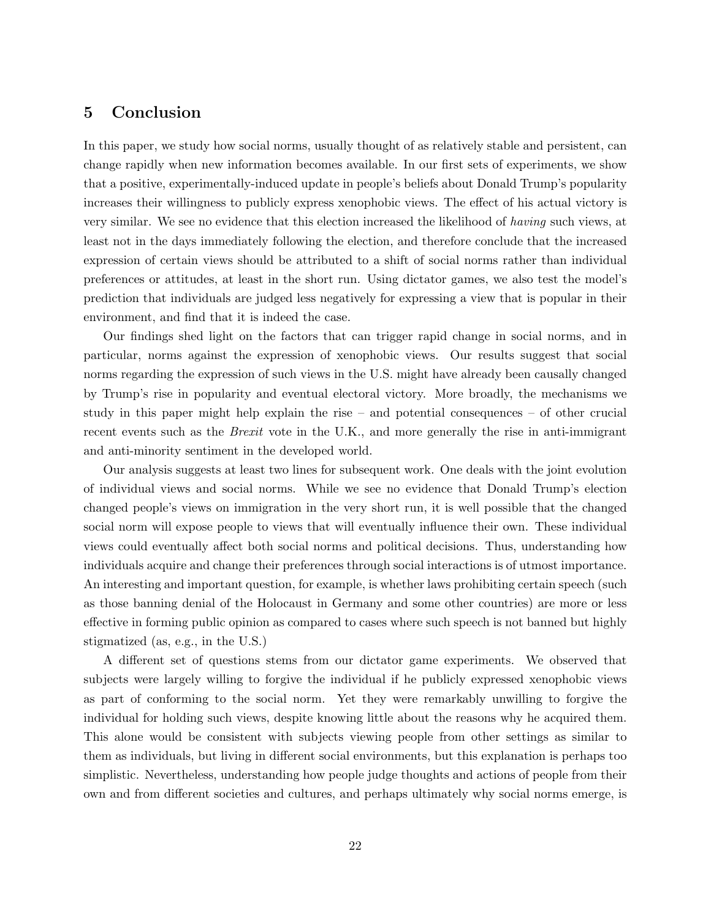## <span id="page-22-0"></span>5 Conclusion

In this paper, we study how social norms, usually thought of as relatively stable and persistent, can change rapidly when new information becomes available. In our first sets of experiments, we show that a positive, experimentally-induced update in people's beliefs about Donald Trump's popularity increases their willingness to publicly express xenophobic views. The effect of his actual victory is very similar. We see no evidence that this election increased the likelihood of having such views, at least not in the days immediately following the election, and therefore conclude that the increased expression of certain views should be attributed to a shift of social norms rather than individual preferences or attitudes, at least in the short run. Using dictator games, we also test the model's prediction that individuals are judged less negatively for expressing a view that is popular in their environment, and find that it is indeed the case.

Our findings shed light on the factors that can trigger rapid change in social norms, and in particular, norms against the expression of xenophobic views. Our results suggest that social norms regarding the expression of such views in the U.S. might have already been causally changed by Trump's rise in popularity and eventual electoral victory. More broadly, the mechanisms we study in this paper might help explain the rise – and potential consequences – of other crucial recent events such as the *Brexit* vote in the U.K., and more generally the rise in anti-immigrant and anti-minority sentiment in the developed world.

Our analysis suggests at least two lines for subsequent work. One deals with the joint evolution of individual views and social norms. While we see no evidence that Donald Trump's election changed people's views on immigration in the very short run, it is well possible that the changed social norm will expose people to views that will eventually influence their own. These individual views could eventually affect both social norms and political decisions. Thus, understanding how individuals acquire and change their preferences through social interactions is of utmost importance. An interesting and important question, for example, is whether laws prohibiting certain speech (such as those banning denial of the Holocaust in Germany and some other countries) are more or less effective in forming public opinion as compared to cases where such speech is not banned but highly stigmatized (as, e.g., in the U.S.)

A different set of questions stems from our dictator game experiments. We observed that subjects were largely willing to forgive the individual if he publicly expressed xenophobic views as part of conforming to the social norm. Yet they were remarkably unwilling to forgive the individual for holding such views, despite knowing little about the reasons why he acquired them. This alone would be consistent with subjects viewing people from other settings as similar to them as individuals, but living in different social environments, but this explanation is perhaps too simplistic. Nevertheless, understanding how people judge thoughts and actions of people from their own and from different societies and cultures, and perhaps ultimately why social norms emerge, is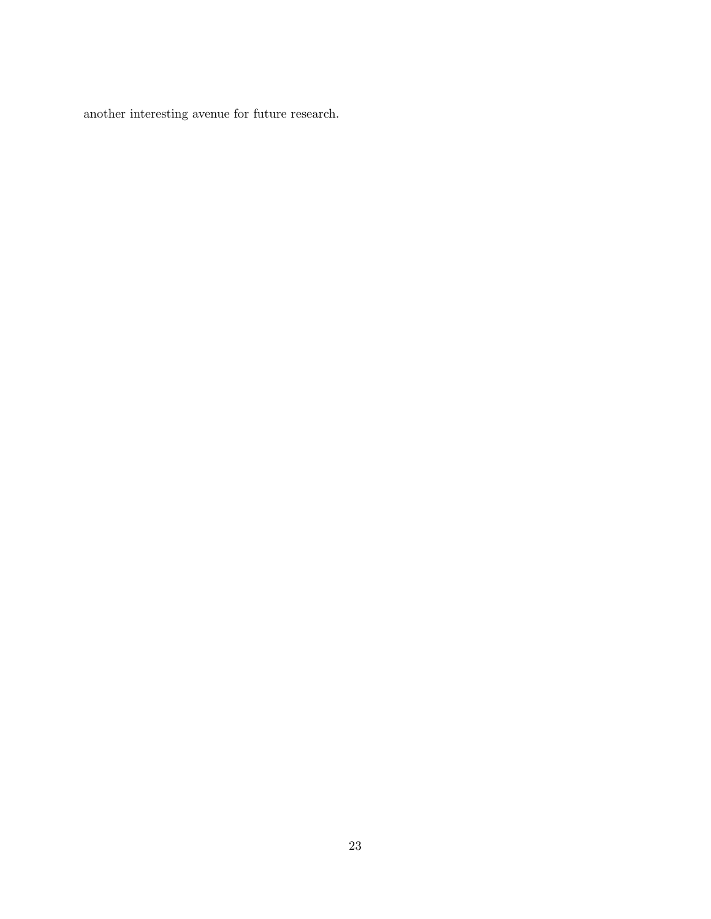another interesting avenue for future research.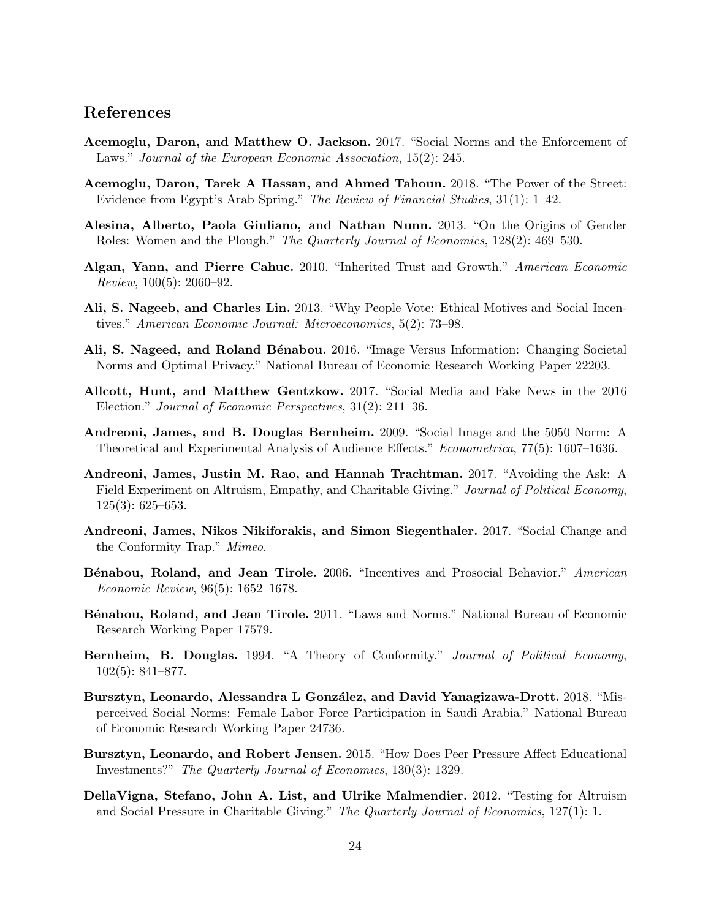## References

- <span id="page-24-13"></span>Acemoglu, Daron, and Matthew O. Jackson. 2017. "Social Norms and the Enforcement of Laws." Journal of the European Economic Association, 15(2): 245.
- <span id="page-24-12"></span>Acemoglu, Daron, Tarek A Hassan, and Ahmed Tahoun. 2018. "The Power of the Street: Evidence from Egypt's Arab Spring." The Review of Financial Studies, 31(1): 1–42.
- <span id="page-24-6"></span>Alesina, Alberto, Paola Giuliano, and Nathan Nunn. 2013. "On the Origins of Gender Roles: Women and the Plough." The Quarterly Journal of Economics, 128(2): 469–530.
- <span id="page-24-5"></span>Algan, Yann, and Pierre Cahuc. 2010. "Inherited Trust and Growth." American Economic Review, 100(5): 2060–92.
- <span id="page-24-10"></span>Ali, S. Nageeb, and Charles Lin. 2013. "Why People Vote: Ethical Motives and Social Incentives." American Economic Journal: Microeconomics, 5(2): 73–98.
- <span id="page-24-8"></span>Ali, S. Nageed, and Roland Bénabou. 2016. "Image Versus Information: Changing Societal Norms and Optimal Privacy." National Bureau of Economic Research Working Paper 22203.
- <span id="page-24-7"></span>Allcott, Hunt, and Matthew Gentzkow. 2017. "Social Media and Fake News in the 2016 Election." Journal of Economic Perspectives, 31(2): 211–36.
- <span id="page-24-1"></span>Andreoni, James, and B. Douglas Bernheim. 2009. "Social Image and the 5050 Norm: A Theoretical and Experimental Analysis of Audience Effects." Econometrica, 77(5): 1607–1636.
- <span id="page-24-3"></span>Andreoni, James, Justin M. Rao, and Hannah Trachtman. 2017. "Avoiding the Ask: A Field Experiment on Altruism, Empathy, and Charitable Giving." Journal of Political Economy, 125(3): 625–653.
- <span id="page-24-14"></span>Andreoni, James, Nikos Nikiforakis, and Simon Siegenthaler. 2017. "Social Change and the Conformity Trap." Mimeo.
- <span id="page-24-9"></span>Bénabou, Roland, and Jean Tirole. 2006. "Incentives and Prosocial Behavior." American Economic Review, 96(5): 1652–1678.
- <span id="page-24-0"></span>Bénabou, Roland, and Jean Tirole. 2011. "Laws and Norms." National Bureau of Economic Research Working Paper 17579.
- <span id="page-24-11"></span>Bernheim, B. Douglas. 1994. "A Theory of Conformity." Journal of Political Economy, 102(5): 841–877.
- <span id="page-24-15"></span>Bursztyn, Leonardo, Alessandra L González, and David Yanagizawa-Drott. 2018. "Misperceived Social Norms: Female Labor Force Participation in Saudi Arabia." National Bureau of Economic Research Working Paper 24736.
- <span id="page-24-4"></span>Bursztyn, Leonardo, and Robert Jensen. 2015. "How Does Peer Pressure Affect Educational Investments?" The Quarterly Journal of Economics, 130(3): 1329.
- <span id="page-24-2"></span>DellaVigna, Stefano, John A. List, and Ulrike Malmendier. 2012. "Testing for Altruism and Social Pressure in Charitable Giving." The Quarterly Journal of Economics, 127(1): 1.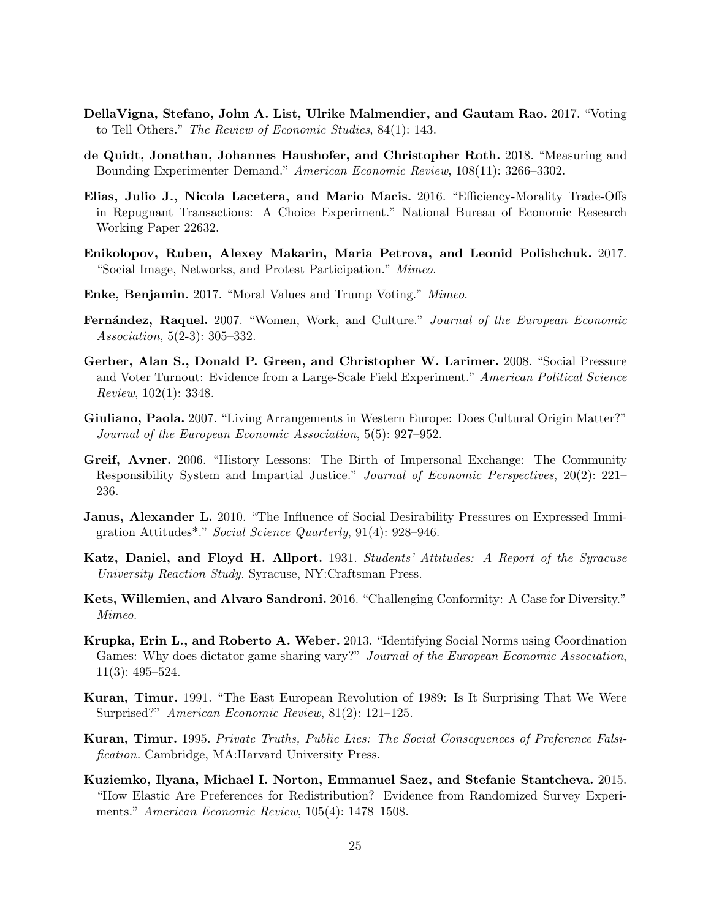- <span id="page-25-1"></span>DellaVigna, Stefano, John A. List, Ulrike Malmendier, and Gautam Rao. 2017. "Voting to Tell Others." The Review of Economic Studies, 84(1): 143.
- <span id="page-25-14"></span>de Quidt, Jonathan, Johannes Haushofer, and Christopher Roth. 2018. "Measuring and Bounding Experimenter Demand." American Economic Review, 108(11): 3266–3302.
- <span id="page-25-15"></span>Elias, Julio J., Nicola Lacetera, and Mario Macis. 2016. "Efficiency-Morality Trade-Offs in Repugnant Transactions: A Choice Experiment." National Bureau of Economic Research Working Paper 22632.
- <span id="page-25-2"></span>Enikolopov, Ruben, Alexey Makarin, Maria Petrova, and Leonid Polishchuk. 2017. "Social Image, Networks, and Protest Participation." Mimeo.
- <span id="page-25-10"></span>Enke, Benjamin. 2017. "Moral Values and Trump Voting." Mimeo.
- <span id="page-25-3"></span>Fernández, Raquel. 2007. "Women, Work, and Culture." Journal of the European Economic Association, 5(2-3): 305–332.
- <span id="page-25-0"></span>Gerber, Alan S., Donald P. Green, and Christopher W. Larimer. 2008. "Social Pressure and Voter Turnout: Evidence from a Large-Scale Field Experiment." American Political Science Review, 102(1): 3348.
- <span id="page-25-4"></span>Giuliano, Paola. 2007. "Living Arrangements in Western Europe: Does Cultural Origin Matter?" Journal of the European Economic Association, 5(5): 927–952.
- <span id="page-25-9"></span>Greif, Avner. 2006. "History Lessons: The Birth of Impersonal Exchange: The Community Responsibility System and Impartial Justice." Journal of Economic Perspectives, 20(2): 221– 236.
- <span id="page-25-8"></span>**Janus, Alexander L.** 2010. "The Influence of Social Desirability Pressures on Expressed Immigration Attitudes\*." Social Science Quarterly, 91(4): 928–946.
- <span id="page-25-6"></span>Katz, Daniel, and Floyd H. Allport. 1931. Students' Attitudes: A Report of the Syracuse University Reaction Study. Syracuse, NY:Craftsman Press.
- <span id="page-25-11"></span>Kets, Willemien, and Alvaro Sandroni. 2016. "Challenging Conformity: A Case for Diversity." Mimeo.
- <span id="page-25-12"></span>Krupka, Erin L., and Roberto A. Weber. 2013. "Identifying Social Norms using Coordination Games: Why does dictator game sharing vary?" Journal of the European Economic Association, 11(3): 495–524.
- <span id="page-25-5"></span>Kuran, Timur. 1991. "The East European Revolution of 1989: Is It Surprising That We Were Surprised?" American Economic Review, 81(2): 121–125.
- <span id="page-25-7"></span>Kuran, Timur. 1995. Private Truths, Public Lies: The Social Consequences of Preference Falsification. Cambridge, MA:Harvard University Press.
- <span id="page-25-13"></span>Kuziemko, Ilyana, Michael I. Norton, Emmanuel Saez, and Stefanie Stantcheva. 2015. "How Elastic Are Preferences for Redistribution? Evidence from Randomized Survey Experiments." American Economic Review, 105(4): 1478–1508.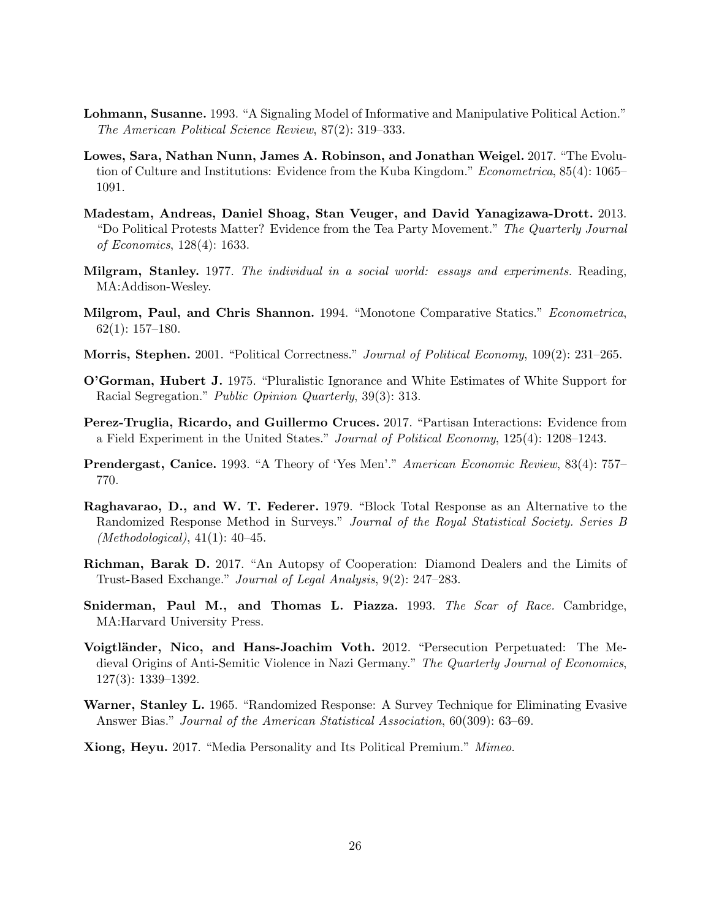- <span id="page-26-8"></span>Lohmann, Susanne. 1993. "A Signaling Model of Informative and Manipulative Political Action." The American Political Science Review, 87(2): 319–333.
- <span id="page-26-7"></span>Lowes, Sara, Nathan Nunn, James A. Robinson, and Jonathan Weigel. 2017. "The Evolution of Culture and Institutions: Evidence from the Kuba Kingdom." Econometrica, 85(4): 1065-1091.
- <span id="page-26-6"></span>Madestam, Andreas, Daniel Shoag, Stan Veuger, and David Yanagizawa-Drott. 2013. "Do Political Protests Matter? Evidence from the Tea Party Movement." The Quarterly Journal of Economics, 128(4): 1633.
- <span id="page-26-12"></span>Milgram, Stanley. 1977. The individual in a social world: essays and experiments. Reading, MA:Addison-Wesley.
- <span id="page-26-14"></span>Milgrom, Paul, and Chris Shannon. 1994. "Monotone Comparative Statics." Econometrica, 62(1): 157–180.
- <span id="page-26-5"></span>Morris, Stephen. 2001. "Political Correctness." Journal of Political Economy, 109(2): 231–265.
- <span id="page-26-2"></span>O'Gorman, Hubert J. 1975. "Pluralistic Ignorance and White Estimates of White Support for Racial Segregation." Public Opinion Quarterly, 39(3): 313.
- <span id="page-26-0"></span>Perez-Truglia, Ricardo, and Guillermo Cruces. 2017. "Partisan Interactions: Evidence from a Field Experiment in the United States." Journal of Political Economy, 125(4): 1208–1243.
- <span id="page-26-13"></span>Prendergast, Canice. 1993. "A Theory of 'Yes Men'." American Economic Review, 83(4): 757– 770.
- <span id="page-26-10"></span>Raghavarao, D., and W. T. Federer. 1979. "Block Total Response as an Alternative to the Randomized Response Method in Surveys." Journal of the Royal Statistical Society. Series B  $(Methodological), 41(1): 40-45.$
- <span id="page-26-3"></span>Richman, Barak D. 2017. "An Autopsy of Cooperation: Diamond Dealers and the Limits of Trust-Based Exchange." Journal of Legal Analysis, 9(2): 247–283.
- <span id="page-26-11"></span>Sniderman, Paul M., and Thomas L. Piazza. 1993. The Scar of Race. Cambridge, MA:Harvard University Press.
- <span id="page-26-1"></span>Voigtländer, Nico, and Hans-Joachim Voth. 2012. "Persecution Perpetuated: The Medieval Origins of Anti-Semitic Violence in Nazi Germany." The Quarterly Journal of Economics, 127(3): 1339–1392.
- <span id="page-26-9"></span>Warner, Stanley L. 1965. "Randomized Response: A Survey Technique for Eliminating Evasive Answer Bias." Journal of the American Statistical Association, 60(309): 63–69.
- <span id="page-26-4"></span>Xiong, Heyu. 2017. "Media Personality and Its Political Premium." Mimeo.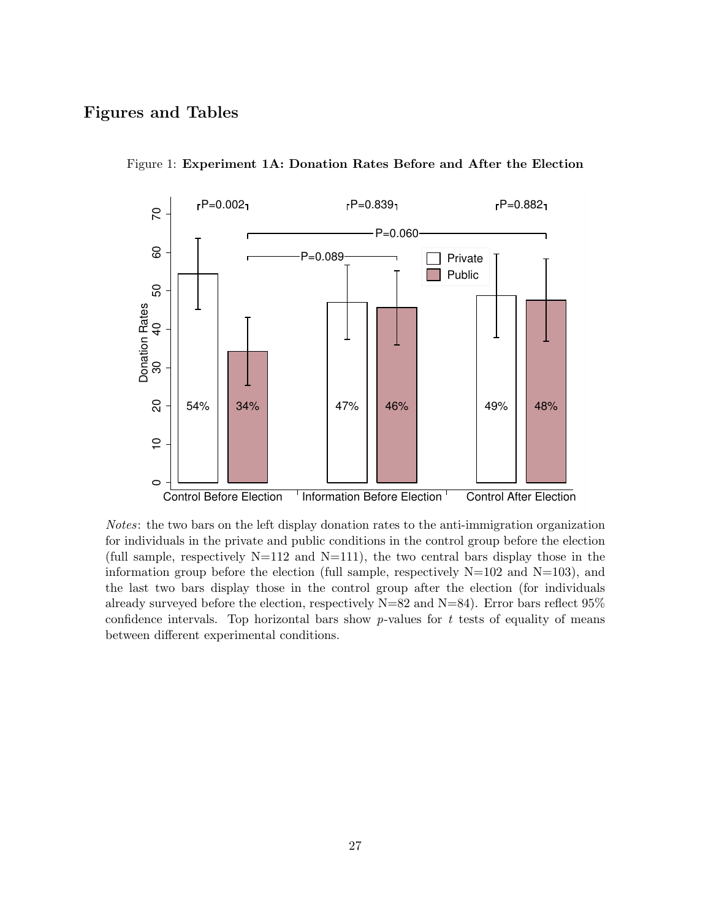## Figures and Tables



<span id="page-27-0"></span>Figure 1: Experiment 1A: Donation Rates Before and After the Election

Notes: the two bars on the left display donation rates to the anti-immigration organization for individuals in the private and public conditions in the control group before the election (full sample, respectively  $N=112$  and  $N=111$ ), the two central bars display those in the information group before the election (full sample, respectively  $N=102$  and  $N=103$ ), and the last two bars display those in the control group after the election (for individuals already surveyed before the election, respectively  $N=82$  and  $N=84$ ). Error bars reflect  $95\%$ confidence intervals. Top horizontal bars show  $p$ -values for t tests of equality of means between different experimental conditions.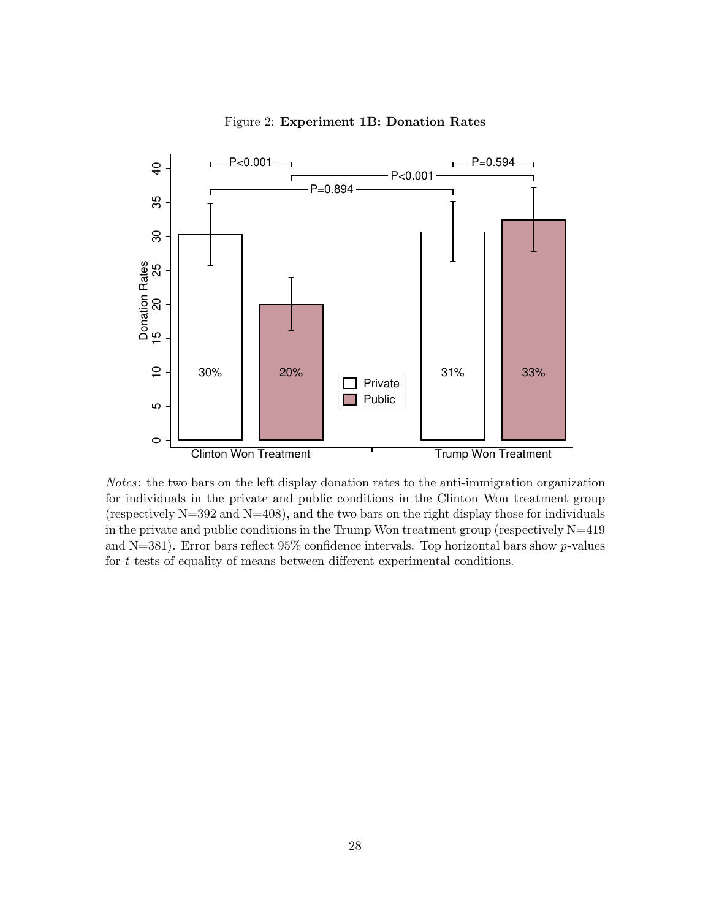

<span id="page-28-0"></span>Figure 2: Experiment 1B: Donation Rates

Notes: the two bars on the left display donation rates to the anti-immigration organization for individuals in the private and public conditions in the Clinton Won treatment group (respectively  $N=392$  and  $N=408$ ), and the two bars on the right display those for individuals in the private and public conditions in the Trump Won treatment group (respectively N=419 and N=381). Error bars reflect  $95\%$  confidence intervals. Top horizontal bars show p-values for  $t$  tests of equality of means between different experimental conditions.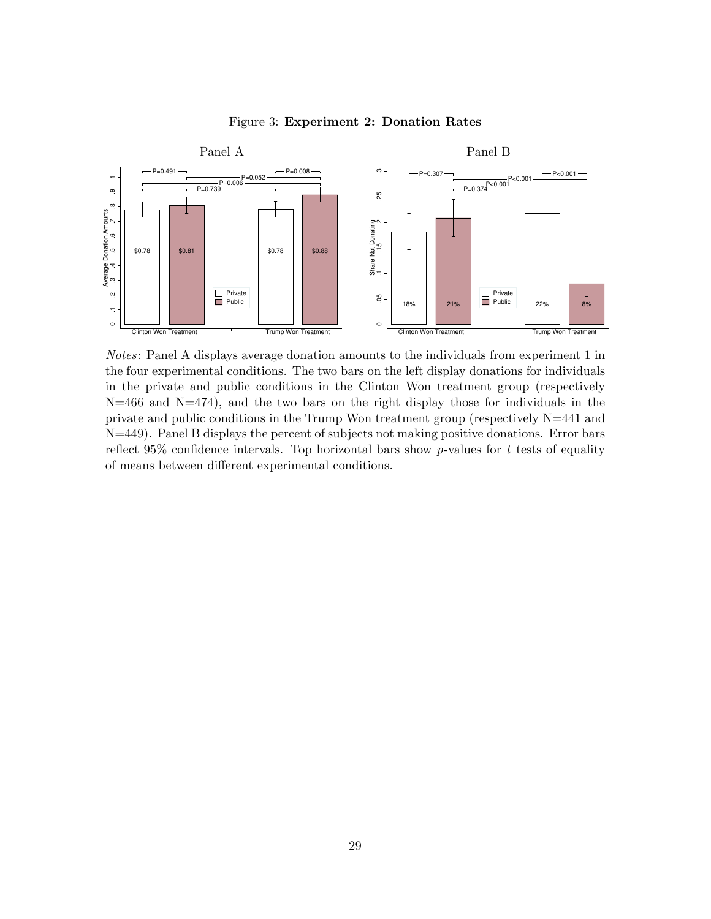

<span id="page-29-0"></span>Figure 3: Experiment 2: Donation Rates

Notes: Panel A displays average donation amounts to the individuals from experiment 1 in the four experimental conditions. The two bars on the left display donations for individuals in the private and public conditions in the Clinton Won treatment group (respectively  $N=466$  and  $N=474$ ), and the two bars on the right display those for individuals in the private and public conditions in the Trump Won treatment group (respectively  $N=441$  and N=449). Panel B displays the percent of subjects not making positive donations. Error bars reflect 95% confidence intervals. Top horizontal bars show p-values for t tests of equality of means between different experimental conditions.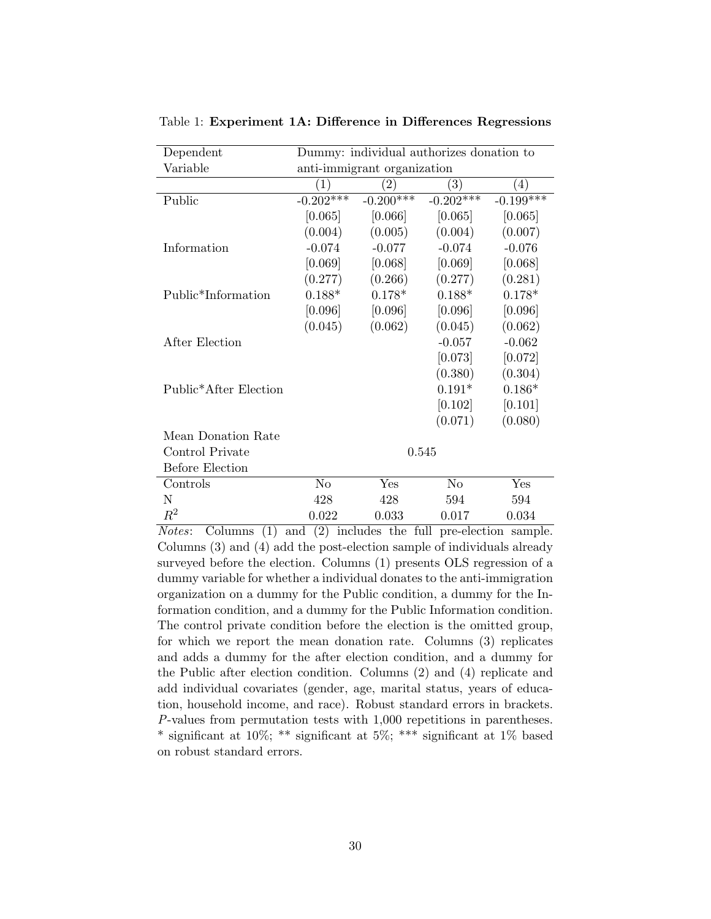| Dependent                          | Dummy: individual authorizes donation to |             |                  |                  |
|------------------------------------|------------------------------------------|-------------|------------------|------------------|
| Variable                           | anti-immigrant organization              |             |                  |                  |
|                                    | $\left(1\right)$                         | $^{'}2)$    | $\left(3\right)$ | $\left(4\right)$ |
| Public                             | $-0.202***$                              | $-0.200***$ | $-0.202$ ***     | $-0.199$ ***     |
|                                    | [0.065]                                  | [0.066]     | [0.065]          | [0.065]          |
|                                    | (0.004)                                  | (0.005)     | (0.004)          | (0.007)          |
| Information                        | $-0.074$                                 | $-0.077$    | $-0.074$         | $-0.076$         |
|                                    | [0.069]                                  | [0.068]     | [0.069]          | [0.068]          |
|                                    | (0.277)                                  | (0.266)     | (0.277)          | (0.281)          |
| Public <sup>*</sup> Information    | $0.188*$                                 | $0.178*$    | $0.188*$         | $0.178*$         |
|                                    | [0.096]                                  | [0.096]     | [0.096]          | [0.096]          |
|                                    | (0.045)                                  | (0.062)     | (0.045)          | (0.062)          |
| After Election                     |                                          |             | $-0.057$         | $-0.062$         |
|                                    |                                          |             | [0.073]          | [0.072]          |
|                                    |                                          |             | (0.380)          | (0.304)          |
| Public <sup>*</sup> After Election |                                          |             | $0.191*$         | $0.186*$         |
|                                    |                                          |             | [0.102]          | [0.101]          |
|                                    |                                          |             | (0.071)          | (0.080)          |
| Mean Donation Rate                 |                                          |             |                  |                  |
| Control Private                    | 0.545                                    |             |                  |                  |
| <b>Before Election</b>             |                                          |             |                  |                  |
| Controls                           | N <sub>o</sub>                           | Yes         | N <sub>o</sub>   | Yes              |
| N                                  | 428                                      | 428         | 594              | 594              |
| $\,R^2$                            | 0.022                                    | 0.033       | 0.017            | 0.034            |

<span id="page-30-0"></span>Table 1: Experiment 1A: Difference in Differences Regressions

Notes: Columns (1) and (2) includes the full pre-election sample. Columns (3) and (4) add the post-election sample of individuals already surveyed before the election. Columns (1) presents OLS regression of a dummy variable for whether a individual donates to the anti-immigration organization on a dummy for the Public condition, a dummy for the Information condition, and a dummy for the Public Information condition. The control private condition before the election is the omitted group, for which we report the mean donation rate. Columns (3) replicates and adds a dummy for the after election condition, and a dummy for the Public after election condition. Columns (2) and (4) replicate and add individual covariates (gender, age, marital status, years of education, household income, and race). Robust standard errors in brackets. P-values from permutation tests with 1,000 repetitions in parentheses. \* significant at 10%; \*\* significant at 5%; \*\*\* significant at 1% based on robust standard errors.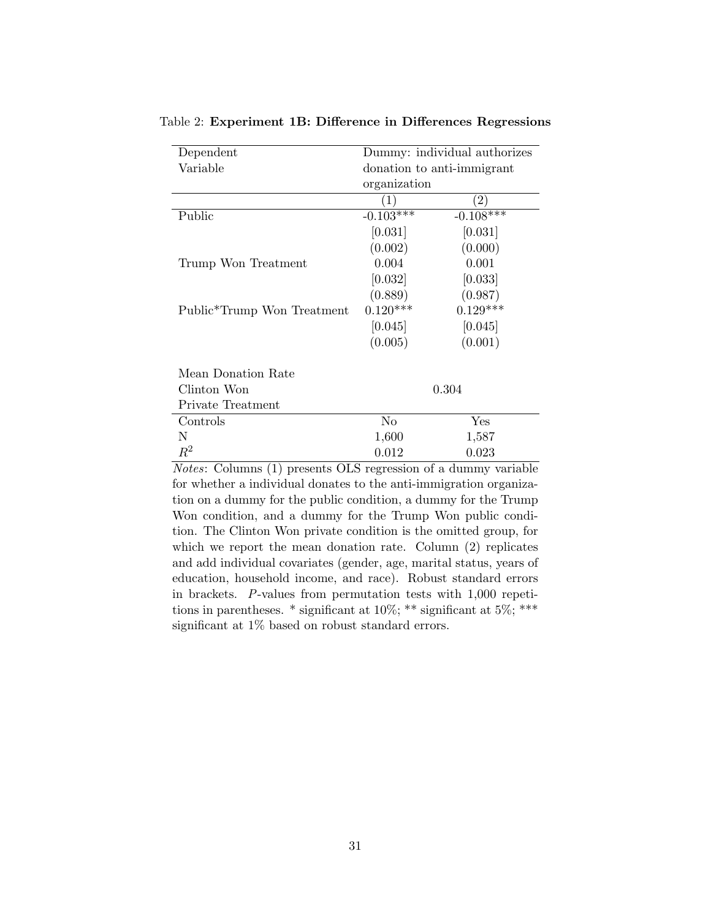| Dependent                               | Dummy: individual authorizes |                   |  |
|-----------------------------------------|------------------------------|-------------------|--|
| Variable                                | donation to anti-immigrant   |                   |  |
|                                         | organization                 |                   |  |
|                                         | $\left( 1\right)$            | $\left( 2\right)$ |  |
| Public                                  | $-0.103***$                  | $-0.108***$       |  |
|                                         | [0.031]                      | [0.031]           |  |
|                                         | (0.002)                      | (0.000)           |  |
| Trump Won Treatment                     | 0.004                        | 0.001             |  |
|                                         | [0.032]                      | [0.033]           |  |
|                                         | (0.889)                      | (0.987)           |  |
| Public <sup>*</sup> Trump Won Treatment | $0.120***$                   | $0.129***$        |  |
|                                         | [0.045]                      | [0.045]           |  |
|                                         | (0.005)                      | (0.001)           |  |
| Mean Donation Rate                      |                              |                   |  |
| Clinton Won                             | 0.304                        |                   |  |
| Private Treatment                       |                              |                   |  |
| Controls                                | No                           | Yes               |  |
| N                                       | 1,600                        | 1,587             |  |
| $\,R^2$                                 | 0.012                        | 0.023             |  |

<span id="page-31-0"></span>Table 2: Experiment 1B: Difference in Differences Regressions

Notes: Columns (1) presents OLS regression of a dummy variable for whether a individual donates to the anti-immigration organization on a dummy for the public condition, a dummy for the Trump Won condition, and a dummy for the Trump Won public condition. The Clinton Won private condition is the omitted group, for which we report the mean donation rate. Column  $(2)$  replicates and add individual covariates (gender, age, marital status, years of education, household income, and race). Robust standard errors in brackets. P-values from permutation tests with 1,000 repetitions in parentheses.  $*$  significant at 10%;  $**$  significant at 5%;  $***$ significant at 1% based on robust standard errors.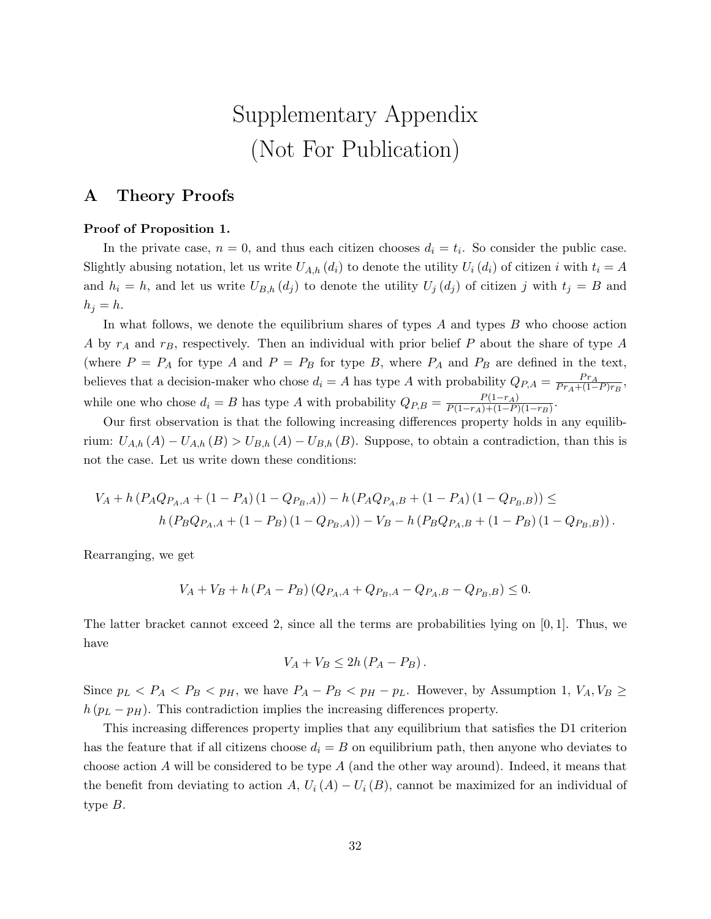# Supplementary Appendix (Not For Publication)

## A Theory Proofs

#### Proof of Proposition [1.](#page-8-2)

In the private case,  $n = 0$ , and thus each citizen chooses  $d_i = t_i$ . So consider the public case. Slightly abusing notation, let us write  $U_{A,h} (d_i)$  to denote the utility  $U_i (d_i)$  of citizen i with  $t_i = A$ and  $h_i = h$ , and let us write  $U_{B,h}(d_j)$  to denote the utility  $U_j(d_j)$  of citizen j with  $t_j = B$  and  $h_j = h$ .

In what follows, we denote the equilibrium shares of types  $A$  and types  $B$  who choose action A by  $r_A$  and  $r_B$ , respectively. Then an individual with prior belief P about the share of type A (where  $P = P_A$  for type A and  $P = P_B$  for type B, where  $P_A$  and  $P_B$  are defined in the text, believes that a decision-maker who chose  $d_i = A$  has type A with probability  $Q_{P,A} = \frac{P_{TA}}{P_{TA} + (1 - A)}$  $\frac{Pr_A}{Pr_A + (1-P)r_B},$ while one who chose  $d_i = B$  has type A with probability  $Q_{P,B} = \frac{P(1-r_A)}{P(1-r_A)+(1-P)}$  $\frac{P(1-r_A)}{P(1-r_A)+(1-P)(1-r_B)}$ .

Our first observation is that the following increasing differences property holds in any equilibrium:  $U_{A,h}(A) - U_{A,h}(B) > U_{B,h}(A) - U_{B,h}(B)$ . Suppose, to obtain a contradiction, than this is not the case. Let us write down these conditions:

$$
V_A + h (P_A Q_{P_A, A} + (1 - P_A) (1 - Q_{P_B, A})) - h (P_A Q_{P_A, B} + (1 - P_A) (1 - Q_{P_B, B})) \le
$$
  

$$
h (P_B Q_{P_A, A} + (1 - P_B) (1 - Q_{P_B, A})) - V_B - h (P_B Q_{P_A, B} + (1 - P_B) (1 - Q_{P_B, B})).
$$

Rearranging, we get

$$
V_A + V_B + h (P_A - P_B) (Q_{P_A, A} + Q_{P_B, A} - Q_{P_A, B} - Q_{P_B, B}) \le 0.
$$

The latter bracket cannot exceed 2, since all the terms are probabilities lying on  $[0, 1]$ . Thus, we have

$$
V_A + V_B \leq 2h (P_A - P_B).
$$

Since  $p_L < P_A < P_B < p_H$ , we have  $P_A - P_B < p_H - p_L$ . However, by Assumption [1,](#page-8-1)  $V_A, V_B \ge$  $h (p<sub>L</sub> - p<sub>H</sub>)$ . This contradiction implies the increasing differences property.

This increasing differences property implies that any equilibrium that satisfies the D1 criterion has the feature that if all citizens choose  $d_i = B$  on equilibrium path, then anyone who deviates to choose action  $A$  will be considered to be type  $A$  (and the other way around). Indeed, it means that the benefit from deviating to action A,  $U_i(A) - U_i(B)$ , cannot be maximized for an individual of type B.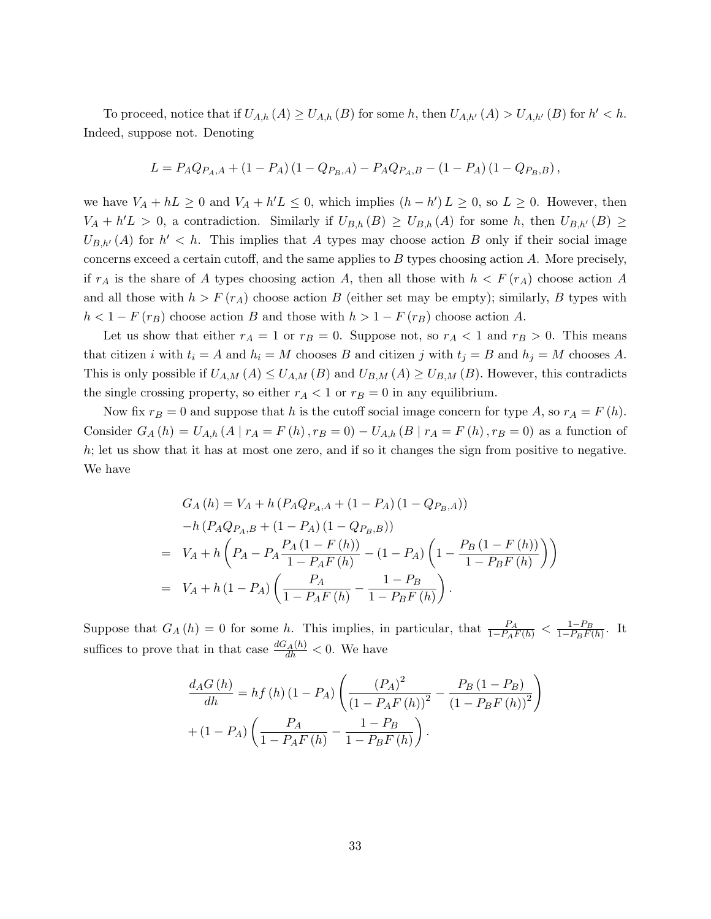To proceed, notice that if  $U_{A,h}(A) \ge U_{A,h}(B)$  for some h, then  $U_{A,h'}(A) > U_{A,h'}(B)$  for  $h' < h$ . Indeed, suppose not. Denoting

$$
L = P_A Q_{P_A, A} + (1 - P_A) (1 - Q_{P_B, A}) - P_A Q_{P_A, B} - (1 - P_A) (1 - Q_{P_B, B}),
$$

we have  $V_A + hL \geq 0$  and  $V_A + h'L \leq 0$ , which implies  $(h - h')L \geq 0$ , so  $L \geq 0$ . However, then  $V_A + h'L > 0$ , a contradiction. Similarly if  $U_{B,h}(B) \ge U_{B,h}(A)$  for some h, then  $U_{B,h'}(B) \ge$  $U_{B,h'}(A)$  for  $h' < h$ . This implies that A types may choose action B only if their social image concerns exceed a certain cutoff, and the same applies to  $B$  types choosing action  $A$ . More precisely, if  $r_A$  is the share of A types choosing action A, then all those with  $h < F(r_A)$  choose action A and all those with  $h > F(r_A)$  choose action B (either set may be empty); similarly, B types with  $h < 1 - F(r_B)$  choose action B and those with  $h > 1 - F(r_B)$  choose action A.

Let us show that either  $r_A = 1$  or  $r_B = 0$ . Suppose not, so  $r_A < 1$  and  $r_B > 0$ . This means that citizen i with  $t_i = A$  and  $h_i = M$  chooses B and citizen j with  $t_j = B$  and  $h_j = M$  chooses A. This is only possible if  $U_{A,M}(A) \leq U_{A,M}(B)$  and  $U_{B,M}(A) \geq U_{B,M}(B)$ . However, this contradicts the single crossing property, so either  $r_A < 1$  or  $r_B = 0$  in any equilibrium.

Now fix  $r_B = 0$  and suppose that h is the cutoff social image concern for type A, so  $r_A = F(h)$ . Consider  $G_A(h) = U_{A,h}(A | r_A = F(h), r_B = 0) - U_{A,h}(B | r_A = F(h), r_B = 0)$  as a function of h; let us show that it has at most one zero, and if so it changes the sign from positive to negative. We have

$$
G_A(h) = V_A + h (P_A Q_{P_A, A} + (1 - P_A) (1 - Q_{P_B, A}))
$$
  
\n
$$
-h (P_A Q_{P_A, B} + (1 - P_A) (1 - Q_{P_B, B}))
$$
  
\n
$$
= V_A + h \left( P_A - P_A \frac{P_A (1 - F(h))}{1 - P_A F(h)} - (1 - P_A) \left( 1 - \frac{P_B (1 - F(h))}{1 - P_B F(h)} \right) \right)
$$
  
\n
$$
= V_A + h (1 - P_A) \left( \frac{P_A}{1 - P_A F(h)} - \frac{1 - P_B}{1 - P_B F(h)} \right).
$$

Suppose that  $G_A(h) = 0$  for some h. This implies, in particular, that  $\frac{P_A}{1 - P_A F(h)} < \frac{1 - P_B}{1 - P_B F(h)}$  $\frac{1-P_B}{1-P_BF(h)}$ . It suffices to prove that in that case  $\frac{dG_A(h)}{dh} < 0$ . We have

$$
\frac{d_{A}G(h)}{dh} = hf(h) (1 - P_{A}) \left( \frac{(P_{A})^{2}}{(1 - P_{A}F(h))^{2}} - \frac{P_{B} (1 - P_{B})}{(1 - P_{B}F(h))^{2}} \right) + (1 - P_{A}) \left( \frac{P_{A}}{1 - P_{A}F(h)} - \frac{1 - P_{B}}{1 - P_{B}F(h)} \right).
$$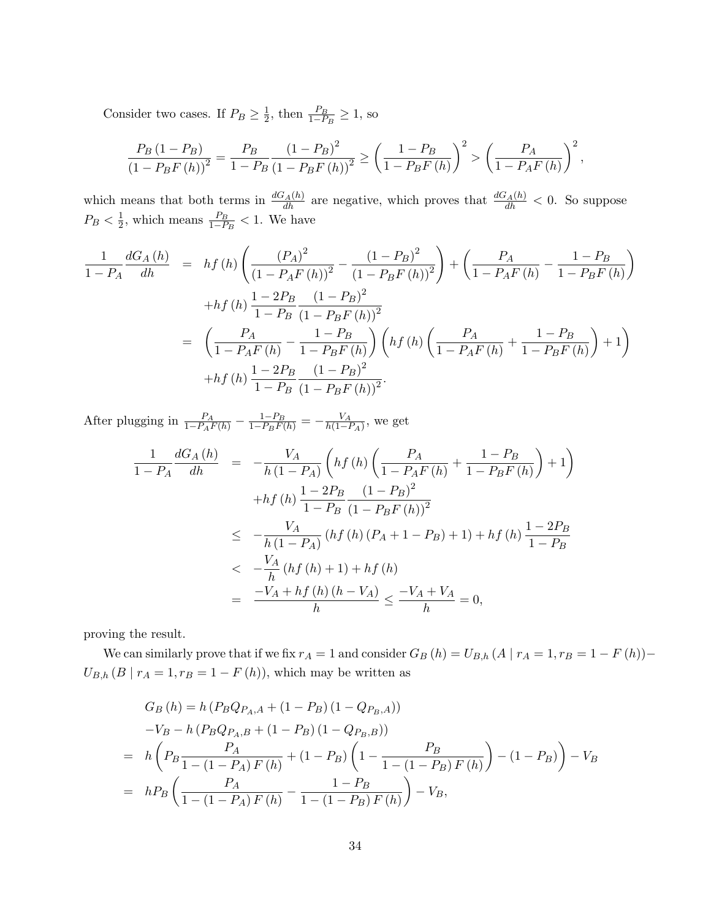Consider two cases. If  $P_B \geq \frac{1}{2}$  $\frac{1}{2}$ , then  $\frac{P_B}{1-P_B} \ge 1$ , so

$$
\frac{P_B (1 - P_B)}{(1 - P_B F(h))^2} = \frac{P_B}{1 - P_B} \frac{(1 - P_B)^2}{(1 - P_B F(h))^2} \ge \left(\frac{1 - P_B}{1 - P_B F(h)}\right)^2 > \left(\frac{P_A}{1 - P_A F(h)}\right)^2,
$$

which means that both terms in  $\frac{dG_A(h)}{dh}$  are negative, which proves that  $\frac{dG_A(h)}{dh} < 0$ . So suppose  $P_B < \frac{1}{2}$  $\frac{1}{2}$ , which means  $\frac{P_B}{1-P_B} < 1$ . We have

$$
\frac{1}{1 - P_A} \frac{dG_A(h)}{dh} = hf(h) \left( \frac{(P_A)^2}{(1 - P_A F(h))^2} - \frac{(1 - P_B)^2}{(1 - P_B F(h))^2} \right) + \left( \frac{P_A}{1 - P_A F(h)} - \frac{1 - P_B}{1 - P_B F(h)} \right)
$$

$$
+ hf(h) \frac{1 - 2P_B}{1 - P_B} \frac{(1 - P_B)^2}{(1 - P_B F(h))^2}
$$

$$
= \left( \frac{P_A}{1 - P_A F(h)} - \frac{1 - P_B}{1 - P_B F(h)} \right) \left( hf(h) \left( \frac{P_A}{1 - P_A F(h)} + \frac{1 - P_B}{1 - P_B F(h)} \right) + 1 \right)
$$

$$
+ hf(h) \frac{1 - 2P_B}{1 - P_B} \frac{(1 - P_B)^2}{(1 - P_B F(h))^2}.
$$

After plugging in  $\frac{P_A}{1-P_AF(h)} - \frac{1-P_B}{1-P_BF(h)} = -\frac{V_A}{h(1-h)}$  $\frac{V_A}{h(1-P_A)}$ , we get

$$
\frac{1}{1 - P_A} \frac{dG_A(h)}{dh} = -\frac{V_A}{h(1 - P_A)} \left( hf(h) \left( \frac{P_A}{1 - P_A F(h)} + \frac{1 - P_B}{1 - P_B F(h)} \right) + 1 \right)
$$
  
+  $hf(h) \frac{1 - 2P_B}{1 - P_B} \frac{(1 - P_B)^2}{(1 - P_B F(h))^2}$   

$$
\leq -\frac{V_A}{h(1 - P_A)} (hf(h) (P_A + 1 - P_B) + 1) + hf(h) \frac{1 - 2P_B}{1 - P_B}
$$
  

$$
< -\frac{V_A}{h} (hf(h) + 1) + hf(h)
$$
  

$$
= \frac{-V_A + hf(h) (h - V_A)}{h} \leq \frac{-V_A + V_A}{h} = 0,
$$

proving the result.

We can similarly prove that if we fix  $r_A = 1$  and consider  $G_B(h) = U_{B,h}(A \mid r_A = 1, r_B = 1 - F(h))$  –  $U_{B,h} (B \mid r_A = 1, r_B = 1 - F(h)),$  which may be written as

$$
G_B(h) = h (P_B Q_{P_A, A} + (1 - P_B) (1 - Q_{P_B, A}))
$$
  
\n
$$
-V_B - h (P_B Q_{P_A, B} + (1 - P_B) (1 - Q_{P_B, B}))
$$
  
\n
$$
= h \left( P_B \frac{P_A}{1 - (1 - P_A) F(h)} + (1 - P_B) \left( 1 - \frac{P_B}{1 - (1 - P_B) F(h)} \right) - (1 - P_B) \right) - V_B
$$
  
\n
$$
= h P_B \left( \frac{P_A}{1 - (1 - P_A) F(h)} - \frac{1 - P_B}{1 - (1 - P_B) F(h)} \right) - V_B,
$$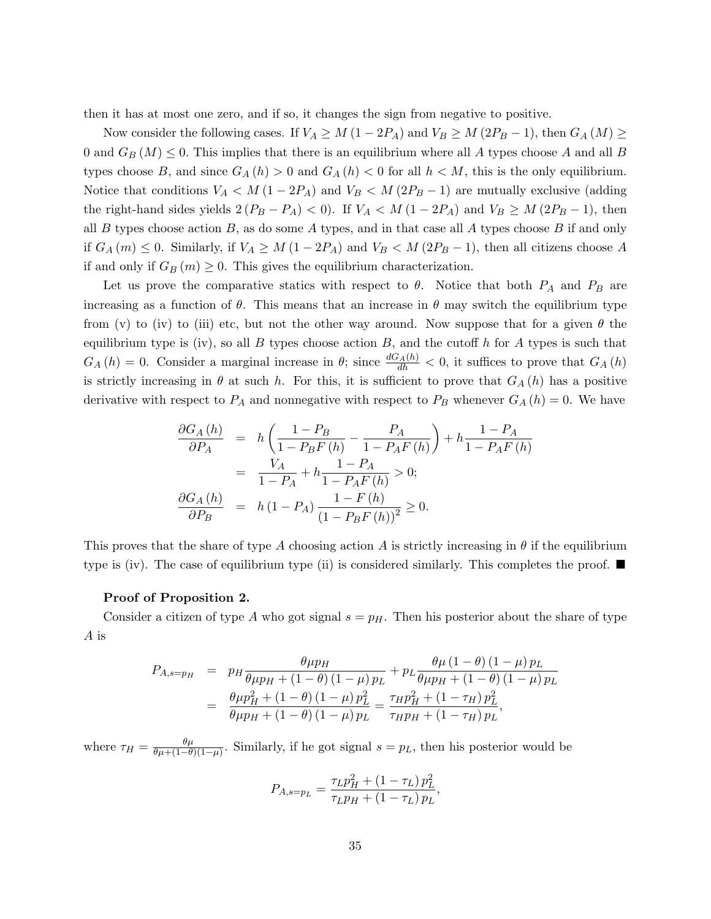then it has at most one zero, and if so, it changes the sign from negative to positive.

Now consider the following cases. If  $V_A \geq M(1 - 2P_A)$  and  $V_B \geq M(2P_B - 1)$ , then  $G_A(M) \geq$ 0 and  $G_B(M) \leq 0$ . This implies that there is an equilibrium where all A types choose A and all B types choose B, and since  $G_A(h) > 0$  and  $G_A(h) < 0$  for all  $h < M$ , this is the only equilibrium. Notice that conditions  $V_A < M (1 - 2P_A)$  and  $V_B < M (2P_B - 1)$  are mutually exclusive (adding the right-hand sides yields  $2(P_B - P_A) < 0$ . If  $V_A < M(1 - 2P_A)$  and  $V_B \ge M(2P_B - 1)$ , then all  $B$  types choose action  $B$ , as do some  $A$  types, and in that case all  $A$  types choose  $B$  if and only if  $G_A(m) \leq 0$ . Similarly, if  $V_A \geq M(1 - 2P_A)$  and  $V_B < M(2P_B - 1)$ , then all citizens choose A if and only if  $G_B(m) \geq 0$ . This gives the equilibrium characterization.

Let us prove the comparative statics with respect to  $\theta$ . Notice that both  $P_A$  and  $P_B$  are increasing as a function of  $\theta$ . This means that an increase in  $\theta$  may switch the equilibrium type from (v) to (iv) to (iii) etc, but not the other way around. Now suppose that for a given  $\theta$  the equilibrium type is (iv), so all B types choose action B, and the cutoff h for A types is such that  $G_A(h) = 0$ . Consider a marginal increase in  $\theta$ ; since  $\frac{dG_A(h)}{dh} < 0$ , it suffices to prove that  $G_A(h)$ is strictly increasing in  $\theta$  at such h. For this, it is sufficient to prove that  $G_A(h)$  has a positive derivative with respect to  $P_A$  and nonnegative with respect to  $P_B$  whenever  $G_A(h) = 0$ . We have

$$
\frac{\partial G_A(h)}{\partial P_A} = h \left( \frac{1 - P_B}{1 - P_B F(h)} - \frac{P_A}{1 - P_A F(h)} \right) + h \frac{1 - P_A}{1 - P_A F(h)}
$$
  
= 
$$
\frac{V_A}{1 - P_A} + h \frac{1 - P_A}{1 - P_A F(h)} > 0;
$$
  

$$
\frac{\partial G_A(h)}{\partial P_B} = h (1 - P_A) \frac{1 - F(h)}{(1 - P_B F(h))^2} \ge 0.
$$

This proves that the share of type A choosing action A is strictly increasing in  $\theta$  if the equilibrium type is (iv). The case of equilibrium type (ii) is considered similarly. This completes the proof.  $\blacksquare$ 

#### Proof of Proposition [2.](#page-9-0)

Consider a citizen of type A who got signal  $s = p<sub>H</sub>$ . Then his posterior about the share of type A is

$$
P_{A,s=p_H} = p_H \frac{\theta \mu p_H}{\theta \mu p_H + (1 - \theta) (1 - \mu) p_L} + p_L \frac{\theta \mu (1 - \theta) (1 - \mu) p_L}{\theta \mu p_H + (1 - \theta) (1 - \mu) p_L}
$$
  
= 
$$
\frac{\theta \mu p_H^2 + (1 - \theta) (1 - \mu) p_L^2}{\theta \mu p_H + (1 - \theta) (1 - \mu) p_L} = \frac{\tau_H p_H^2 + (1 - \tau_H) p_L^2}{\tau_H p_H + (1 - \tau_H) p_L},
$$

where  $\tau_H = \frac{\theta \mu}{\theta \mu + (1 - \theta)}$  $\frac{\theta\mu}{\theta\mu+(1-\theta)(1-\mu)}$ . Similarly, if he got signal  $s=p_L$ , then his posterior would be

$$
P_{A,s=p_L} = \frac{\tau_L p_H^2 + (1 - \tau_L) p_L^2}{\tau_L p_H + (1 - \tau_L) p_L},
$$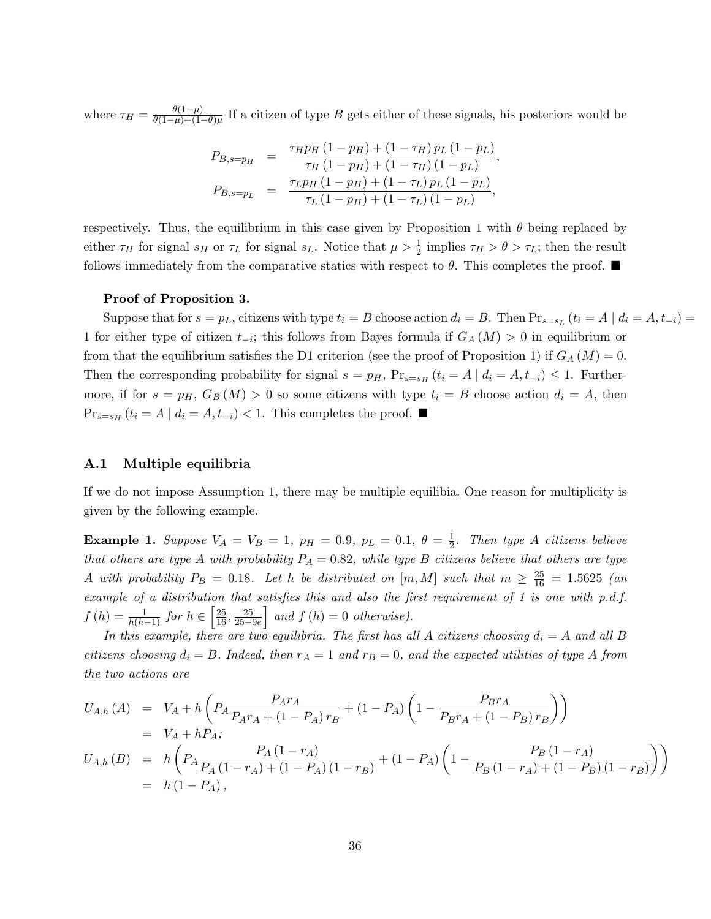where  $\tau_H = \frac{\theta(1-\mu)}{\theta(1-\mu)+(1-\mu)}$  $\frac{\theta(1-\mu)}{\theta(1-\mu)+(1-\theta)\mu}$  If a citizen of type B gets either of these signals, his posteriors would be

$$
P_{B,s=p_H} = \frac{\tau_H p_H (1 - p_H) + (1 - \tau_H) p_L (1 - p_L)}{\tau_H (1 - p_H) + (1 - \tau_H) (1 - p_L)},
$$
  
\n
$$
P_{B,s=p_L} = \frac{\tau_L p_H (1 - p_H) + (1 - \tau_L) p_L (1 - p_L)}{\tau_L (1 - p_H) + (1 - \tau_L) (1 - p_L)},
$$

respectively. Thus, the equilibrium in this case given by Proposition [1](#page-8-0) with  $\theta$  being replaced by either  $\tau_H$  for signal  $s_H$  or  $\tau_L$  for signal  $s_L$ . Notice that  $\mu > \frac{1}{2}$  implies  $\tau_H > \theta > \tau_L$ ; then the result follows immediately from the comparative statics with respect to  $\theta$ . This completes the proof.

#### Proof of Proposition [3.](#page-9-0)

Suppose that for  $s = p_L$ , citizens with type  $t_i = B$  choose action  $d_i = B$ . Then  $\Pr_{s=s_L} (t_i = A | d_i = A, t_{-i}) =$ 1 for either type of citizen  $t_{-i}$ ; this follows from Bayes formula if  $G_A(M) > 0$  in equilibrium or from that the equilibrium satisfies the D1 criterion (see the proof of Proposition [1\)](#page-8-0) if  $G_A(M) = 0$ . Then the corresponding probability for signal  $s = p_H$ ,  $Pr_{s=s_H} (t_i = A | d_i = A, t_{-i}) \leq 1$ . Furthermore, if for  $s = p_H$ ,  $G_B(M) > 0$  so some citizens with type  $t_i = B$  choose action  $d_i = A$ , then  $Pr_{s=s_H} (t_i = A | d_i = A, t_{-i}) < 1$ . This completes the proof. ■

#### A.1 Multiple equilibria

If we do not impose Assumption [1,](#page-8-1) there may be multiple equilibia. One reason for multiplicity is given by the following example.

<span id="page-36-0"></span>**Example 1.** Suppose  $V_A = V_B = 1$ ,  $p_H = 0.9$ ,  $p_L = 0.1$ ,  $\theta = \frac{1}{2}$  $\frac{1}{2}$ . Then type A citizens believe that others are type A with probability  $P_A = 0.82$ , while type B citizens believe that others are type A with probability  $P_B = 0.18$ . Let h be distributed on  $[m, M]$  such that  $m \ge \frac{25}{16} = 1.5625$  (and example of a distribution that satisfies this and also the first requirement of [1](#page-8-1) is one with p.d.f.  $f(h) = \frac{1}{h(h-1)}$  for  $h \in \left[\frac{25}{16}, \frac{25}{25-9e}\right]$  and  $f(h) = 0$  otherwise).

In this example, there are two equilibria. The first has all A citizens choosing  $d_i = A$  and all B citizens choosing  $d_i = B$ . Indeed, then  $r_A = 1$  and  $r_B = 0$ , and the expected utilities of type A from the two actions are

$$
U_{A,h}(A) = V_A + h \left( P_A \frac{P_A r_A}{P_A r_A + (1 - P_A) r_B} + (1 - P_A) \left( 1 - \frac{P_B r_A}{P_B r_A + (1 - P_B) r_B} \right) \right)
$$
  
=  $V_A + h P_A$ ;  

$$
U_{A,h}(B) = h \left( P_A \frac{P_A (1 - r_A)}{P_A (1 - r_A) + (1 - P_A) (1 - r_B)} + (1 - P_A) \left( 1 - \frac{P_B (1 - r_A)}{P_B (1 - r_A) + (1 - P_B) (1 - r_B)} \right) \right)
$$
  
=  $h (1 - P_A)$ ,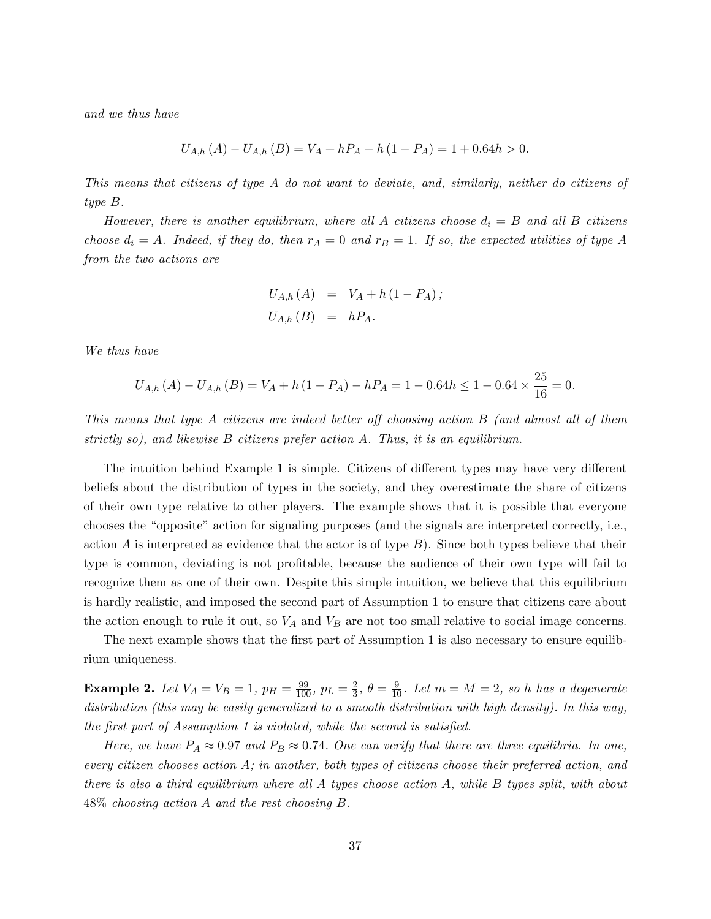and we thus have

$$
U_{A,h}(A) - U_{A,h}(B) = V_A + hP_A - h(1 - P_A) = 1 + 0.64h > 0.
$$

This means that citizens of type A do not want to deviate, and, similarly, neither do citizens of type B.

However, there is another equilibrium, where all A citizens choose  $d_i = B$  and all B citizens choose  $d_i = A$ . Indeed, if they do, then  $r_A = 0$  and  $r_B = 1$ . If so, the expected utilities of type A from the two actions are

$$
U_{A,h}(A) = V_A + h(1 - P_A);
$$
  

$$
U_{A,h}(B) = hP_A.
$$

We thus have

$$
U_{A,h}(A) - U_{A,h}(B) = V_A + h(1 - P_A) - hP_A = 1 - 0.64h \le 1 - 0.64 \times \frac{25}{16} = 0.
$$

This means that type A citizens are indeed better off choosing action B (and almost all of them strictly so), and likewise  $B$  citizens prefer action  $A$ . Thus, it is an equilibrium.

The intuition behind Example [1](#page-36-0) is simple. Citizens of different types may have very different beliefs about the distribution of types in the society, and they overestimate the share of citizens of their own type relative to other players. The example shows that it is possible that everyone chooses the "opposite" action for signaling purposes (and the signals are interpreted correctly, i.e., action A is interpreted as evidence that the actor is of type  $B$ ). Since both types believe that their type is common, deviating is not profitable, because the audience of their own type will fail to recognize them as one of their own. Despite this simple intuition, we believe that this equilibrium is hardly realistic, and imposed the second part of Assumption [1](#page-8-1) to ensure that citizens care about the action enough to rule it out, so  $V_A$  and  $V_B$  are not too small relative to social image concerns.

The next example shows that the first part of Assumption [1](#page-8-1) is also necessary to ensure equilibrium uniqueness.

**Example 2.** Let  $V_A = V_B = 1$ ,  $p_H = \frac{99}{100}$ ,  $p_L = \frac{2}{3}$  $\frac{2}{3}$ ,  $\theta = \frac{9}{10}$ . Let  $m = M = 2$ , so h has a degenerate distribution (this may be easily generalized to a smooth distribution with high density). In this way, the first part of Assumption [1](#page-8-1) is violated, while the second is satisfied.

Here, we have  $P_A \approx 0.97$  and  $P_B \approx 0.74$ . One can verify that there are three equilibria. In one, every citizen chooses action A; in another, both types of citizens choose their preferred action, and there is also a third equilibrium where all  $A$  types choose action  $A$ , while  $B$  types split, with about 48% choosing action A and the rest choosing B.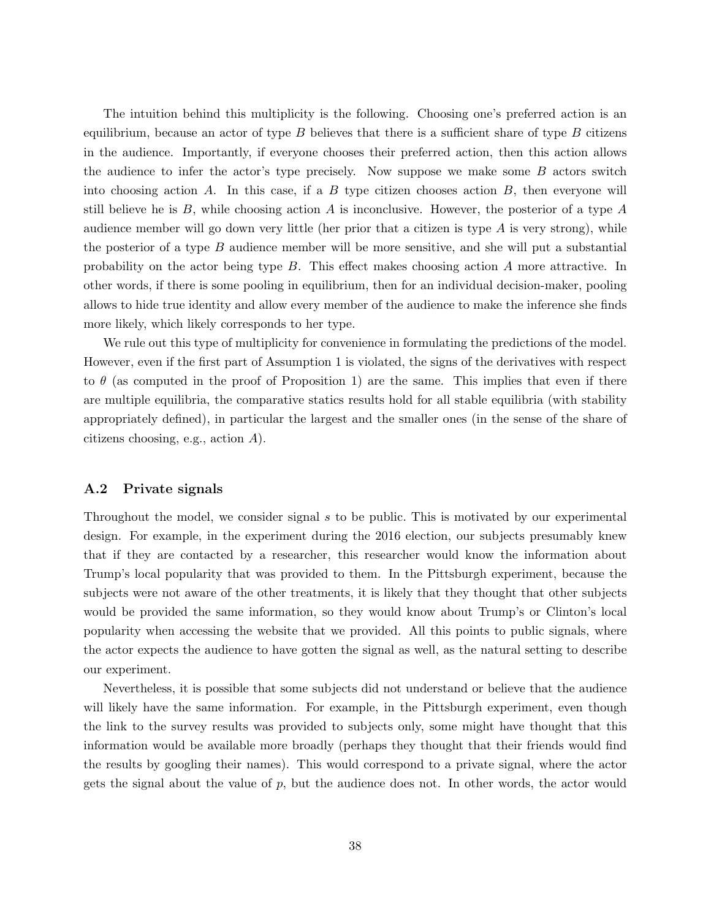The intuition behind this multiplicity is the following. Choosing one's preferred action is an equilibrium, because an actor of type  $B$  believes that there is a sufficient share of type  $B$  citizens in the audience. Importantly, if everyone chooses their preferred action, then this action allows the audience to infer the actor's type precisely. Now suppose we make some  $B$  actors switch into choosing action  $A$ . In this case, if a  $B$  type citizen chooses action  $B$ , then everyone will still believe he is  $B$ , while choosing action  $A$  is inconclusive. However, the posterior of a type  $A$ audience member will go down very little (her prior that a citizen is type  $A$  is very strong), while the posterior of a type  $B$  audience member will be more sensitive, and she will put a substantial probability on the actor being type B. This effect makes choosing action A more attractive. In other words, if there is some pooling in equilibrium, then for an individual decision-maker, pooling allows to hide true identity and allow every member of the audience to make the inference she finds more likely, which likely corresponds to her type.

We rule out this type of multiplicity for convenience in formulating the predictions of the model. However, even if the first part of Assumption [1](#page-8-1) is violated, the signs of the derivatives with respect to  $\theta$  (as computed in the proof of Proposition [1\)](#page-8-0) are the same. This implies that even if there are multiple equilibria, the comparative statics results hold for all stable equilibria (with stability appropriately defined), in particular the largest and the smaller ones (in the sense of the share of citizens choosing, e.g., action A).

#### A.2 Private signals

Throughout the model, we consider signal s to be public. This is motivated by our experimental design. For example, in the experiment during the 2016 election, our subjects presumably knew that if they are contacted by a researcher, this researcher would know the information about Trump's local popularity that was provided to them. In the Pittsburgh experiment, because the subjects were not aware of the other treatments, it is likely that they thought that other subjects would be provided the same information, so they would know about Trump's or Clinton's local popularity when accessing the website that we provided. All this points to public signals, where the actor expects the audience to have gotten the signal as well, as the natural setting to describe our experiment.

Nevertheless, it is possible that some subjects did not understand or believe that the audience will likely have the same information. For example, in the Pittsburgh experiment, even though the link to the survey results was provided to subjects only, some might have thought that this information would be available more broadly (perhaps they thought that their friends would find the results by googling their names). This would correspond to a private signal, where the actor gets the signal about the value of  $p$ , but the audience does not. In other words, the actor would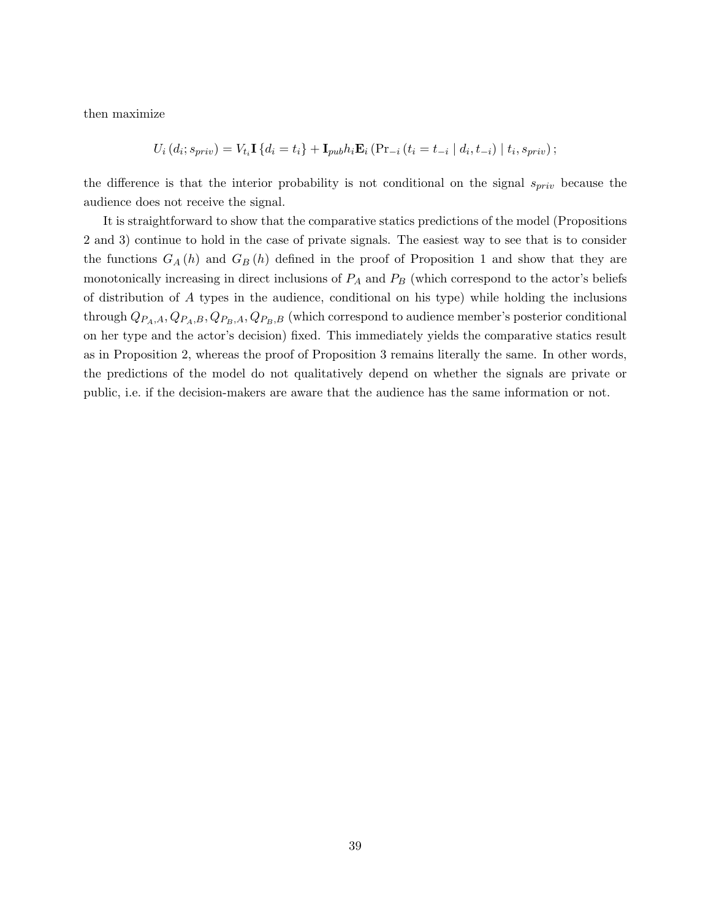then maximize

$$
U_i(d_i; s_{priv}) = V_{t_i} \mathbf{I} \{ d_i = t_i \} + \mathbf{I}_{pub} h_i \mathbf{E}_i \left( Pr_{-i} (t_i = t_{-i} | d_i, t_{-i}) | t_i, s_{priv} \right);
$$

the difference is that the interior probability is not conditional on the signal  $s_{priv}$  because the audience does not receive the signal.

It is straightforward to show that the comparative statics predictions of the model (Propositions [2](#page-9-1) and [3\)](#page-9-0) continue to hold in the case of private signals. The easiest way to see that is to consider the functions  $G_A(h)$  and  $G_B(h)$  defined in the proof of Proposition [1](#page-8-0) and show that they are monotonically increasing in direct inclusions of  $P_A$  and  $P_B$  (which correspond to the actor's beliefs of distribution of A types in the audience, conditional on his type) while holding the inclusions through  $Q_{P_A,A}, Q_{P_A,B}, Q_{P_B,A}, Q_{P_B,B}$  (which correspond to audience member's posterior conditional on her type and the actor's decision) fixed. This immediately yields the comparative statics result as in Proposition [2,](#page-9-1) whereas the proof of Proposition [3](#page-9-0) remains literally the same. In other words, the predictions of the model do not qualitatively depend on whether the signals are private or public, i.e. if the decision-makers are aware that the audience has the same information or not.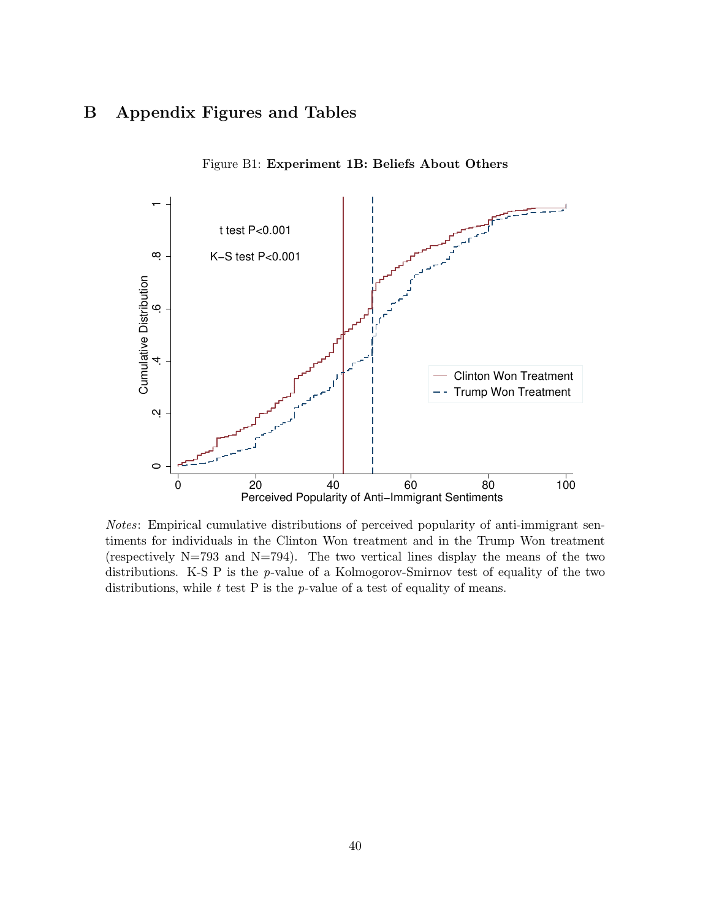# B Appendix Figures and Tables



Figure B1: Experiment 1B: Beliefs About Others

Notes: Empirical cumulative distributions of perceived popularity of anti-immigrant sentiments for individuals in the Clinton Won treatment and in the Trump Won treatment (respectively  $N=793$  and  $N=794$ ). The two vertical lines display the means of the two distributions. K-S P is the p-value of a Kolmogorov-Smirnov test of equality of the two distributions, while  $t$  test  $P$  is the  $p$ -value of a test of equality of means.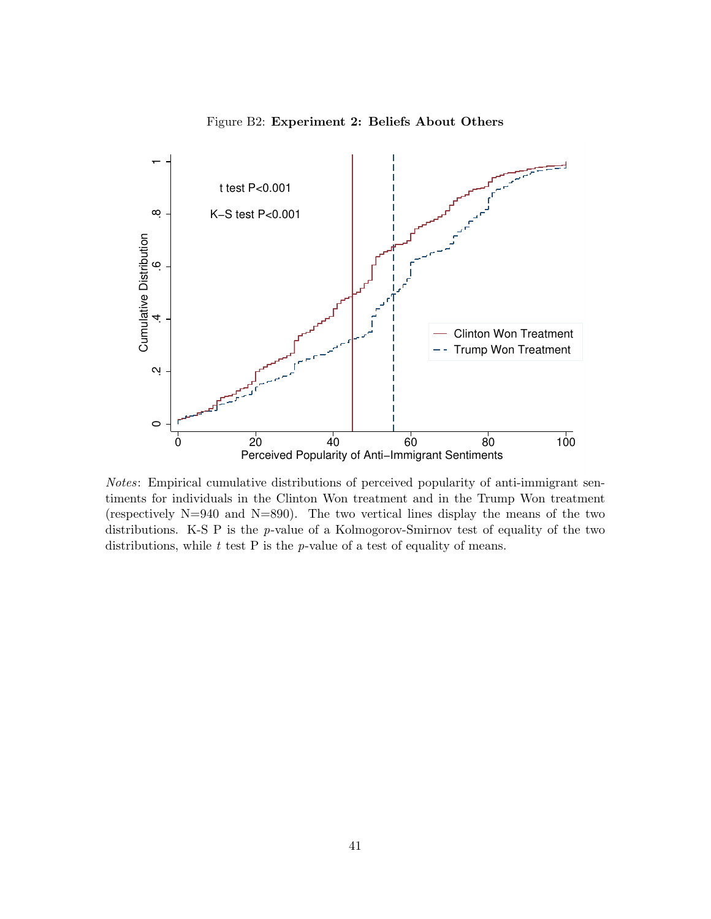

Figure B2: Experiment 2: Beliefs About Others

Notes: Empirical cumulative distributions of perceived popularity of anti-immigrant sentiments for individuals in the Clinton Won treatment and in the Trump Won treatment (respectively N=940 and N=890). The two vertical lines display the means of the two distributions. K-S P is the p-value of a Kolmogorov-Smirnov test of equality of the two distributions, while  $t$  test  $P$  is the  $p$ -value of a test of equality of means.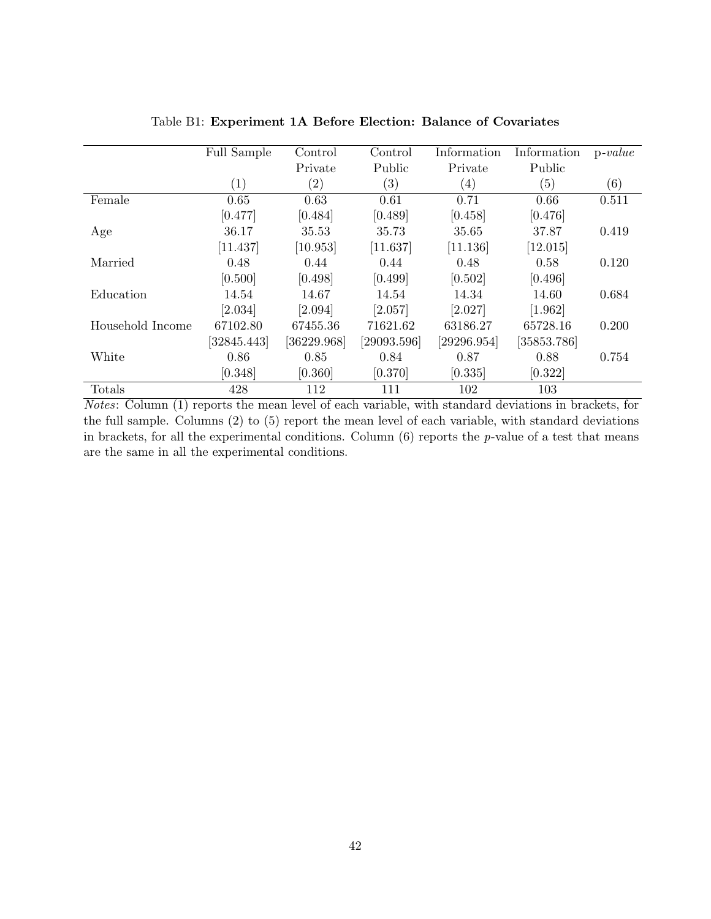|                  | <b>Full Sample</b> | Control           | Control           | Information       | Information           | $p-value$ |
|------------------|--------------------|-------------------|-------------------|-------------------|-----------------------|-----------|
|                  |                    | Private           | Public            | Private           | Public                |           |
|                  | $\left( 1\right)$  | $\left( 2\right)$ | $\left( 3\right)$ | $\left( 4\right)$ | (5)                   | (6)       |
| Female           | 0.65               | 0.63              | 0.61              | 0.71              | 0.66                  | 0.511     |
|                  | [0.477]            | [0.484]           | [0.489]           | [0.458]           | [0.476]               |           |
| Age              | 36.17              | 35.53             | 35.73             | 35.65             | 37.87                 | 0.419     |
|                  | [11.437]           | [10.953]          | [11.637]          | [11.136]          | $\left[12.015\right]$ |           |
| Married          | 0.48               | 0.44              | 0.44              | 0.48              | 0.58                  | 0.120     |
|                  | [0.500]            | [0.498]           | [0.499]           | [0.502]           | [0.496]               |           |
| Education        | 14.54              | 14.67             | 14.54             | 14.34             | 14.60                 | 0.684     |
|                  | [2.034]            | [2.094]           | [2.057]           | [2.027]           | [1.962]               |           |
| Household Income | 67102.80           | 67455.36          | 71621.62          | 63186.27          | 65728.16              | 0.200     |
|                  | [32845.443]        | [36229.968]       | [29093.596]       | [29296.954]       | [35853.786]           |           |
| White            | 0.86               | 0.85              | 0.84              | 0.87              | 0.88                  | 0.754     |
|                  | [0.348]            | [0.360]           | [0.370]           | [0.335]           | [0.322]               |           |
| Totals           | 428                | 112               | 111               | 102               | 103                   |           |

Table B1: Experiment 1A Before Election: Balance of Covariates

Notes: Column (1) reports the mean level of each variable, with standard deviations in brackets, for the full sample. Columns (2) to (5) report the mean level of each variable, with standard deviations in brackets, for all the experimental conditions. Column  $(6)$  reports the p-value of a test that means are the same in all the experimental conditions.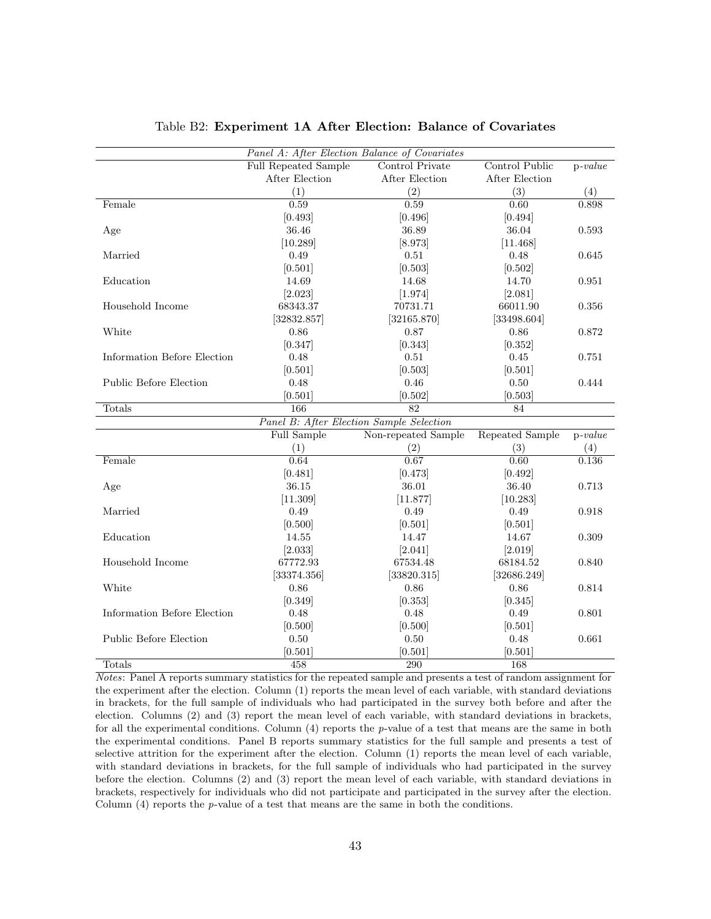|                               | Panel A: After Election Balance of Covariates |                     |                        |           |
|-------------------------------|-----------------------------------------------|---------------------|------------------------|-----------|
|                               | <b>Full Repeated Sample</b>                   | Control Private     | Control Public         | $p-value$ |
|                               | After Election                                | After Election      | After Election         |           |
|                               | (1)                                           | (2)                 | (3)                    | (4)       |
| Female                        | 0.59                                          | 0.59                | $\overline{0.60}$      | 0.898     |
|                               | [0.493]                                       | [0.496]             | [0.494]                |           |
| Age                           | 36.46                                         | 36.89               | 36.04                  | 0.593     |
|                               | [10.289]                                      | [8.973]             | [11.468]               |           |
| Married                       | 0.49                                          | 0.51                | 0.48                   | 0.645     |
|                               | [0.501]                                       | [0.503]             | [0.502]                |           |
| Education                     | 14.69                                         | 14.68               | 14.70                  | 0.951     |
|                               | [2.023]                                       | [1.974]             | [2.081]                |           |
| Household Income              | 68343.37                                      | 70731.71            | 66011.90               | 0.356     |
|                               | [32832.857]                                   | [32165.870]         | [33498.604]            |           |
| White                         | 0.86                                          | 0.87                | 0.86                   | 0.872     |
|                               | [0.347]                                       | [0.343]             | [0.352]                |           |
| Information Before Election   | 0.48                                          | 0.51                | 0.45                   | 0.751     |
|                               | [0.501]                                       | [0.503]             | [0.501]                |           |
| <b>Public Before Election</b> | 0.48                                          | 0.46                | 0.50                   | 0.444     |
|                               | [0.501]                                       | [0.502]             | [0.503]                |           |
| Totals                        | 166                                           | $\overline{82}$     | 84                     |           |
|                               | Panel B: After Election Sample Selection      |                     |                        |           |
|                               | Full Sample                                   | Non-repeated Sample | <b>Repeated Sample</b> | $p-value$ |
|                               | (1)                                           | (2)                 | (3)                    | (4)       |
| Female                        | 0.64                                          | 0.67                | 0.60                   | 0.136     |
|                               | [0.481]                                       | [0.473]             | [0.492]                |           |
| Age                           | 36.15                                         | 36.01               | 36.40                  | 0.713     |
|                               | [11.309]                                      | [11.877]            | [10.283]               |           |
| Married                       | 0.49                                          | 0.49                | 0.49                   | 0.918     |
|                               | [0.500]                                       | [0.501]             | [0.501]                |           |
| Education                     | 14.55                                         | 14.47               | 14.67                  | 0.309     |
|                               | [2.033]                                       | [2.041]             | [2.019]                |           |
| Household Income              | 67772.93                                      | 67534.48            | 68184.52               | 0.840     |
|                               | [33374.356]                                   | [33820.315]         | [32686.249]            |           |
| White                         | 0.86                                          | 0.86                | 0.86                   | 0.814     |
|                               | [0.349]                                       | [0.353]             | [0.345]                |           |
| Information Before Election   | 0.48                                          | 0.48                | 0.49                   | 0.801     |
|                               | [0.500]                                       | [0.500]             | [0.501]                |           |
| Public Before Election        | 0.50                                          | $0.50\,$            | 0.48                   | 0.661     |
|                               | [0.501]                                       | [0.501]             | [0.501]                |           |
| Totals                        | 458                                           | 290                 | 168                    |           |

#### Table B2: Experiment 1A After Election: Balance of Covariates

Notes: Panel A reports summary statistics for the repeated sample and presents a test of random assignment for the experiment after the election. Column (1) reports the mean level of each variable, with standard deviations in brackets, for the full sample of individuals who had participated in the survey both before and after the election. Columns (2) and (3) report the mean level of each variable, with standard deviations in brackets, for all the experimental conditions. Column  $(4)$  reports the p-value of a test that means are the same in both the experimental conditions. Panel B reports summary statistics for the full sample and presents a test of selective attrition for the experiment after the election. Column (1) reports the mean level of each variable, with standard deviations in brackets, for the full sample of individuals who had participated in the survey before the election. Columns (2) and (3) report the mean level of each variable, with standard deviations in brackets, respectively for individuals who did not participate and participated in the survey after the election. Column  $(4)$  reports the p-value of a test that means are the same in both the conditions.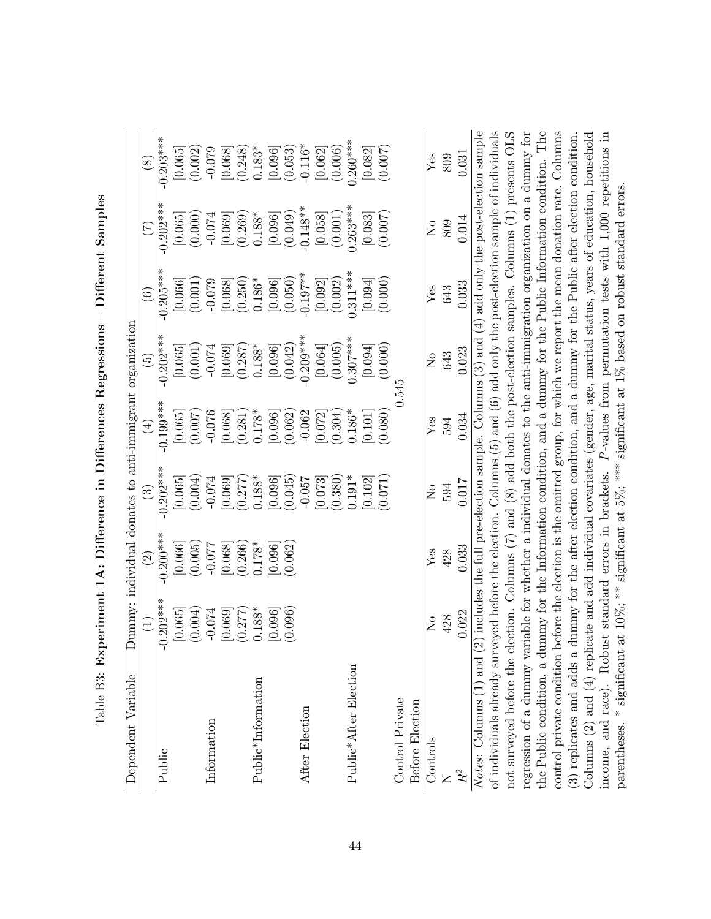| Dependent Variable                                                                                                                                                                                                             |                    |                      |                          |                    | Dummy: individual donates to anti-immigrant organization                                             |                       |                                  |                    |
|--------------------------------------------------------------------------------------------------------------------------------------------------------------------------------------------------------------------------------|--------------------|----------------------|--------------------------|--------------------|------------------------------------------------------------------------------------------------------|-----------------------|----------------------------------|--------------------|
|                                                                                                                                                                                                                                |                    | $\widetilde{\Omega}$ | $\widehat{\mathfrak{S}}$ | $\widehat{\pm}$    | $\widetilde{\mathbb{G}}$                                                                             | $\widehat{6})$        | E                                | $\circledS$        |
| Public                                                                                                                                                                                                                         | $-0.202***$        | $-0.200***$          | $-0.202***$              | $-0.199***$        | $-0.202***$                                                                                          | $-0.205***$           | $-0.202***$                      | $-0.203***$        |
|                                                                                                                                                                                                                                | (0.004)<br>[0.065] | [0.066]<br>(0.005)   | (0.004)<br>[0.065]       | [0.065]<br>(0.007) | (0.001)<br>[0.065]                                                                                   | [0.066]<br>(0.001)    | (0.000)<br>[0.065]               | (0.002)<br>[0.065] |
| Information                                                                                                                                                                                                                    | $-0.074$           | -0.077               | $-0.074$                 | $-0.076$           | $-0.074$                                                                                             | $-0.079$              | $-0.074$                         | $-0.079$           |
|                                                                                                                                                                                                                                | [0.069]            | [0.068]              | [0.069]                  | [0.068]            | [0.069]                                                                                              | [0.068]               | $[0.069]$<br>$(0.269)$           | [0.068]            |
|                                                                                                                                                                                                                                | (0.277)            | (0.266)              | (0.277)                  | (0.281)            | (0.287)                                                                                              | (0.250)               |                                  | (0.248)            |
| Public*Information                                                                                                                                                                                                             | $0.188*$           | $0.178*$             | $0.188*$                 | $0.178*$           | $0.188*$                                                                                             | $0.186^{\ast}$        | $0.188*$                         | $0.183*$           |
|                                                                                                                                                                                                                                | [0.096]            | [0.096]              | [0.096]                  | [0.096]            | [0.096]                                                                                              | $\left[ 0.096\right]$ | $[0.096]$<br>$(0.049)$           | [0.096]            |
|                                                                                                                                                                                                                                | (0.096)            | (0.062)              | (0.045)                  | (0.062)            | (0.042)                                                                                              | (0.050)               |                                  | (0.053)            |
| After Election                                                                                                                                                                                                                 |                    |                      | $-0.057$                 | $-0.062$           | $-0.209***$                                                                                          | $-0.197**$            | $-0.148**$                       | $-0.116*$          |
|                                                                                                                                                                                                                                |                    |                      | [0.073]                  | [0.072]            | [0.064]                                                                                              | [0.092]               | [0.058]                          | [0.062]            |
|                                                                                                                                                                                                                                |                    |                      | (0.380)                  | (0.304)            | (0.005)                                                                                              | (0.002)               |                                  | (0.006)            |
| Public*After Election                                                                                                                                                                                                          |                    |                      | $0.191*$                 | $0.186*$           | $0.307***$                                                                                           | $0.311***$            | $(0.001)$<br>0.263***            | $0.260***$         |
|                                                                                                                                                                                                                                |                    |                      | [0.102]                  | [0.101]            | [0.094]                                                                                              | [0.094]               | $\left[0.083\right]$             | [0.082]            |
|                                                                                                                                                                                                                                |                    |                      | (0.071)                  | (0.080)            | (0.000)                                                                                              | (0.000)               | (0.007)                          | (0.007)            |
| Control Private                                                                                                                                                                                                                |                    |                      |                          |                    | 0.545                                                                                                |                       |                                  |                    |
| Before Election                                                                                                                                                                                                                |                    |                      |                          |                    |                                                                                                      |                       |                                  |                    |
| Controls                                                                                                                                                                                                                       | $\overline{S}$     | Yes                  | $\tilde{\mathsf{z}}$     | Yes                | $\rm \stackrel{\circ}{X}$                                                                            | Yes                   | $\mathop{\Sigma}\limits^{\circ}$ | Yes                |
|                                                                                                                                                                                                                                | 428                | 428                  | 594                      | 594                | 643                                                                                                  | 643                   | 809                              | 809                |
| R <sup>2</sup>                                                                                                                                                                                                                 | 0.022              | 0.033                | 0.017                    | 0.034              | 0.023                                                                                                | 0.033                 | 0.014                            | 0.031              |
| Notes: Columns (1) and                                                                                                                                                                                                         |                    |                      |                          |                    | (2) includes the full pre-election sample. Columns $(3)$ and $(4)$ add only the post-election sample |                       |                                  |                    |
| of individuals already surveyed before the election. Columns (5) and (6) add only the post-election sample of individuals                                                                                                      |                    |                      |                          |                    |                                                                                                      |                       |                                  |                    |
| not surveyed before the                                                                                                                                                                                                        |                    |                      |                          |                    | election. Columns (7) and (8) add both the post-election samples. Columns (1) presents OLS           |                       |                                  |                    |
| regression of a dummy variable for whether a individual donates to the anti-immigration organization on a dummy for                                                                                                            |                    |                      |                          |                    |                                                                                                      |                       |                                  |                    |
| the Public condition, a dummy for the Information condition, and a dummy for the Public Information condition. The                                                                                                             |                    |                      |                          |                    |                                                                                                      |                       |                                  |                    |
| control private condition                                                                                                                                                                                                      |                    |                      |                          |                    | before the election is the omitted group, for which we report the mean donation rate. Columns        |                       |                                  |                    |
| (3) replicates and adds a dummy for the after election condition, and a dummy for the Public after election condition.                                                                                                         |                    |                      |                          |                    |                                                                                                      |                       |                                  |                    |
| Columns $(2)$ and $(4)$ replicate and add individual covariates (gender, age, marital status, years of education, household income, and race). Robust standard errors in brackets. $P$ -values from permutation tests with 1,0 |                    |                      |                          |                    |                                                                                                      |                       |                                  |                    |
| parentheses. * significant at 10%; ** significant at 5%; *** significant at 1% based on robust standard errors.                                                                                                                |                    |                      |                          |                    |                                                                                                      |                       |                                  |                    |

| י<br>؟<br>أ                                                                                     |
|-------------------------------------------------------------------------------------------------|
| l<br>くくしくしてく                                                                                    |
| ֦֦֧֦֧֦֦֦֦֖֚֚֚֚֚֚֚֝֝֝֬֝֬֝֬֝֝֬֝֝֬֝֓֝֬֝֝֝֝֝<br>֧֖֖֚֚֚֚֚֚֚֚֚֚֚֚֜֝<br>I<br>l<br>$\Gamma: \mathbf{f}$ |
| $\frac{8}{1}$                                                                                   |
| :<br>;<br>;                                                                                     |
| $\frac{1}{2}$<br>$\overline{a}$<br>į<br>E<br>I                                                  |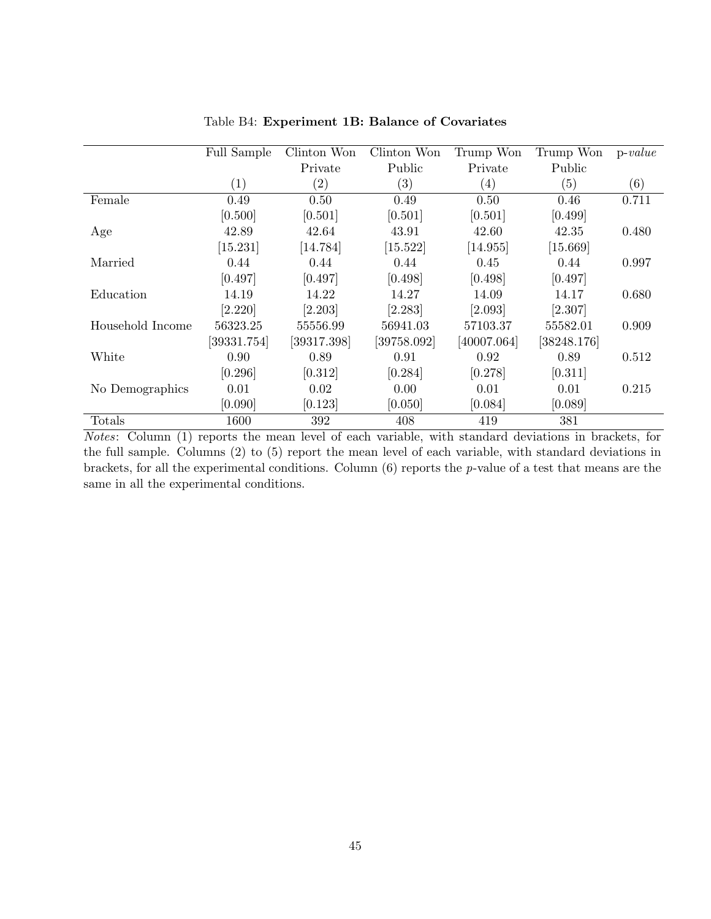|                  | Full Sample | Clinton Won       | Clinton Won       | Trump Won         | Trump Won   | $p-value$ |
|------------------|-------------|-------------------|-------------------|-------------------|-------------|-----------|
|                  |             | Private           | Public            | Private           | Public      |           |
|                  | (1)         | $\left( 2\right)$ | $\left( 3\right)$ | $\left( 4\right)$ | (5)         | (6)       |
| Female           | 0.49        | 0.50              | 0.49              | 0.50              | 0.46        | 0.711     |
|                  | [0.500]     | [0.501]           | [0.501]           | [0.501]           | [0.499]     |           |
| Age              | 42.89       | 42.64             | 43.91             | 42.60             | 42.35       | 0.480     |
|                  | [15.231]    | [14.784]          | [15.522]          | [14.955]          | [15.669]    |           |
| Married          | 0.44        | 0.44              | 0.44              | 0.45              | 0.44        | 0.997     |
|                  | [0.497]     | [0.497]           | [0.498]           | [0.498]           | [0.497]     |           |
| Education        | 14.19       | 14.22             | 14.27             | 14.09             | 14.17       | 0.680     |
|                  | [2.220]     | [2.203]           | [2.283]           | [2.093]           | [2.307]     |           |
| Household Income | 56323.25    | 55556.99          | 56941.03          | 57103.37          | 55582.01    | 0.909     |
|                  | [39331.754] | [39317.398]       | [39758.092]       | [40007.064]       | [38248.176] |           |
| White            | 0.90        | 0.89              | 0.91              | 0.92              | 0.89        | 0.512     |
|                  | [0.296]     | [0.312]           | [0.284]           | [0.278]           | [0.311]     |           |
| No Demographics  | 0.01        | 0.02              | 0.00              | 0.01              | 0.01        | 0.215     |
|                  | [0.090]     | [0.123]           | [0.050]           | [0.084]           | [0.089]     |           |
| Totals           | 1600        | 392               | 408               | 419               | 381         |           |

Table B4: Experiment 1B: Balance of Covariates

Notes: Column (1) reports the mean level of each variable, with standard deviations in brackets, for the full sample. Columns (2) to (5) report the mean level of each variable, with standard deviations in brackets, for all the experimental conditions. Column (6) reports the p-value of a test that means are the same in all the experimental conditions.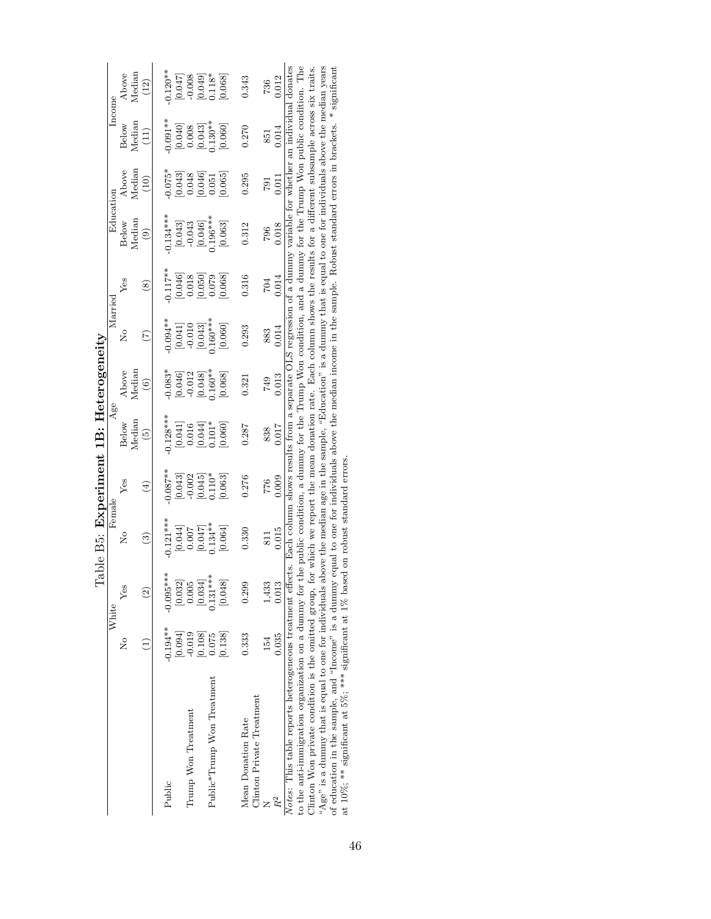|                                        | Income<br>Education | Above<br>Below<br>Above<br>Below | Median<br>Median<br>Median<br>Median | $\left(12\right)$<br>(11)<br>(10)<br>$\circledcirc$ | $0.120**$<br>$0.091***$<br>$-0.075*$<br>$0.134***$ | $\begin{array}{c} [0.043] \\ 0.048 \\ 0.046] \\ 0.051 \end{array}$      |                                                | $[0.047]$<br>$-0.008$<br>$[0.049]$<br>$0.118*$<br>$\begin{bmatrix} 0.040 \\ 0.008 \\ 0.043 \\ 0.130^{**} \end{bmatrix}$<br>$\begin{bmatrix} 0.043 \\ -0.043 \\ 0.046 \\ 0.046 \\ \end{bmatrix}$ |                            | [0.068]<br>[0.060]<br>[0.065]<br>[0.063] | 0.343<br>0.270<br>0.295<br>0.312 |                           | 736<br>851<br>L64<br>796 | 0.012<br>0.014<br>0.011<br>0.018 | Notes: This table reports heterogeneous treatment effects. Each column shows results from a separate OLS regression of a dummy variable for whether an individual donates | to the anti-immigration organization on a dummy for the public condition, a dummy for the Trump Won condition, and a dummy for the Trump Won public condition. The | Clinton Won private condition is the omitted group, for which we report the mean donation rate. Each column shows the results for a different subsample across six traits. | "Age" is a dummy that is equal to one for individuals above the median age in the sample, "Education" is a dummy that is equal to one for individuals above the median years | of education in the sample, and "Income" is a dummy equal to one for individuals above the median income in the sample. Robust standard errors in brackets. * significant |                                                                                          |  |
|----------------------------------------|---------------------|----------------------------------|--------------------------------------|-----------------------------------------------------|----------------------------------------------------|-------------------------------------------------------------------------|------------------------------------------------|-------------------------------------------------------------------------------------------------------------------------------------------------------------------------------------------------|----------------------------|------------------------------------------|----------------------------------|---------------------------|--------------------------|----------------------------------|---------------------------------------------------------------------------------------------------------------------------------------------------------------------------|--------------------------------------------------------------------------------------------------------------------------------------------------------------------|----------------------------------------------------------------------------------------------------------------------------------------------------------------------------|------------------------------------------------------------------------------------------------------------------------------------------------------------------------------|---------------------------------------------------------------------------------------------------------------------------------------------------------------------------|------------------------------------------------------------------------------------------|--|
|                                        |                     | Ýes                              |                                      | $\widehat{\mathbf{S}}$                              | $0.117**$                                          | $[0.046]$<br>$0.018$                                                    |                                                | $[0.050]$<br>0.079                                                                                                                                                                              |                            | [0.068]                                  | 0.316                            |                           | 704                      | 0.014                            |                                                                                                                                                                           |                                                                                                                                                                    |                                                                                                                                                                            |                                                                                                                                                                              |                                                                                                                                                                           |                                                                                          |  |
|                                        | Married             | å                                |                                      | E                                                   | $-0.094**$                                         | [0.041]                                                                 |                                                | $[0.043]$<br>$0.160***$                                                                                                                                                                         |                            | [0.060]                                  | 0.293                            |                           | 883                      | 0.014                            |                                                                                                                                                                           |                                                                                                                                                                    |                                                                                                                                                                            |                                                                                                                                                                              |                                                                                                                                                                           |                                                                                          |  |
|                                        |                     | Above                            | Median                               | $\odot$                                             | $-0.083*$                                          | $\begin{bmatrix} 0.046 \\ -0.012 \\ 0.048 \\ 1.160^{***} \end{bmatrix}$ |                                                |                                                                                                                                                                                                 |                            | [0.068]                                  | 0.321                            |                           | 749                      | 0.013                            |                                                                                                                                                                           |                                                                                                                                                                    |                                                                                                                                                                            |                                                                                                                                                                              |                                                                                                                                                                           |                                                                                          |  |
|                                        | Age                 | Below                            | Median                               | $\widetilde{5}$                                     | $0.128***$                                         |                                                                         | $\begin{bmatrix} 0.041 \\ 0.016 \end{bmatrix}$ | $[0.044]$<br>$0.101*$                                                                                                                                                                           |                            | [0.060]                                  | 0.287                            |                           | 838                      | 0.017                            |                                                                                                                                                                           |                                                                                                                                                                    |                                                                                                                                                                            |                                                                                                                                                                              |                                                                                                                                                                           |                                                                                          |  |
|                                        |                     | Yes                              |                                      | $\left( 4\right)$                                   | $0.087**$                                          | [0.043]                                                                 |                                                | $[0.045]$<br>$0.110*$                                                                                                                                                                           |                            | [0.063]                                  | 0.276                            |                           | 776                      | 0.009                            |                                                                                                                                                                           |                                                                                                                                                                    |                                                                                                                                                                            |                                                                                                                                                                              |                                                                                                                                                                           |                                                                                          |  |
| Table B5: Experiment 1B: Heterogeneity | Female              | Σò                               |                                      | ි                                                   | $0.121***$                                         |                                                                         |                                                | $\begin{array}{c} [0.044] \\ 0.007 \\ [0.047] \\ 0.047] \\ 0.134^{**} \end{array}$                                                                                                              |                            | [0.064]                                  | 0.330                            |                           | 811                      | 0.015                            |                                                                                                                                                                           |                                                                                                                                                                    |                                                                                                                                                                            |                                                                                                                                                                              |                                                                                                                                                                           |                                                                                          |  |
|                                        |                     | Ýes                              |                                      | $\widehat{\mathbb{C}}$                              | $-0.095***$                                        | [0.032]                                                                 | 0.005                                          | [0.034]                                                                                                                                                                                         | $0.131***$                 | [0.048]                                  | 0.299                            |                           | 1,433                    | 0.013                            |                                                                                                                                                                           |                                                                                                                                                                    |                                                                                                                                                                            |                                                                                                                                                                              |                                                                                                                                                                           |                                                                                          |  |
|                                        | White               | ž                                |                                      |                                                     | $-0.194***$                                        | [0.094]                                                                 | $-0.019$                                       | $\begin{bmatrix} 0.108 \\ 0.075 \end{bmatrix}$                                                                                                                                                  |                            | 0.138                                    | 0.333                            |                           | 154                      | 0.035                            |                                                                                                                                                                           |                                                                                                                                                                    |                                                                                                                                                                            |                                                                                                                                                                              |                                                                                                                                                                           |                                                                                          |  |
|                                        |                     |                                  |                                      |                                                     | Public                                             |                                                                         | Trump Won Treatment                            |                                                                                                                                                                                                 | Public*Trump Won Treatment |                                          | Mean Donation Rate               | Clinton Private Treatment |                          |                                  |                                                                                                                                                                           |                                                                                                                                                                    |                                                                                                                                                                            |                                                                                                                                                                              |                                                                                                                                                                           | at $10\%$ ; ** significant at 5%; *** significant at 1% based on robust standard errors. |  |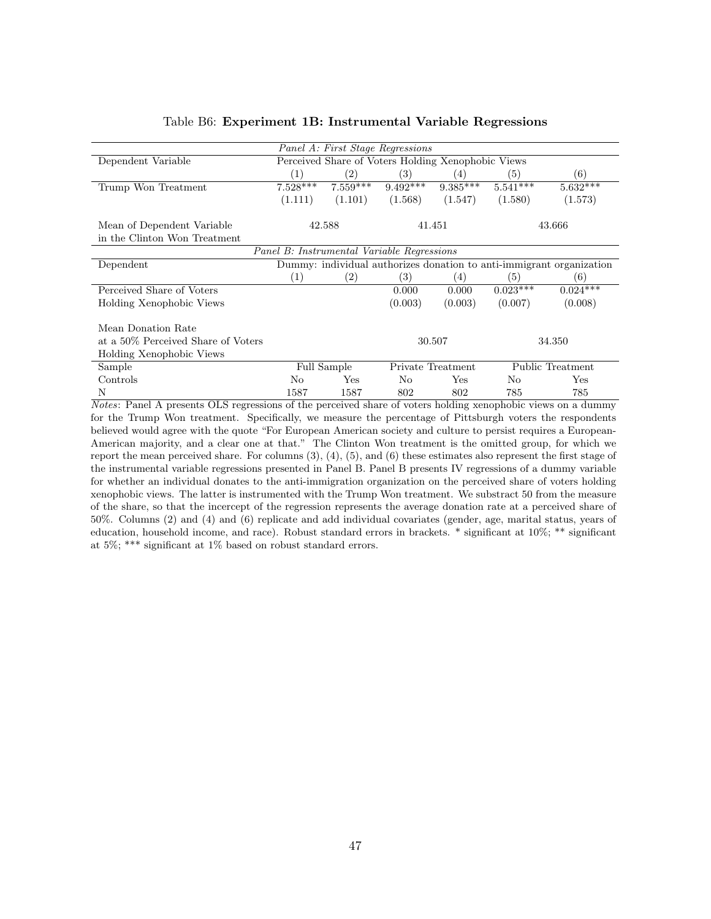| Table B6: Experiment 1B: Instrumental Variable Regressions |  |  |  |  |
|------------------------------------------------------------|--|--|--|--|
|------------------------------------------------------------|--|--|--|--|

|                                            |                   | Panel A: First Stage Regressions                   |            |                   |            |                                                                      |  |  |  |  |
|--------------------------------------------|-------------------|----------------------------------------------------|------------|-------------------|------------|----------------------------------------------------------------------|--|--|--|--|
| Dependent Variable                         |                   | Perceived Share of Voters Holding Xenophobic Views |            |                   |            |                                                                      |  |  |  |  |
|                                            | (1)               | $\left( 2\right)$                                  | (3)        | (4)               | (5)        | (6)                                                                  |  |  |  |  |
| Trump Won Treatment                        | $7.528***$        | $7.559***$                                         | $9.492***$ | $9.385***$        | $5.541***$ | $5.\overline{632***}$                                                |  |  |  |  |
|                                            | (1.111)           | (1.101)                                            | (1.568)    | (1.547)           | (1.580)    | (1.573)                                                              |  |  |  |  |
| Mean of Dependent Variable                 |                   | 42.588                                             |            | 41.451            |            | 43.666                                                               |  |  |  |  |
| in the Clinton Won Treatment               |                   |                                                    |            |                   |            |                                                                      |  |  |  |  |
| Panel B: Instrumental Variable Regressions |                   |                                                    |            |                   |            |                                                                      |  |  |  |  |
| Dependent                                  |                   |                                                    |            |                   |            | Dummy: individual authorizes donation to anti-immigrant organization |  |  |  |  |
|                                            | $\left( 1\right)$ | $\left( 2\right)$                                  | (3)        | $\left( 4\right)$ | (5)        | (6)                                                                  |  |  |  |  |
| Perceived Share of Voters                  |                   |                                                    | 0.000      | 0.000             | $0.023***$ | $0.024***$                                                           |  |  |  |  |
| Holding Xenophobic Views                   |                   |                                                    | (0.003)    | (0.003)           | (0.007)    | (0.008)                                                              |  |  |  |  |
| Mean Donation Rate                         |                   |                                                    |            |                   |            |                                                                      |  |  |  |  |
| at a 50% Perceived Share of Voters         |                   |                                                    |            | 30.507            |            | 34.350                                                               |  |  |  |  |
| Holding Xenophobic Views                   |                   |                                                    |            |                   |            |                                                                      |  |  |  |  |
| Sample                                     |                   | Full Sample                                        |            | Private Treatment |            | Public Treatment                                                     |  |  |  |  |
| Controls                                   | No                | Yes                                                | No.        | Yes               | No.        | Yes                                                                  |  |  |  |  |
| N                                          | 1587              | 1587                                               | 802        | 802               | 785        | 785                                                                  |  |  |  |  |

Notes: Panel A presents OLS regressions of the perceived share of voters holding xenophobic views on a dummy for the Trump Won treatment. Specifically, we measure the percentage of Pittsburgh voters the respondents believed would agree with the quote "For European American society and culture to persist requires a European-American majority, and a clear one at that." The Clinton Won treatment is the omitted group, for which we report the mean perceived share. For columns (3), (4), (5), and (6) these estimates also represent the first stage of the instrumental variable regressions presented in Panel B. Panel B presents IV regressions of a dummy variable for whether an individual donates to the anti-immigration organization on the perceived share of voters holding xenophobic views. The latter is instrumented with the Trump Won treatment. We substract 50 from the measure of the share, so that the incercept of the regression represents the average donation rate at a perceived share of 50%. Columns (2) and (4) and (6) replicate and add individual covariates (gender, age, marital status, years of education, household income, and race). Robust standard errors in brackets. \* significant at 10%; \*\* significant at 5%; \*\*\* significant at 1% based on robust standard errors.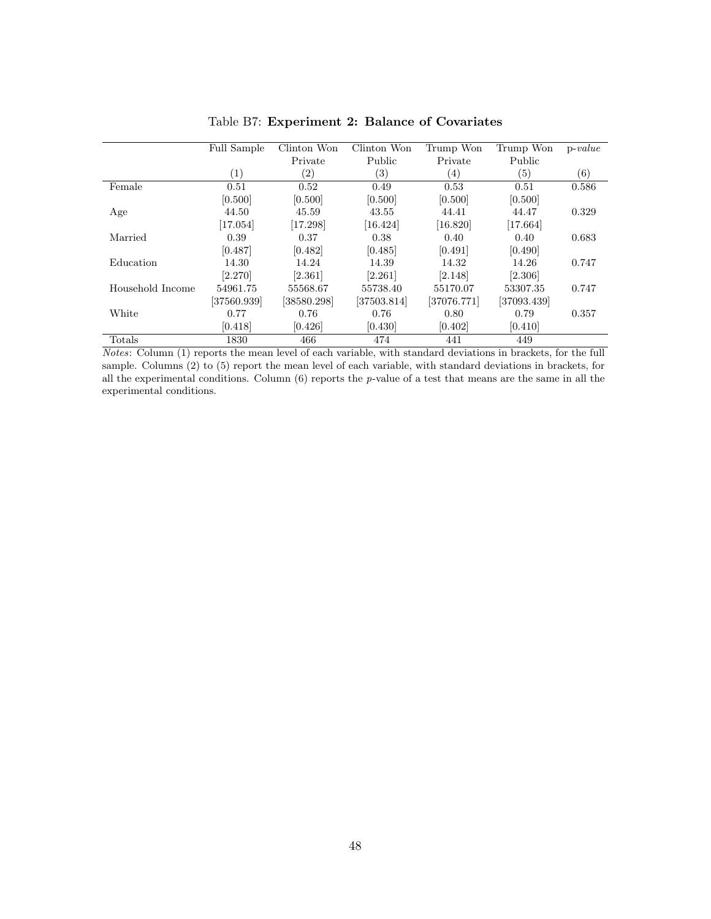|                  | Full Sample       | Clinton Won   | Clinton Won       | Trump Won         | Trump Won   | $p-value$ |
|------------------|-------------------|---------------|-------------------|-------------------|-------------|-----------|
|                  |                   | Private       | Public            | Private           | Public      |           |
|                  | $\left( 1\right)$ | $\binom{2}{}$ | $\left( 3\right)$ | $\left( 4\right)$ | (5)         | (6)       |
| Female           | 0.51              | 0.52          | 0.49              | 0.53              | 0.51        | 0.586     |
|                  | [0.500]           | [0.500]       | [0.500]           | [0.500]           | [0.500]     |           |
| Age              | 44.50             | 45.59         | 43.55             | 44.41             | 44.47       | 0.329     |
|                  | [17.054]          | [17.298]      | [16.424]          | [16.820]          | [17.664]    |           |
| Married          | 0.39              | 0.37          | 0.38              | 0.40              | 0.40        | 0.683     |
|                  | [0.487]           | [0.482]       | [0.485]           | [0.491]           | [0.490]     |           |
| Education        | 14.30             | 14.24         | 14.39             | 14.32             | 14.26       | 0.747     |
|                  | [2.270]           | [2.361]       | [2.261]           | [2.148]           | [2.306]     |           |
| Household Income | 54961.75          | 55568.67      | 55738.40          | 55170.07          | 53307.35    | 0.747     |
|                  | $[37560.939]$     | [38580.298]   | $[37503.814]$     | [37076.771]       | [37093.439] |           |
| White            | 0.77              | 0.76          | 0.76              | 0.80              | 0.79        | 0.357     |
|                  | [0.418]           | [0.426]       | [0.430]           | [0.402]           | [0.410]     |           |
| Totals           | 1830              | 466           | 474               | 441               | 449         |           |

Table B7: Experiment 2: Balance of Covariates

Notes: Column (1) reports the mean level of each variable, with standard deviations in brackets, for the full sample. Columns (2) to (5) report the mean level of each variable, with standard deviations in brackets, for all the experimental conditions. Column  $(6)$  reports the p-value of a test that means are the same in all the experimental conditions.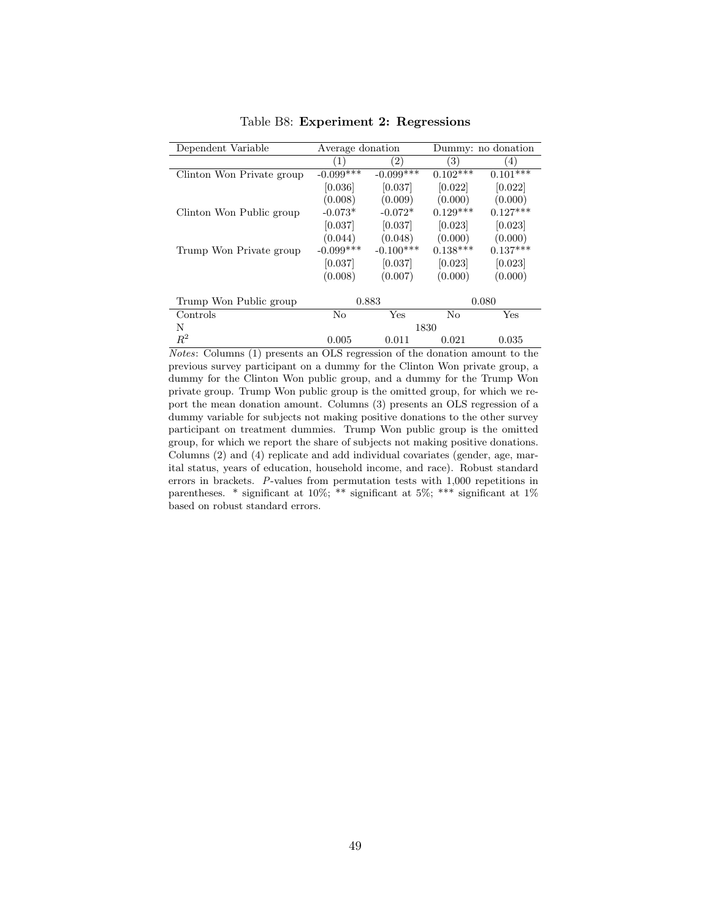| Dependent Variable        | Average donation |             |            | Dummy: no donation |
|---------------------------|------------------|-------------|------------|--------------------|
|                           | (1)              | (2)         | (3)        | (4)                |
| Clinton Won Private group | $-0.099$ ***     | $-0.099***$ | $0.102***$ | $0.101***$         |
|                           | [0.036]          | [0.037]     | [0.022]    | [0.022]            |
|                           | (0.008)          | (0.009)     | (0.000)    | (0.000)            |
| Clinton Won Public group  | $-0.073*$        | $-0.072*$   | $0.129***$ | $0.127***$         |
|                           | [0.037]          | [0.037]     | [0.023]    | [0.023]            |
|                           | (0.044)          | (0.048)     | (0.000)    | (0.000)            |
| Trump Won Private group   | $-0.099***$      | $-0.100***$ | $0.138***$ | $0.137***$         |
|                           | [0.037]          | [0.037]     | [0.023]    | [0.023]            |
|                           | (0.008)          | (0.007)     | (0.000)    | (0.000)            |
|                           |                  |             |            |                    |
| Trump Won Public group    |                  | 0.883       |            | 0.080              |
| Controls                  | No               | Yes         | No         | Yes                |
| N                         |                  |             | 1830       |                    |
| $R^2$                     | 0.005            | 0.011       | 0.021      | 0.035              |

Table B8: Experiment 2: Regressions

Notes: Columns (1) presents an OLS regression of the donation amount to the previous survey participant on a dummy for the Clinton Won private group, a dummy for the Clinton Won public group, and a dummy for the Trump Won private group. Trump Won public group is the omitted group, for which we report the mean donation amount. Columns (3) presents an OLS regression of a dummy variable for subjects not making positive donations to the other survey participant on treatment dummies. Trump Won public group is the omitted group, for which we report the share of subjects not making positive donations. Columns (2) and (4) replicate and add individual covariates (gender, age, marital status, years of education, household income, and race). Robust standard errors in brackets. P-values from permutation tests with 1,000 repetitions in parentheses. \* significant at 10%; \*\* significant at 5%; \*\*\* significant at 1% based on robust standard errors.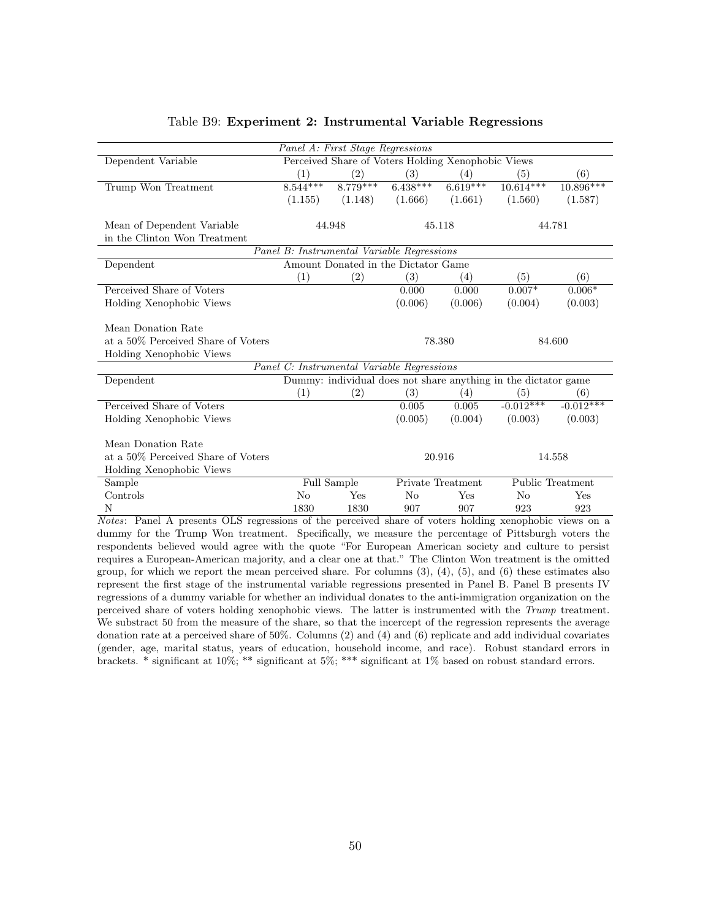|                                    |            | Panel A: First Stage Regressions                   |              |                   |                                                                |                  |
|------------------------------------|------------|----------------------------------------------------|--------------|-------------------|----------------------------------------------------------------|------------------|
| Dependent Variable                 |            | Perceived Share of Voters Holding Xenophobic Views |              |                   |                                                                |                  |
|                                    | (1)        | (2)                                                | (3)          | (4)               | (5)                                                            | (6)              |
| Trump Won Treatment                | $8.544***$ | $8.779***$                                         | $6.438***$   | $6.619***$        | $10.614***$                                                    | $10.896***$      |
|                                    | (1.155)    | (1.148)                                            | (1.666)      | (1.661)           | (1.560)                                                        | (1.587)          |
| Mean of Dependent Variable         |            | 44.948                                             |              | 45.118            |                                                                | 44.781           |
| in the Clinton Won Treatment       |            |                                                    |              |                   |                                                                |                  |
|                                    |            | Panel B: Instrumental Variable Regressions         |              |                   |                                                                |                  |
| Dependent                          |            | Amount Donated in the Dictator Game                |              |                   |                                                                |                  |
|                                    | (1)        | (2)                                                | (3)          | (4)               | (5)                                                            | (6)              |
| Perceived Share of Voters          |            |                                                    | 0.000        | 0.000             | $0.007*$                                                       | $0.006*$         |
| Holding Xenophobic Views           |            |                                                    | (0.006)      | (0.006)           | (0.004)                                                        | (0.003)          |
|                                    |            |                                                    |              |                   |                                                                |                  |
| Mean Donation Rate                 |            |                                                    |              |                   |                                                                |                  |
| at a 50% Perceived Share of Voters |            |                                                    |              | 78.380            |                                                                | 84.600           |
| Holding Xenophobic Views           |            |                                                    |              |                   |                                                                |                  |
|                                    |            | Panel C: Instrumental Variable Regressions         |              |                   |                                                                |                  |
|                                    |            |                                                    |              |                   |                                                                |                  |
| Dependent                          |            |                                                    |              |                   | Dummy: individual does not share anything in the dictator game |                  |
|                                    | (1)        | (2)                                                | (3)          | (4)               | (5)                                                            | (6)              |
| Perceived Share of Voters          |            |                                                    | 0.005        | 0.005             | $-0.012***$                                                    | $-0.012***$      |
| Holding Xenophobic Views           |            |                                                    | (0.005)      | (0.004)           | (0.003)                                                        | (0.003)          |
|                                    |            |                                                    |              |                   |                                                                |                  |
| Mean Donation Rate                 |            |                                                    |              |                   |                                                                |                  |
| at a 50% Perceived Share of Voters |            |                                                    |              | 20.916            |                                                                | 14.558           |
| Holding Xenophobic Views           |            |                                                    |              |                   |                                                                |                  |
| Sample                             |            | Full Sample                                        |              | Private Treatment |                                                                | Public Treatment |
| Controls                           | No         | Yes                                                | $N_{\Omega}$ | Yes               | N <sub>0</sub>                                                 | Yes              |

#### Table B9: Experiment 2: Instrumental Variable Regressions

Notes: Panel A presents OLS regressions of the perceived share of voters holding xenophobic views on a dummy for the Trump Won treatment. Specifically, we measure the percentage of Pittsburgh voters the respondents believed would agree with the quote "For European American society and culture to persist requires a European-American majority, and a clear one at that." The Clinton Won treatment is the omitted group, for which we report the mean perceived share. For columns  $(3)$ ,  $(4)$ ,  $(5)$ , and  $(6)$  these estimates also represent the first stage of the instrumental variable regressions presented in Panel B. Panel B presents IV regressions of a dummy variable for whether an individual donates to the anti-immigration organization on the perceived share of voters holding xenophobic views. The latter is instrumented with the Trump treatment. We substract 50 from the measure of the share, so that the incercept of the regression represents the average donation rate at a perceived share of 50%. Columns (2) and (4) and (6) replicate and add individual covariates (gender, age, marital status, years of education, household income, and race). Robust standard errors in brackets. \* significant at 10%; \*\* significant at 5%; \*\*\* significant at 1% based on robust standard errors.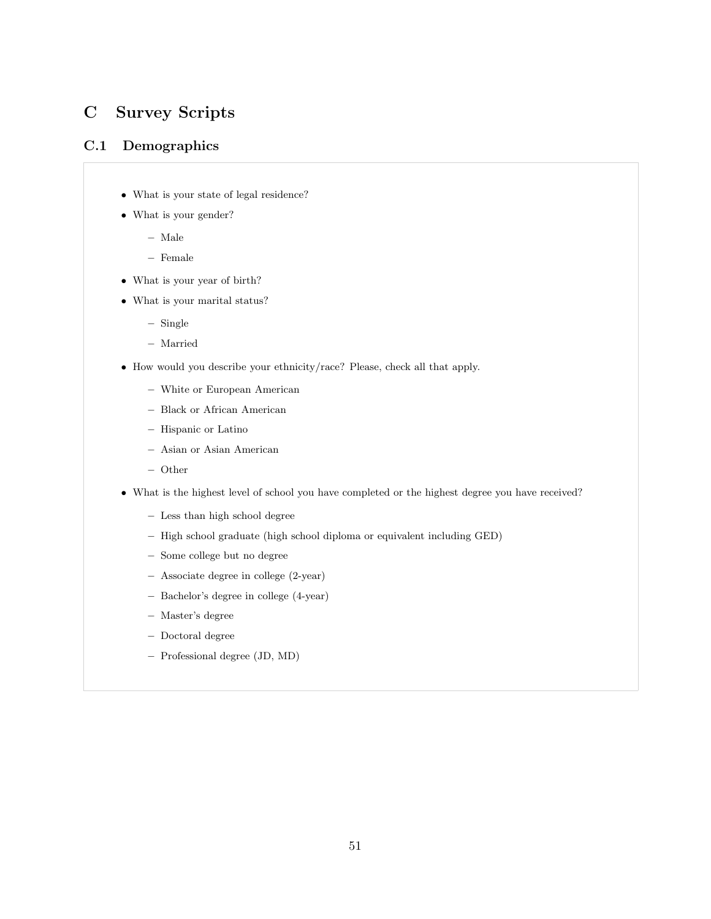# C Survey Scripts

# C.1 Demographics

- What is your state of legal residence?
- What is your gender?
	- Male
	- Female
- What is your year of birth?
- What is your marital status?
	- Single
	- Married
- How would you describe your ethnicity/race? Please, check all that apply.
	- White or European American
	- Black or African American
	- Hispanic or Latino
	- Asian or Asian American
	- Other
- What is the highest level of school you have completed or the highest degree you have received?
	- Less than high school degree
	- High school graduate (high school diploma or equivalent including GED)
	- Some college but no degree
	- Associate degree in college (2-year)
	- Bachelor's degree in college (4-year)
	- Master's degree
	- Doctoral degree
	- Professional degree (JD, MD)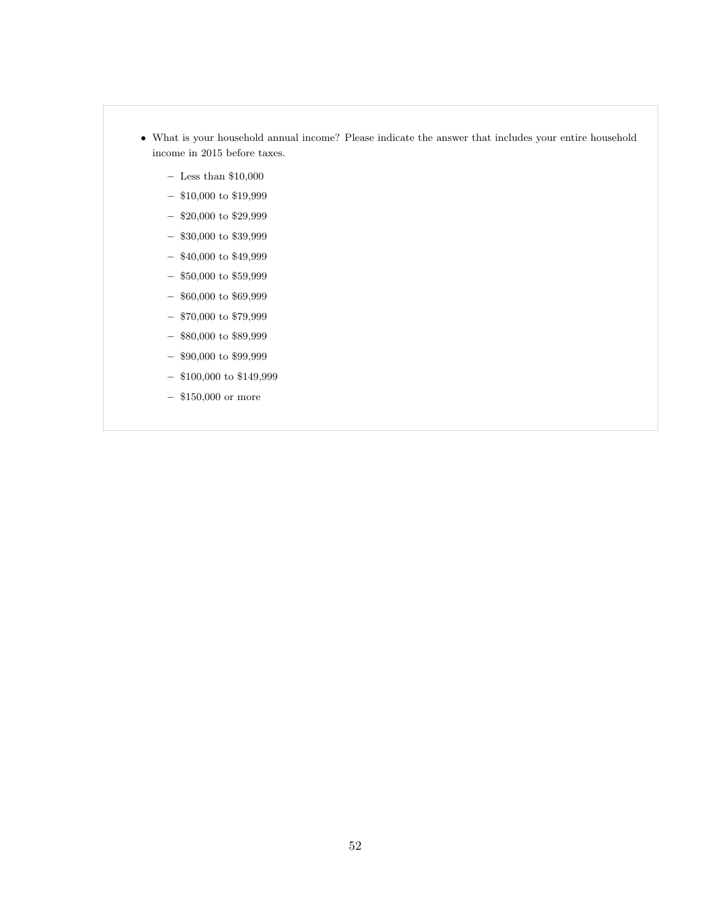- What is your household annual income? Please indicate the answer that includes your entire household income in 2015 before taxes.
	- $-$  Less than  $\$10,\!000$
	- $-$  \$10,000 to \$19,999
	- $-$  \$20,000 to \$29,999
	- $\$30,\!000$  to  $\$39,\!999$
	- $-$  \$40,000 to \$49,999
	- $\$50,\!000$  to  $\$59,\!999$
	- $\$60,\!000$  to  $\$69,\!999$
	- $\$70,\!000$  to  $\$79,\!999$
	- $\$80,\!000$  to  $\$89,\!999$
	- $\$90,\!000$  to  $\$99,\!999$
	- $-$  \$100,000 to \$149,999
	- \$150,000 or more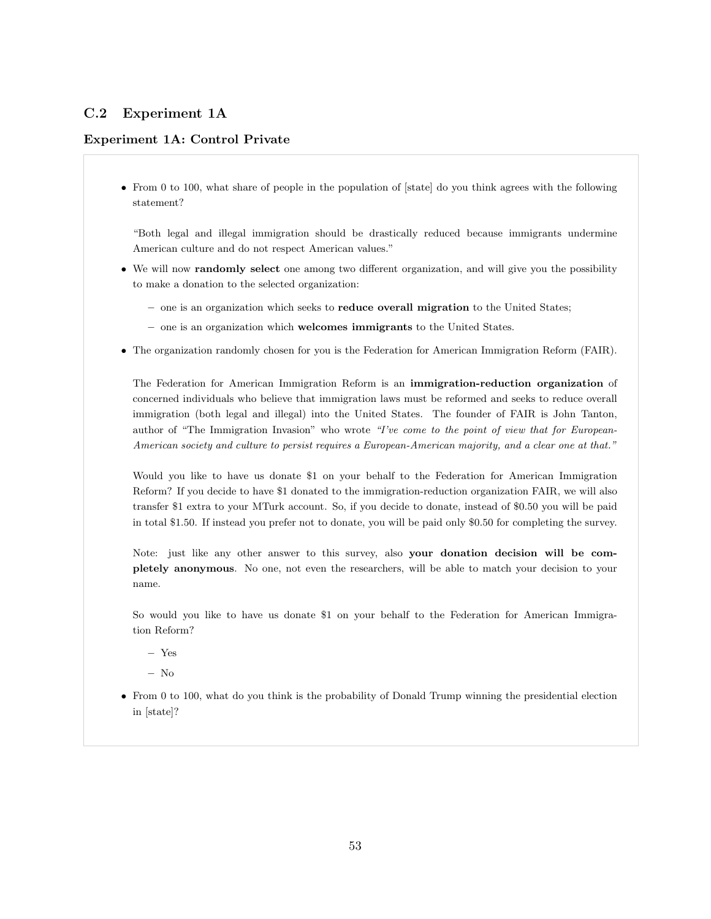# C.2 Experiment 1A

## Experiment 1A: Control Private

• From 0 to 100, what share of people in the population of [state] do you think agrees with the following statement?

"Both legal and illegal immigration should be drastically reduced because immigrants undermine American culture and do not respect American values."

- We will now randomly select one among two different organization, and will give you the possibility to make a donation to the selected organization:
	- one is an organization which seeks to reduce overall migration to the United States;
	- one is an organization which welcomes immigrants to the United States.
- The organization randomly chosen for you is the Federation for American Immigration Reform (FAIR).

The Federation for American Immigration Reform is an immigration-reduction organization of concerned individuals who believe that immigration laws must be reformed and seeks to reduce overall immigration (both legal and illegal) into the United States. The founder of FAIR is John Tanton, author of "The Immigration Invasion" who wrote "I've come to the point of view that for European-American society and culture to persist requires a European-American majority, and a clear one at that."

Would you like to have us donate \$1 on your behalf to the Federation for American Immigration Reform? If you decide to have \$1 donated to the immigration-reduction organization FAIR, we will also transfer \$1 extra to your MTurk account. So, if you decide to donate, instead of \$0.50 you will be paid in total \$1.50. If instead you prefer not to donate, you will be paid only \$0.50 for completing the survey.

Note: just like any other answer to this survey, also your donation decision will be completely anonymous. No one, not even the researchers, will be able to match your decision to your name.

So would you like to have us donate \$1 on your behalf to the Federation for American Immigration Reform?

– Yes

– No

• From 0 to 100, what do you think is the probability of Donald Trump winning the presidential election in [state]?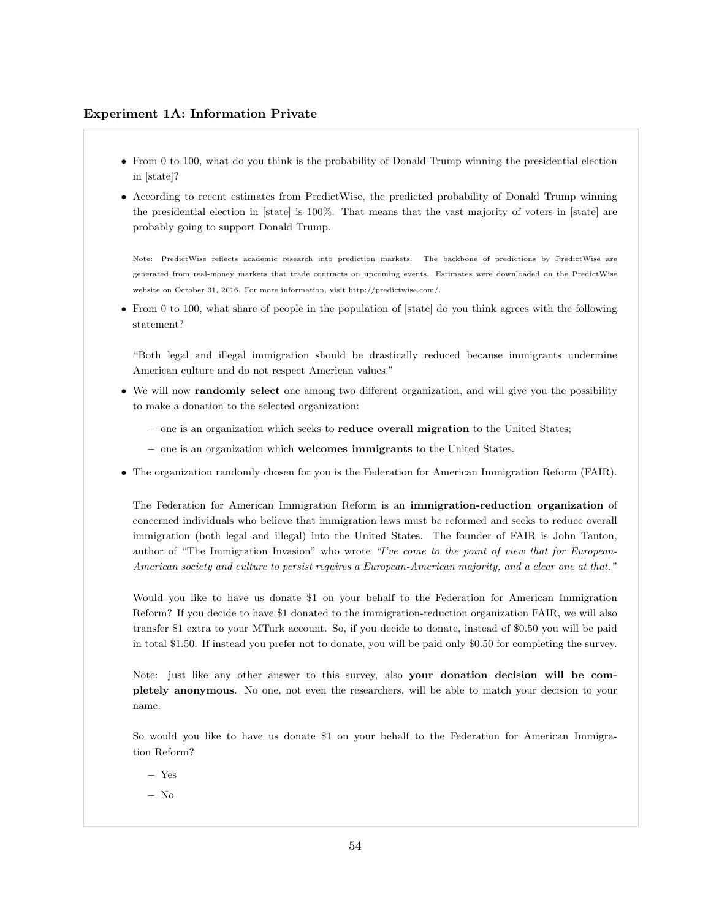#### Experiment 1A: Information Private

- From 0 to 100, what do you think is the probability of Donald Trump winning the presidential election in [state]?
- According to recent estimates from PredictWise, the predicted probability of Donald Trump winning the presidential election in [state] is 100%. That means that the vast majority of voters in [state] are probably going to support Donald Trump.

Note: PredictWise reflects academic research into prediction markets. The backbone of predictions by PredictWise are generated from real-money markets that trade contracts on upcoming events. Estimates were downloaded on the PredictWise website on October 31, 2016. For more information, visit http://predictwise.com/.

• From 0 to 100, what share of people in the population of [state] do you think agrees with the following statement?

"Both legal and illegal immigration should be drastically reduced because immigrants undermine American culture and do not respect American values."

- We will now **randomly select** one among two different organization, and will give you the possibility to make a donation to the selected organization:
	- one is an organization which seeks to reduce overall migration to the United States;
	- one is an organization which welcomes immigrants to the United States.
- The organization randomly chosen for you is the Federation for American Immigration Reform (FAIR).

The Federation for American Immigration Reform is an immigration-reduction organization of concerned individuals who believe that immigration laws must be reformed and seeks to reduce overall immigration (both legal and illegal) into the United States. The founder of FAIR is John Tanton, author of "The Immigration Invasion" who wrote "I've come to the point of view that for European-American society and culture to persist requires a European-American majority, and a clear one at that."

Would you like to have us donate \$1 on your behalf to the Federation for American Immigration Reform? If you decide to have \$1 donated to the immigration-reduction organization FAIR, we will also transfer \$1 extra to your MTurk account. So, if you decide to donate, instead of \$0.50 you will be paid in total \$1.50. If instead you prefer not to donate, you will be paid only \$0.50 for completing the survey.

Note: just like any other answer to this survey, also your donation decision will be completely anonymous. No one, not even the researchers, will be able to match your decision to your name.

So would you like to have us donate \$1 on your behalf to the Federation for American Immigration Reform?

- Yes
- No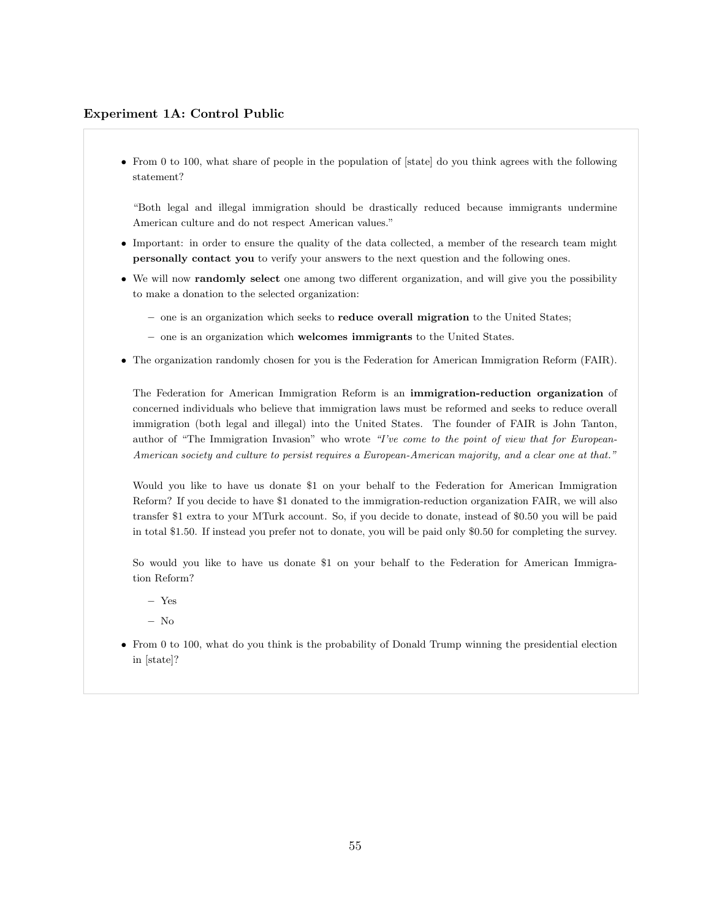#### Experiment 1A: Control Public

• From 0 to 100, what share of people in the population of [state] do you think agrees with the following statement?

"Both legal and illegal immigration should be drastically reduced because immigrants undermine American culture and do not respect American values."

- Important: in order to ensure the quality of the data collected, a member of the research team might personally contact you to verify your answers to the next question and the following ones.
- We will now **randomly select** one among two different organization, and will give you the possibility to make a donation to the selected organization:
	- one is an organization which seeks to reduce overall migration to the United States;
	- one is an organization which welcomes immigrants to the United States.
- The organization randomly chosen for you is the Federation for American Immigration Reform (FAIR).

The Federation for American Immigration Reform is an immigration-reduction organization of concerned individuals who believe that immigration laws must be reformed and seeks to reduce overall immigration (both legal and illegal) into the United States. The founder of FAIR is John Tanton, author of "The Immigration Invasion" who wrote "I've come to the point of view that for European-American society and culture to persist requires a European-American majority, and a clear one at that."

Would you like to have us donate \$1 on your behalf to the Federation for American Immigration Reform? If you decide to have \$1 donated to the immigration-reduction organization FAIR, we will also transfer \$1 extra to your MTurk account. So, if you decide to donate, instead of \$0.50 you will be paid in total \$1.50. If instead you prefer not to donate, you will be paid only \$0.50 for completing the survey.

So would you like to have us donate \$1 on your behalf to the Federation for American Immigration Reform?

- Yes
- No
- From 0 to 100, what do you think is the probability of Donald Trump winning the presidential election in [state]?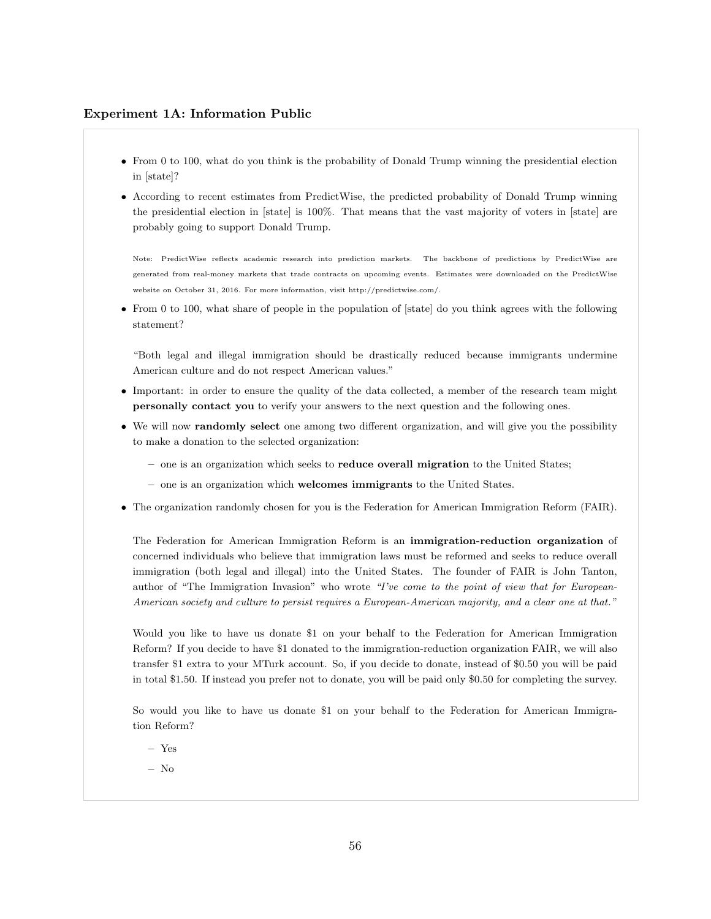#### Experiment 1A: Information Public

- From 0 to 100, what do you think is the probability of Donald Trump winning the presidential election in [state]?
- According to recent estimates from PredictWise, the predicted probability of Donald Trump winning the presidential election in [state] is 100%. That means that the vast majority of voters in [state] are probably going to support Donald Trump.

Note: PredictWise reflects academic research into prediction markets. The backbone of predictions by PredictWise are generated from real-money markets that trade contracts on upcoming events. Estimates were downloaded on the PredictWise website on October 31, 2016. For more information, visit http://predictwise.com/.

• From 0 to 100, what share of people in the population of [state] do you think agrees with the following statement?

"Both legal and illegal immigration should be drastically reduced because immigrants undermine American culture and do not respect American values."

- Important: in order to ensure the quality of the data collected, a member of the research team might personally contact you to verify your answers to the next question and the following ones.
- We will now randomly select one among two different organization, and will give you the possibility to make a donation to the selected organization:
	- one is an organization which seeks to reduce overall migration to the United States;
	- one is an organization which welcomes immigrants to the United States.
- The organization randomly chosen for you is the Federation for American Immigration Reform (FAIR).

The Federation for American Immigration Reform is an immigration-reduction organization of concerned individuals who believe that immigration laws must be reformed and seeks to reduce overall immigration (both legal and illegal) into the United States. The founder of FAIR is John Tanton, author of "The Immigration Invasion" who wrote "I've come to the point of view that for European-American society and culture to persist requires a European-American majority, and a clear one at that."

Would you like to have us donate \$1 on your behalf to the Federation for American Immigration Reform? If you decide to have \$1 donated to the immigration-reduction organization FAIR, we will also transfer \$1 extra to your MTurk account. So, if you decide to donate, instead of \$0.50 you will be paid in total \$1.50. If instead you prefer not to donate, you will be paid only \$0.50 for completing the survey.

So would you like to have us donate \$1 on your behalf to the Federation for American Immigration Reform?

- Yes
- No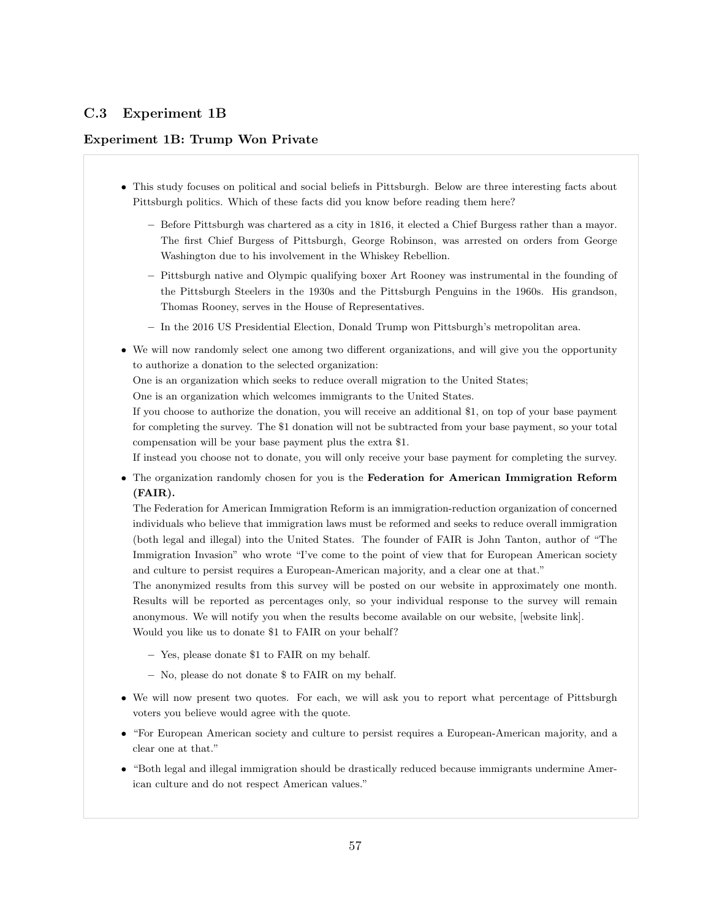# C.3 Experiment 1B

### Experiment 1B: Trump Won Private

- This study focuses on political and social beliefs in Pittsburgh. Below are three interesting facts about Pittsburgh politics. Which of these facts did you know before reading them here?
	- Before Pittsburgh was chartered as a city in 1816, it elected a Chief Burgess rather than a mayor. The first Chief Burgess of Pittsburgh, George Robinson, was arrested on orders from George Washington due to his involvement in the Whiskey Rebellion.
	- Pittsburgh native and Olympic qualifying boxer Art Rooney was instrumental in the founding of the Pittsburgh Steelers in the 1930s and the Pittsburgh Penguins in the 1960s. His grandson, Thomas Rooney, serves in the House of Representatives.
	- In the 2016 US Presidential Election, Donald Trump won Pittsburgh's metropolitan area.
- We will now randomly select one among two different organizations, and will give you the opportunity to authorize a donation to the selected organization:

One is an organization which seeks to reduce overall migration to the United States;

One is an organization which welcomes immigrants to the United States.

If you choose to authorize the donation, you will receive an additional \$1, on top of your base payment for completing the survey. The \$1 donation will not be subtracted from your base payment, so your total compensation will be your base payment plus the extra \$1.

If instead you choose not to donate, you will only receive your base payment for completing the survey.

• The organization randomly chosen for you is the Federation for American Immigration Reform (FAIR).

The Federation for American Immigration Reform is an immigration-reduction organization of concerned individuals who believe that immigration laws must be reformed and seeks to reduce overall immigration (both legal and illegal) into the United States. The founder of FAIR is John Tanton, author of "The Immigration Invasion" who wrote "I've come to the point of view that for European American society and culture to persist requires a European-American majority, and a clear one at that."

The anonymized results from this survey will be posted on our website in approximately one month. Results will be reported as percentages only, so your individual response to the survey will remain anonymous. We will notify you when the results become available on our website, [website link]. Would you like us to donate \$1 to FAIR on your behalf?

- Yes, please donate \$1 to FAIR on my behalf.
- No, please do not donate \$ to FAIR on my behalf.
- We will now present two quotes. For each, we will ask you to report what percentage of Pittsburgh voters you believe would agree with the quote.
- "For European American society and culture to persist requires a European-American majority, and a clear one at that."
- "Both legal and illegal immigration should be drastically reduced because immigrants undermine American culture and do not respect American values."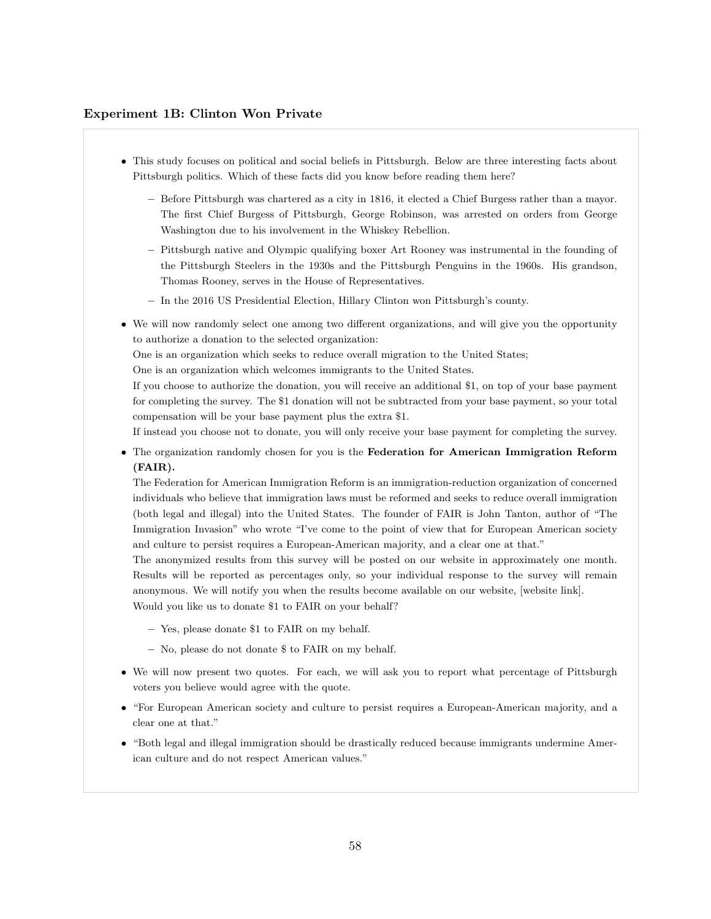#### Experiment 1B: Clinton Won Private

- This study focuses on political and social beliefs in Pittsburgh. Below are three interesting facts about Pittsburgh politics. Which of these facts did you know before reading them here?
	- Before Pittsburgh was chartered as a city in 1816, it elected a Chief Burgess rather than a mayor. The first Chief Burgess of Pittsburgh, George Robinson, was arrested on orders from George Washington due to his involvement in the Whiskey Rebellion.
	- Pittsburgh native and Olympic qualifying boxer Art Rooney was instrumental in the founding of the Pittsburgh Steelers in the 1930s and the Pittsburgh Penguins in the 1960s. His grandson, Thomas Rooney, serves in the House of Representatives.
	- In the 2016 US Presidential Election, Hillary Clinton won Pittsburgh's county.
- We will now randomly select one among two different organizations, and will give you the opportunity to authorize a donation to the selected organization:

One is an organization which seeks to reduce overall migration to the United States;

One is an organization which welcomes immigrants to the United States.

If you choose to authorize the donation, you will receive an additional \$1, on top of your base payment for completing the survey. The \$1 donation will not be subtracted from your base payment, so your total compensation will be your base payment plus the extra \$1.

If instead you choose not to donate, you will only receive your base payment for completing the survey.

• The organization randomly chosen for you is the Federation for American Immigration Reform (FAIR).

The Federation for American Immigration Reform is an immigration-reduction organization of concerned individuals who believe that immigration laws must be reformed and seeks to reduce overall immigration (both legal and illegal) into the United States. The founder of FAIR is John Tanton, author of "The Immigration Invasion" who wrote "I've come to the point of view that for European American society and culture to persist requires a European-American majority, and a clear one at that."

The anonymized results from this survey will be posted on our website in approximately one month. Results will be reported as percentages only, so your individual response to the survey will remain anonymous. We will notify you when the results become available on our website, [website link]. Would you like us to donate \$1 to FAIR on your behalf?

- Yes, please donate \$1 to FAIR on my behalf.
- No, please do not donate \$ to FAIR on my behalf.
- We will now present two quotes. For each, we will ask you to report what percentage of Pittsburgh voters you believe would agree with the quote.
- "For European American society and culture to persist requires a European-American majority, and a clear one at that."
- "Both legal and illegal immigration should be drastically reduced because immigrants undermine American culture and do not respect American values."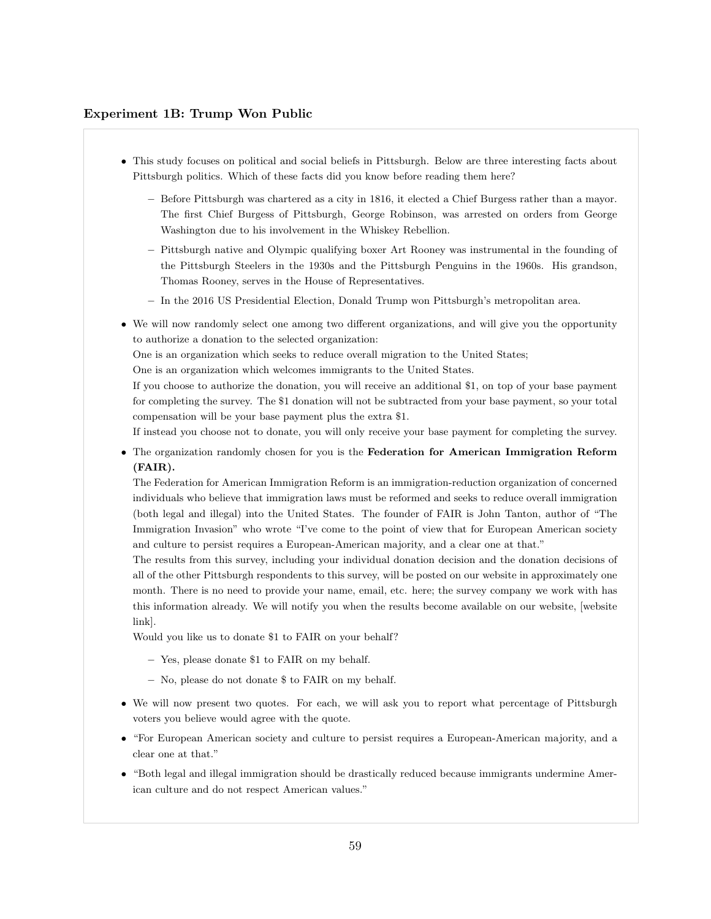#### Experiment 1B: Trump Won Public

- This study focuses on political and social beliefs in Pittsburgh. Below are three interesting facts about Pittsburgh politics. Which of these facts did you know before reading them here?
	- Before Pittsburgh was chartered as a city in 1816, it elected a Chief Burgess rather than a mayor. The first Chief Burgess of Pittsburgh, George Robinson, was arrested on orders from George Washington due to his involvement in the Whiskey Rebellion.
	- Pittsburgh native and Olympic qualifying boxer Art Rooney was instrumental in the founding of the Pittsburgh Steelers in the 1930s and the Pittsburgh Penguins in the 1960s. His grandson, Thomas Rooney, serves in the House of Representatives.
	- In the 2016 US Presidential Election, Donald Trump won Pittsburgh's metropolitan area.
- We will now randomly select one among two different organizations, and will give you the opportunity to authorize a donation to the selected organization:

One is an organization which seeks to reduce overall migration to the United States;

One is an organization which welcomes immigrants to the United States.

If you choose to authorize the donation, you will receive an additional \$1, on top of your base payment for completing the survey. The \$1 donation will not be subtracted from your base payment, so your total compensation will be your base payment plus the extra \$1.

If instead you choose not to donate, you will only receive your base payment for completing the survey.

• The organization randomly chosen for you is the Federation for American Immigration Reform (FAIR).

The Federation for American Immigration Reform is an immigration-reduction organization of concerned individuals who believe that immigration laws must be reformed and seeks to reduce overall immigration (both legal and illegal) into the United States. The founder of FAIR is John Tanton, author of "The Immigration Invasion" who wrote "I've come to the point of view that for European American society and culture to persist requires a European-American majority, and a clear one at that."

The results from this survey, including your individual donation decision and the donation decisions of all of the other Pittsburgh respondents to this survey, will be posted on our website in approximately one month. There is no need to provide your name, email, etc. here; the survey company we work with has this information already. We will notify you when the results become available on our website, [website link].

Would you like us to donate \$1 to FAIR on your behalf?

- Yes, please donate \$1 to FAIR on my behalf.
- No, please do not donate \$ to FAIR on my behalf.
- We will now present two quotes. For each, we will ask you to report what percentage of Pittsburgh voters you believe would agree with the quote.
- "For European American society and culture to persist requires a European-American majority, and a clear one at that."
- "Both legal and illegal immigration should be drastically reduced because immigrants undermine American culture and do not respect American values."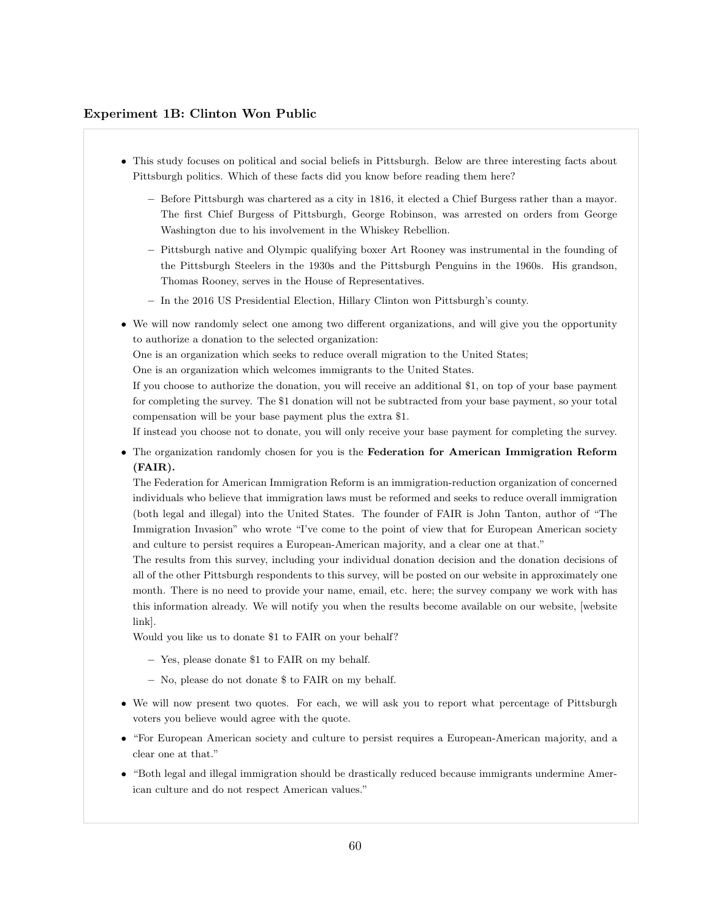#### Experiment 1B: Clinton Won Public

- This study focuses on political and social beliefs in Pittsburgh. Below are three interesting facts about Pittsburgh politics. Which of these facts did you know before reading them here?
	- Before Pittsburgh was chartered as a city in 1816, it elected a Chief Burgess rather than a mayor. The first Chief Burgess of Pittsburgh, George Robinson, was arrested on orders from George Washington due to his involvement in the Whiskey Rebellion.
	- Pittsburgh native and Olympic qualifying boxer Art Rooney was instrumental in the founding of the Pittsburgh Steelers in the 1930s and the Pittsburgh Penguins in the 1960s. His grandson, Thomas Rooney, serves in the House of Representatives.
	- In the 2016 US Presidential Election, Hillary Clinton won Pittsburgh's county.
- We will now randomly select one among two different organizations, and will give you the opportunity to authorize a donation to the selected organization:

One is an organization which seeks to reduce overall migration to the United States;

One is an organization which welcomes immigrants to the United States.

If you choose to authorize the donation, you will receive an additional \$1, on top of your base payment for completing the survey. The \$1 donation will not be subtracted from your base payment, so your total compensation will be your base payment plus the extra \$1.

If instead you choose not to donate, you will only receive your base payment for completing the survey.

• The organization randomly chosen for you is the Federation for American Immigration Reform (FAIR).

The Federation for American Immigration Reform is an immigration-reduction organization of concerned individuals who believe that immigration laws must be reformed and seeks to reduce overall immigration (both legal and illegal) into the United States. The founder of FAIR is John Tanton, author of "The Immigration Invasion" who wrote "I've come to the point of view that for European American society and culture to persist requires a European-American majority, and a clear one at that."

The results from this survey, including your individual donation decision and the donation decisions of all of the other Pittsburgh respondents to this survey, will be posted on our website in approximately one month. There is no need to provide your name, email, etc. here; the survey company we work with has this information already. We will notify you when the results become available on our website, [website link].

Would you like us to donate \$1 to FAIR on your behalf?

- Yes, please donate \$1 to FAIR on my behalf.
- No, please do not donate \$ to FAIR on my behalf.
- We will now present two quotes. For each, we will ask you to report what percentage of Pittsburgh voters you believe would agree with the quote.
- "For European American society and culture to persist requires a European-American majority, and a clear one at that."
- "Both legal and illegal immigration should be drastically reduced because immigrants undermine American culture and do not respect American values."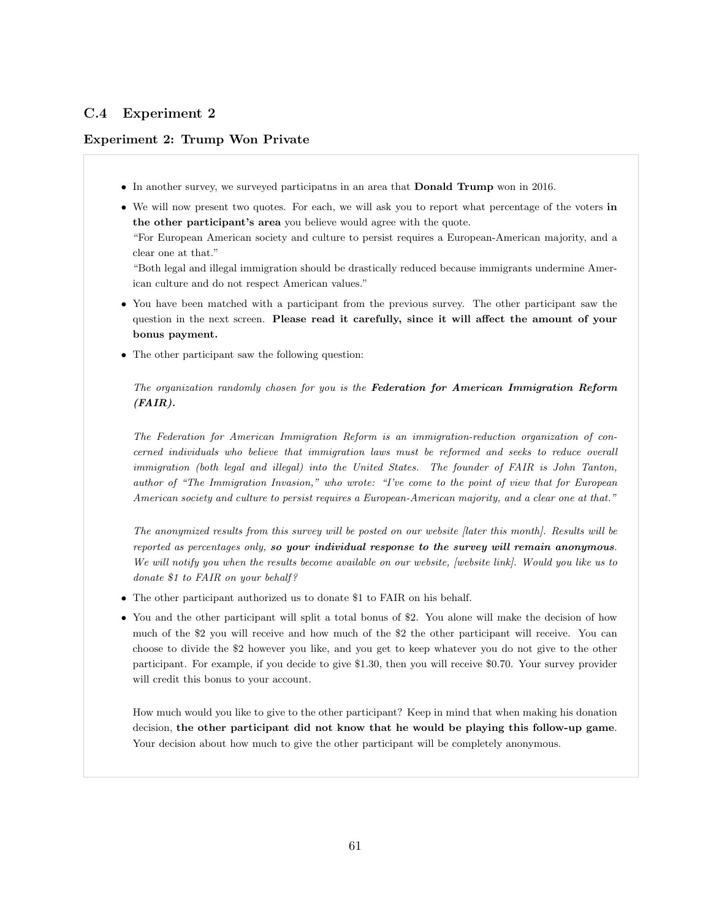# C.4 Experiment 2

# Experiment 2: Trump Won Private

- In another survey, we surveyed participatns in an area that Donald Trump won in 2016.
- We will now present two quotes. For each, we will ask you to report what percentage of the voters in the other participant's area you believe would agree with the quote.

"For European American society and culture to persist requires a European-American majority, and a clear one at that."

"Both legal and illegal immigration should be drastically reduced because immigrants undermine American culture and do not respect American values."

- You have been matched with a participant from the previous survey. The other participant saw the question in the next screen. Please read it carefully, since it will affect the amount of your bonus payment.
- The other participant saw the following question:

The organization randomly chosen for you is the Federation for American Immigration Reform  $(FAIR)$ .

The Federation for American Immigration Reform is an immigration-reduction organization of concerned individuals who believe that immigration laws must be reformed and seeks to reduce overall immigration (both legal and illegal) into the United States. The founder of FAIR is John Tanton, author of "The Immigration Invasion," who wrote: "I've come to the point of view that for European American society and culture to persist requires a European-American majority, and a clear one at that."

The anonymized results from this survey will be posted on our website [later this month]. Results will be reported as percentages only, so your individual response to the survey will remain anonymous. We will notify you when the results become available on our website, [website link]. Would you like us to donate \$1 to FAIR on your behalf?

- The other participant authorized us to donate \$1 to FAIR on his behalf.
- You and the other participant will split a total bonus of \$2. You alone will make the decision of how much of the \$2 you will receive and how much of the \$2 the other participant will receive. You can choose to divide the \$2 however you like, and you get to keep whatever you do not give to the other participant. For example, if you decide to give \$1.30, then you will receive \$0.70. Your survey provider will credit this bonus to your account.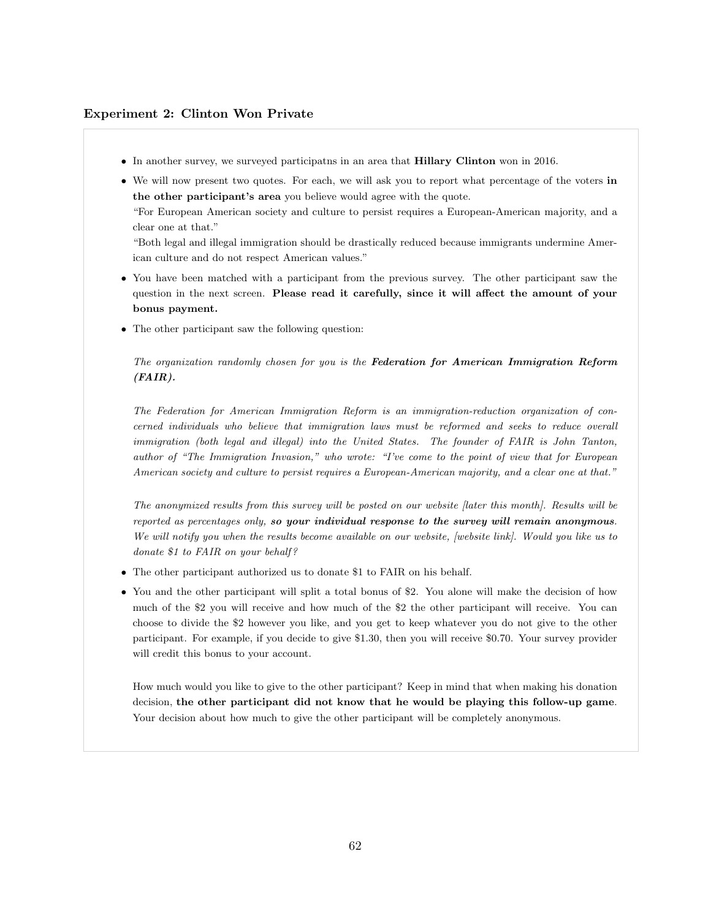#### Experiment 2: Clinton Won Private

- In another survey, we surveyed participatns in an area that Hillary Clinton won in 2016.
- We will now present two quotes. For each, we will ask you to report what percentage of the voters in the other participant's area you believe would agree with the quote.

"For European American society and culture to persist requires a European-American majority, and a clear one at that."

"Both legal and illegal immigration should be drastically reduced because immigrants undermine American culture and do not respect American values."

- You have been matched with a participant from the previous survey. The other participant saw the question in the next screen. Please read it carefully, since it will affect the amount of your bonus payment.
- The other participant saw the following question:

The organization randomly chosen for you is the Federation for American Immigration Reform (FAIR).

The Federation for American Immigration Reform is an immigration-reduction organization of concerned individuals who believe that immigration laws must be reformed and seeks to reduce overall immigration (both legal and illegal) into the United States. The founder of FAIR is John Tanton, author of "The Immigration Invasion," who wrote: "I've come to the point of view that for European American society and culture to persist requires a European-American majority, and a clear one at that."

The anonymized results from this survey will be posted on our website [later this month]. Results will be reported as percentages only, so your individual response to the survey will remain anonymous. We will notify you when the results become available on our website, [website link]. Would you like us to donate \$1 to FAIR on your behalf?

- The other participant authorized us to donate \$1 to FAIR on his behalf.
- You and the other participant will split a total bonus of \$2. You alone will make the decision of how much of the \$2 you will receive and how much of the \$2 the other participant will receive. You can choose to divide the \$2 however you like, and you get to keep whatever you do not give to the other participant. For example, if you decide to give \$1.30, then you will receive \$0.70. Your survey provider will credit this bonus to your account.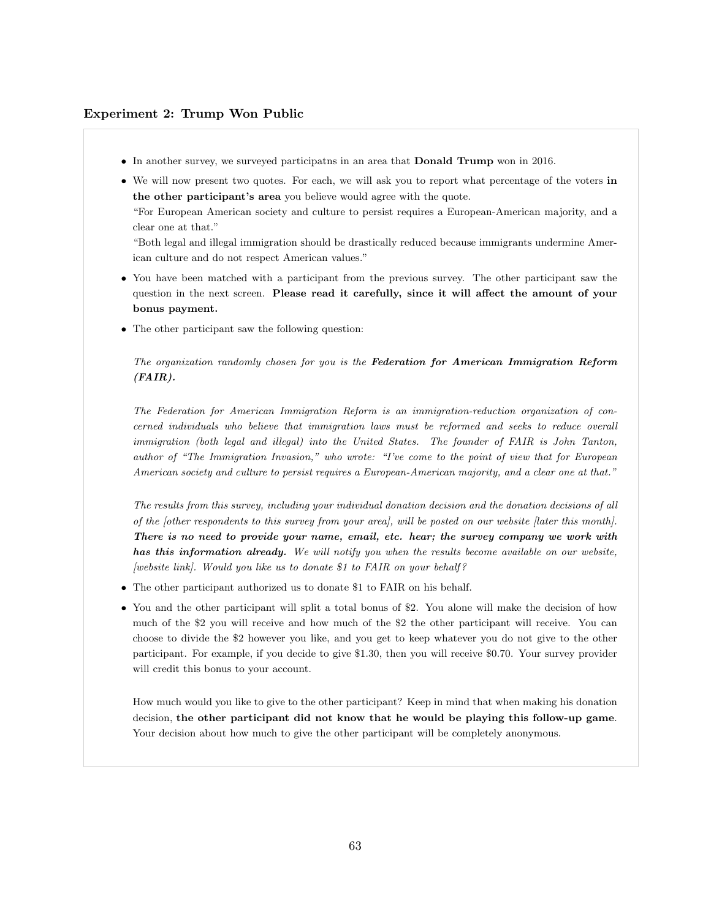#### Experiment 2: Trump Won Public

- In another survey, we surveyed participatns in an area that Donald Trump won in 2016.
- We will now present two quotes. For each, we will ask you to report what percentage of the voters in the other participant's area you believe would agree with the quote.

"For European American society and culture to persist requires a European-American majority, and a clear one at that."

"Both legal and illegal immigration should be drastically reduced because immigrants undermine American culture and do not respect American values."

- You have been matched with a participant from the previous survey. The other participant saw the question in the next screen. Please read it carefully, since it will affect the amount of your bonus payment.
- The other participant saw the following question:

The organization randomly chosen for you is the Federation for American Immigration Reform (FAIR).

The Federation for American Immigration Reform is an immigration-reduction organization of concerned individuals who believe that immigration laws must be reformed and seeks to reduce overall immigration (both legal and illegal) into the United States. The founder of FAIR is John Tanton, author of "The Immigration Invasion," who wrote: "I've come to the point of view that for European American society and culture to persist requires a European-American majority, and a clear one at that."

The results from this survey, including your individual donation decision and the donation decisions of all of the [other respondents to this survey from your area], will be posted on our website [later this month]. There is no need to provide your name, email, etc. hear; the survey company we work with has this information already. We will notify you when the results become available on our website,  $[website link].$  Would you like us to donate \$1 to FAIR on your behalf?

- The other participant authorized us to donate \$1 to FAIR on his behalf.
- You and the other participant will split a total bonus of \$2. You alone will make the decision of how much of the \$2 you will receive and how much of the \$2 the other participant will receive. You can choose to divide the \$2 however you like, and you get to keep whatever you do not give to the other participant. For example, if you decide to give \$1.30, then you will receive \$0.70. Your survey provider will credit this bonus to your account.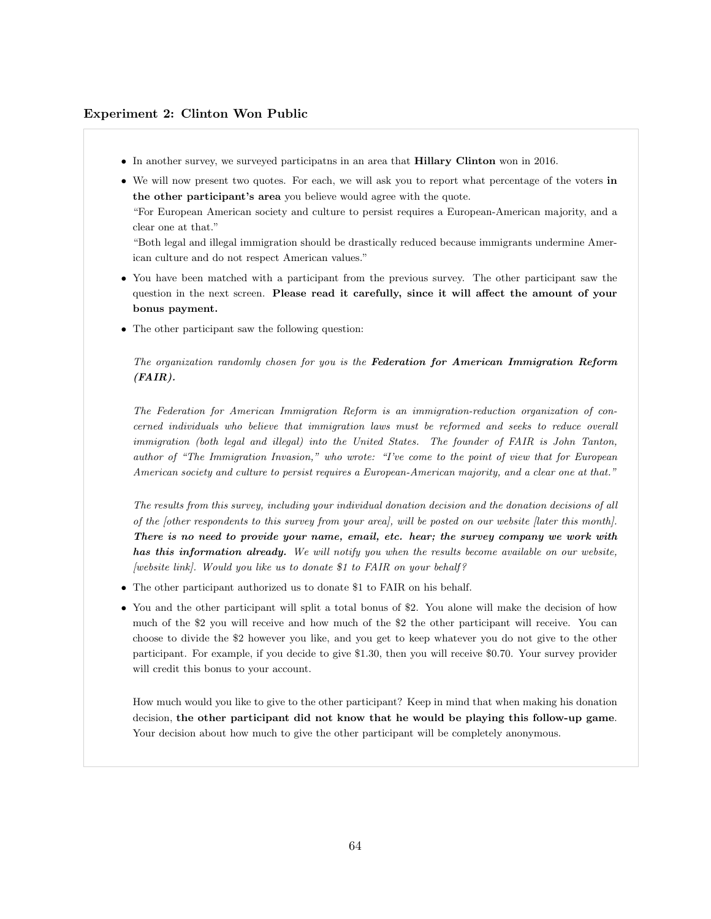#### Experiment 2: Clinton Won Public

- In another survey, we surveyed participatns in an area that Hillary Clinton won in 2016.
- We will now present two quotes. For each, we will ask you to report what percentage of the voters in the other participant's area you believe would agree with the quote.

"For European American society and culture to persist requires a European-American majority, and a clear one at that."

"Both legal and illegal immigration should be drastically reduced because immigrants undermine American culture and do not respect American values."

- You have been matched with a participant from the previous survey. The other participant saw the question in the next screen. Please read it carefully, since it will affect the amount of your bonus payment.
- The other participant saw the following question:

The organization randomly chosen for you is the Federation for American Immigration Reform (FAIR).

The Federation for American Immigration Reform is an immigration-reduction organization of concerned individuals who believe that immigration laws must be reformed and seeks to reduce overall immigration (both legal and illegal) into the United States. The founder of FAIR is John Tanton, author of "The Immigration Invasion," who wrote: "I've come to the point of view that for European American society and culture to persist requires a European-American majority, and a clear one at that."

The results from this survey, including your individual donation decision and the donation decisions of all of the [other respondents to this survey from your area], will be posted on our website [later this month]. There is no need to provide your name, email, etc. hear; the survey company we work with has this information already. We will notify you when the results become available on our website,  $[website link].$  Would you like us to donate \$1 to FAIR on your behalf?

- The other participant authorized us to donate \$1 to FAIR on his behalf.
- You and the other participant will split a total bonus of \$2. You alone will make the decision of how much of the \$2 you will receive and how much of the \$2 the other participant will receive. You can choose to divide the \$2 however you like, and you get to keep whatever you do not give to the other participant. For example, if you decide to give \$1.30, then you will receive \$0.70. Your survey provider will credit this bonus to your account.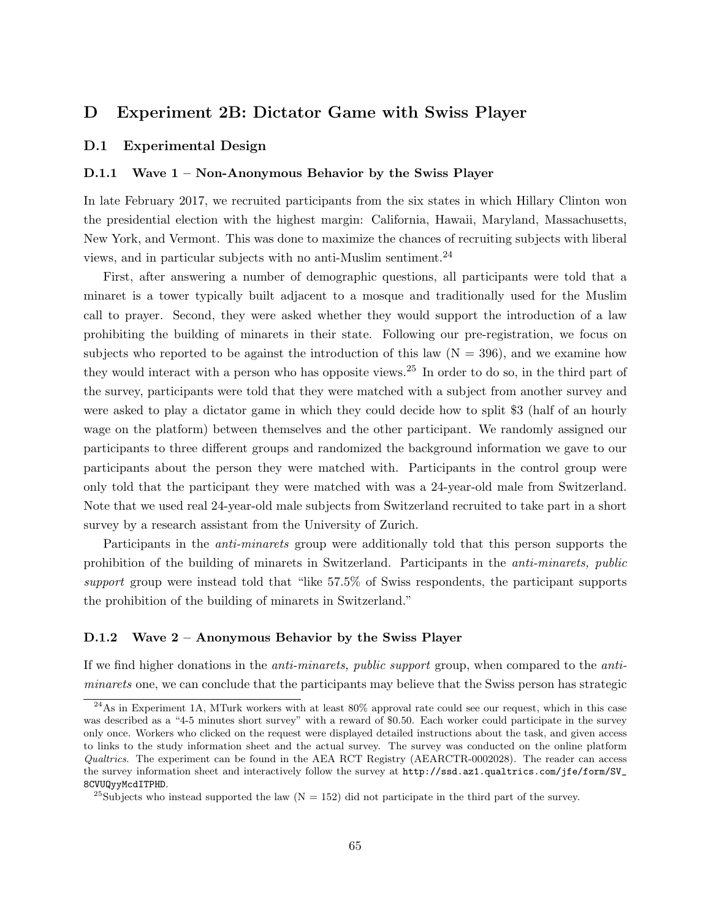# D Experiment 2B: Dictator Game with Swiss Player

#### D.1 Experimental Design

#### D.1.1 Wave 1 – Non-Anonymous Behavior by the Swiss Player

In late February 2017, we recruited participants from the six states in which Hillary Clinton won the presidential election with the highest margin: California, Hawaii, Maryland, Massachusetts, New York, and Vermont. This was done to maximize the chances of recruiting subjects with liberal views, and in particular subjects with no anti-Muslim sentiment.[24](#page-65-0)

First, after answering a number of demographic questions, all participants were told that a minaret is a tower typically built adjacent to a mosque and traditionally used for the Muslim call to prayer. Second, they were asked whether they would support the introduction of a law prohibiting the building of minarets in their state. Following our pre-registration, we focus on subjects who reported to be against the introduction of this law  $(N = 396)$ , and we examine how they would interact with a person who has opposite views.[25](#page-65-1) In order to do so, in the third part of the survey, participants were told that they were matched with a subject from another survey and were asked to play a dictator game in which they could decide how to split \$3 (half of an hourly wage on the platform) between themselves and the other participant. We randomly assigned our participants to three different groups and randomized the background information we gave to our participants about the person they were matched with. Participants in the control group were only told that the participant they were matched with was a 24-year-old male from Switzerland. Note that we used real 24-year-old male subjects from Switzerland recruited to take part in a short survey by a research assistant from the University of Zurich.

Participants in the anti-minarets group were additionally told that this person supports the prohibition of the building of minarets in Switzerland. Participants in the anti-minarets, public support group were instead told that "like 57.5% of Swiss respondents, the participant supports the prohibition of the building of minarets in Switzerland."

## D.1.2 Wave 2 – Anonymous Behavior by the Swiss Player

If we find higher donations in the anti-minarets, public support group, when compared to the antiminarets one, we can conclude that the participants may believe that the Swiss person has strategic

<span id="page-65-0"></span><sup>24</sup>As in Experiment 1A, MTurk workers with at least 80% approval rate could see our request, which in this case was described as a "4-5 minutes short survey" with a reward of \$0.50. Each worker could participate in the survey only once. Workers who clicked on the request were displayed detailed instructions about the task, and given access to links to the study information sheet and the actual survey. The survey was conducted on the online platform Qualtrics. The experiment can be found in the AEA RCT Registry (AEARCTR-0002028). The reader can access the survey information sheet and interactively follow the survey at [http://ssd.az1.qualtrics.com/jfe/form/SV\\_](http://ssd.az1.qualtrics.com/jfe/form/SV_8CVUQyyMcdITPHD) [8CVUQyyMcdITPHD](http://ssd.az1.qualtrics.com/jfe/form/SV_8CVUQyyMcdITPHD).

<span id="page-65-1"></span><sup>&</sup>lt;sup>25</sup>Subjects who instead supported the law  $(N = 152)$  did not participate in the third part of the survey.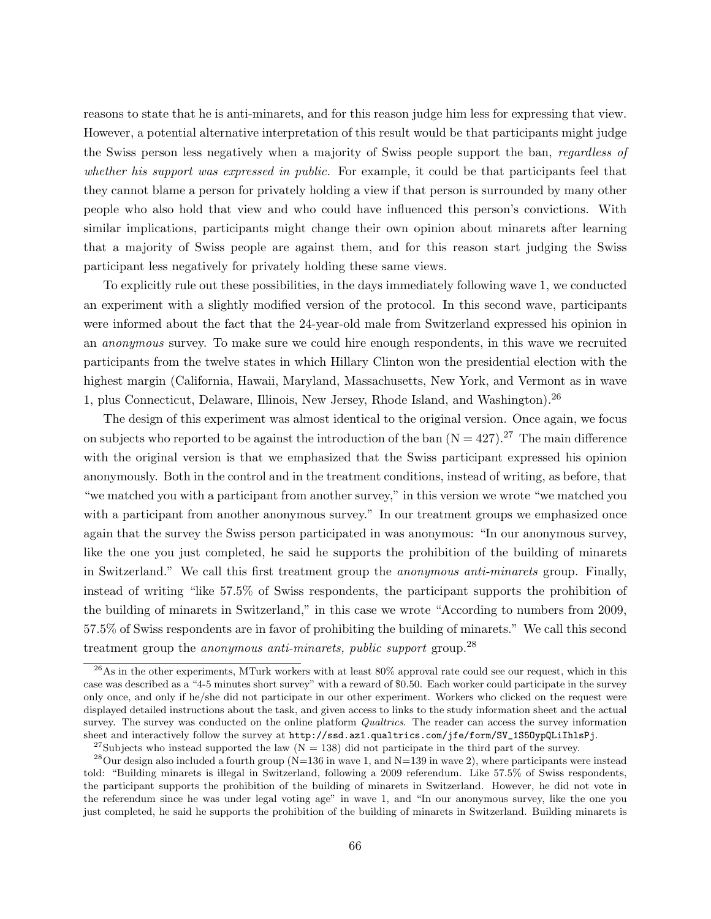reasons to state that he is anti-minarets, and for this reason judge him less for expressing that view. However, a potential alternative interpretation of this result would be that participants might judge the Swiss person less negatively when a majority of Swiss people support the ban, regardless of whether his support was expressed in public. For example, it could be that participants feel that they cannot blame a person for privately holding a view if that person is surrounded by many other people who also hold that view and who could have influenced this person's convictions. With similar implications, participants might change their own opinion about minarets after learning that a majority of Swiss people are against them, and for this reason start judging the Swiss participant less negatively for privately holding these same views.

To explicitly rule out these possibilities, in the days immediately following wave 1, we conducted an experiment with a slightly modified version of the protocol. In this second wave, participants were informed about the fact that the 24-year-old male from Switzerland expressed his opinion in an anonymous survey. To make sure we could hire enough respondents, in this wave we recruited participants from the twelve states in which Hillary Clinton won the presidential election with the highest margin (California, Hawaii, Maryland, Massachusetts, New York, and Vermont as in wave 1, plus Connecticut, Delaware, Illinois, New Jersey, Rhode Island, and Washington).[26](#page-66-0)

The design of this experiment was almost identical to the original version. Once again, we focus on subjects who reported to be against the introduction of the ban  $(N = 427).^{27}$  $(N = 427).^{27}$  $(N = 427).^{27}$  The main difference with the original version is that we emphasized that the Swiss participant expressed his opinion anonymously. Both in the control and in the treatment conditions, instead of writing, as before, that "we matched you with a participant from another survey," in this version we wrote "we matched you with a participant from another anonymous survey." In our treatment groups we emphasized once again that the survey the Swiss person participated in was anonymous: "In our anonymous survey, like the one you just completed, he said he supports the prohibition of the building of minarets in Switzerland." We call this first treatment group the anonymous anti-minarets group. Finally, instead of writing "like 57.5% of Swiss respondents, the participant supports the prohibition of the building of minarets in Switzerland," in this case we wrote "According to numbers from 2009, 57.5% of Swiss respondents are in favor of prohibiting the building of minarets." We call this second treatment group the *anonymous anti-minarets, public support* group.<sup>[28](#page-66-2)</sup>

<span id="page-66-0"></span> $^{26}$ As in the other experiments, MTurk workers with at least 80% approval rate could see our request, which in this case was described as a "4-5 minutes short survey" with a reward of \$0.50. Each worker could participate in the survey only once, and only if he/she did not participate in our other experiment. Workers who clicked on the request were displayed detailed instructions about the task, and given access to links to the study information sheet and the actual survey. The survey was conducted on the online platform *Qualtrics*. The reader can access the survey information sheet and interactively follow the survey at [http://ssd.az1.qualtrics.com/jfe/form/SV\\_1S5OypQLiIhlsPj](http://ssd.az1.qualtrics.com/jfe/form/SV_1S5OypQLiIhlsPj).

<span id="page-66-2"></span><span id="page-66-1"></span><sup>&</sup>lt;sup>27</sup>Subjects who instead supported the law ( $N = 138$ ) did not participate in the third part of the survey.

<sup>&</sup>lt;sup>28</sup>Our design also included a fourth group (N=136 in wave 1, and N=139 in wave 2), where participants were instead told: "Building minarets is illegal in Switzerland, following a 2009 referendum. Like 57.5% of Swiss respondents, the participant supports the prohibition of the building of minarets in Switzerland. However, he did not vote in the referendum since he was under legal voting age" in wave 1, and "In our anonymous survey, like the one you just completed, he said he supports the prohibition of the building of minarets in Switzerland. Building minarets is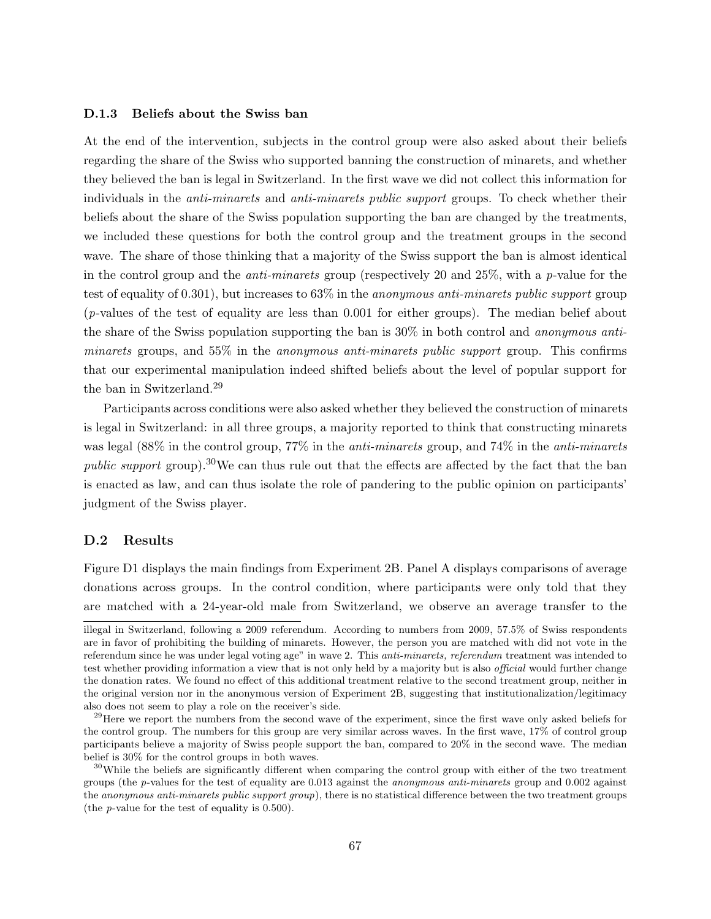#### D.1.3 Beliefs about the Swiss ban

At the end of the intervention, subjects in the control group were also asked about their beliefs regarding the share of the Swiss who supported banning the construction of minarets, and whether they believed the ban is legal in Switzerland. In the first wave we did not collect this information for individuals in the anti-minarets and anti-minarets public support groups. To check whether their beliefs about the share of the Swiss population supporting the ban are changed by the treatments, we included these questions for both the control group and the treatment groups in the second wave. The share of those thinking that a majority of the Swiss support the ban is almost identical in the control group and the *anti-minarets* group (respectively 20 and  $25\%$ , with a p-value for the test of equality of 0.301), but increases to 63% in the anonymous anti-minarets public support group (p-values of the test of equality are less than 0.001 for either groups). The median belief about the share of the Swiss population supporting the ban is 30% in both control and anonymous antiminarets groups, and 55% in the anonymous anti-minarets public support group. This confirms that our experimental manipulation indeed shifted beliefs about the level of popular support for the ban in Switzerland.[29](#page-67-0)

Participants across conditions were also asked whether they believed the construction of minarets is legal in Switzerland: in all three groups, a majority reported to think that constructing minarets was legal (88% in the control group, 77% in the anti-minarets group, and 74% in the anti-minarets public support group).<sup>[30](#page-67-1)</sup>We can thus rule out that the effects are affected by the fact that the ban is enacted as law, and can thus isolate the role of pandering to the public opinion on participants' judgment of the Swiss player.

## D.2 Results

Figure [D1](#page-69-0) displays the main findings from Experiment 2B. Panel A displays comparisons of average donations across groups. In the control condition, where participants were only told that they are matched with a 24-year-old male from Switzerland, we observe an average transfer to the

illegal in Switzerland, following a 2009 referendum. According to numbers from 2009, 57.5% of Swiss respondents are in favor of prohibiting the building of minarets. However, the person you are matched with did not vote in the referendum since he was under legal voting age" in wave 2. This anti-minarets, referendum treatment was intended to test whether providing information a view that is not only held by a majority but is also *official* would further change the donation rates. We found no effect of this additional treatment relative to the second treatment group, neither in the original version nor in the anonymous version of Experiment 2B, suggesting that institutionalization/legitimacy also does not seem to play a role on the receiver's side.

<span id="page-67-0"></span> $29$ Here we report the numbers from the second wave of the experiment, since the first wave only asked beliefs for the control group. The numbers for this group are very similar across waves. In the first wave, 17% of control group participants believe a majority of Swiss people support the ban, compared to 20% in the second wave. The median belief is 30% for the control groups in both waves.

<span id="page-67-1"></span><sup>&</sup>lt;sup>30</sup>While the beliefs are significantly different when comparing the control group with either of the two treatment groups (the p-values for the test of equality are 0.013 against the anonymous anti-minarets group and 0.002 against the anonymous anti-minarets public support group), there is no statistical difference between the two treatment groups (the p-value for the test of equality is 0.500).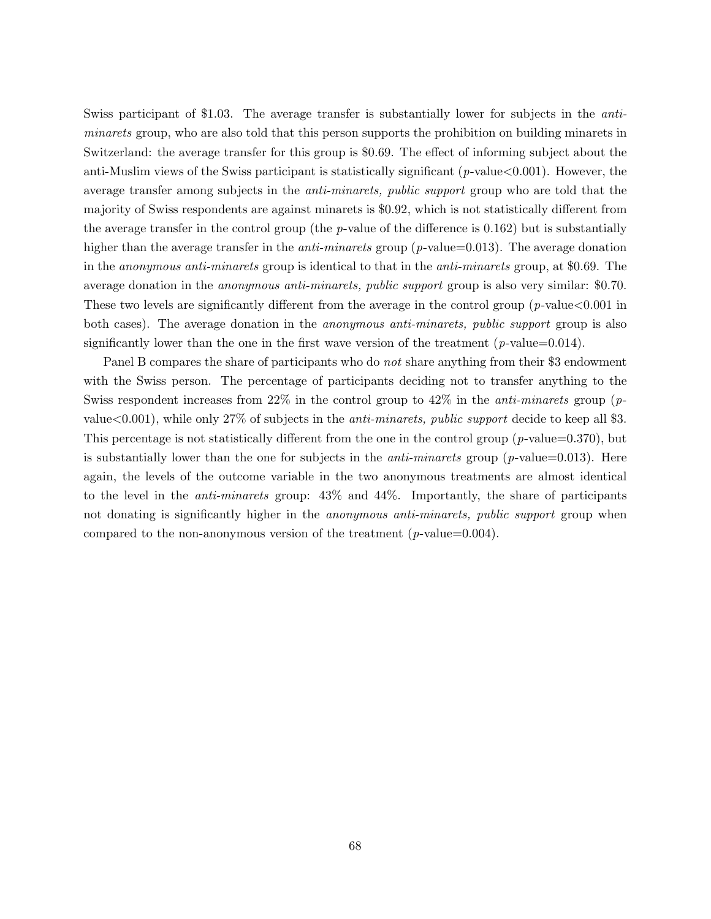Swiss participant of \$1.03. The average transfer is substantially lower for subjects in the antiminarets group, who are also told that this person supports the prohibition on building minarets in Switzerland: the average transfer for this group is \$0.69. The effect of informing subject about the anti-Muslim views of the Swiss participant is statistically significant ( $p$ -value $<0.001$ ). However, the average transfer among subjects in the *anti-minarets, public support* group who are told that the majority of Swiss respondents are against minarets is \$0.92, which is not statistically different from the average transfer in the control group (the p-value of the difference is  $0.162$ ) but is substantially higher than the average transfer in the *anti-minarets* group ( $p$ -value=0.013). The average donation in the anonymous anti-minarets group is identical to that in the anti-minarets group, at \$0.69. The average donation in the anonymous anti-minarets, public support group is also very similar: \$0.70. These two levels are significantly different from the average in the control group ( $p$ -value $<0.001$  in both cases). The average donation in the *anonymous anti-minarets, public support* group is also significantly lower than the one in the first wave version of the treatment  $(p$ -value=0.014).

Panel B compares the share of participants who do *not* share anything from their \$3 endowment with the Swiss person. The percentage of participants deciding not to transfer anything to the Swiss respondent increases from 22% in the control group to  $42\%$  in the *anti-minarets* group (pvalue  $(0.001)$ , while only 27% of subjects in the *anti-minarets, public support* decide to keep all \$3. This percentage is not statistically different from the one in the control group  $(p$ -value=0.370), but is substantially lower than the one for subjects in the *anti-minarets* group ( $p$ -value=0.013). Here again, the levels of the outcome variable in the two anonymous treatments are almost identical to the level in the anti-minarets group: 43% and 44%. Importantly, the share of participants not donating is significantly higher in the *anonymous anti-minarets*, *public support* group when compared to the non-anonymous version of the treatment  $(p$ -value=0.004).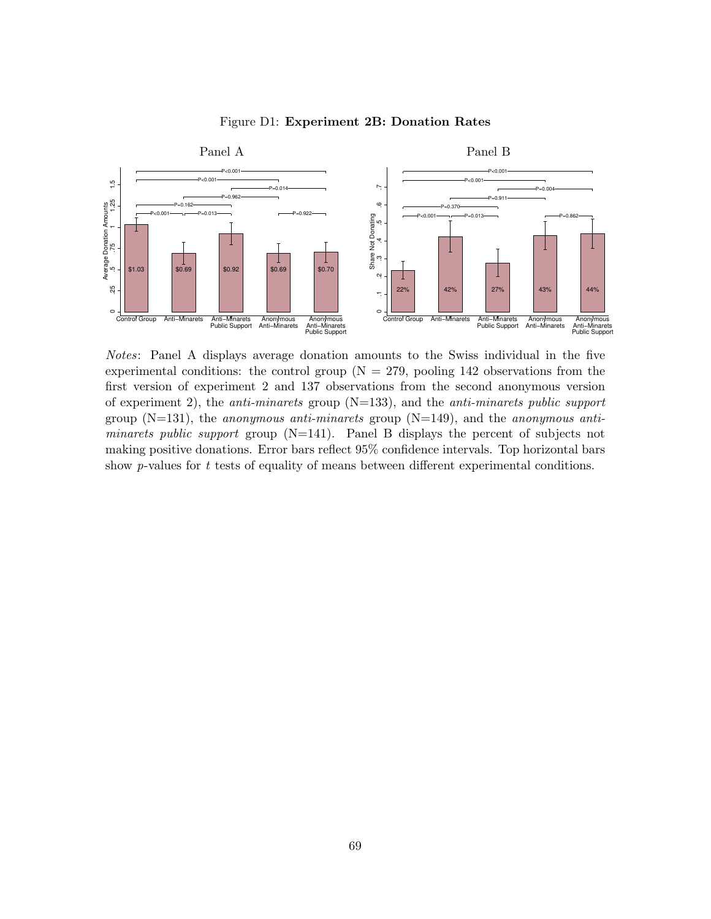

#### <span id="page-69-0"></span>Figure D1: Experiment 2B: Donation Rates

Notes: Panel A displays average donation amounts to the Swiss individual in the five experimental conditions: the control group  $(N = 279,$  pooling 142 observations from the first version of experiment 2 and 137 observations from the second anonymous version of experiment 2), the *anti-minarets* group  $(N=133)$ , and the *anti-minarets public support* group  $(N=131)$ , the *anonymous anti-minarets* group  $(N=149)$ , and the *anonymous anti*minarets public support group (N=141). Panel B displays the percent of subjects not making positive donations. Error bars reflect 95% confidence intervals. Top horizontal bars show  $p$ -values for  $t$  tests of equality of means between different experimental conditions.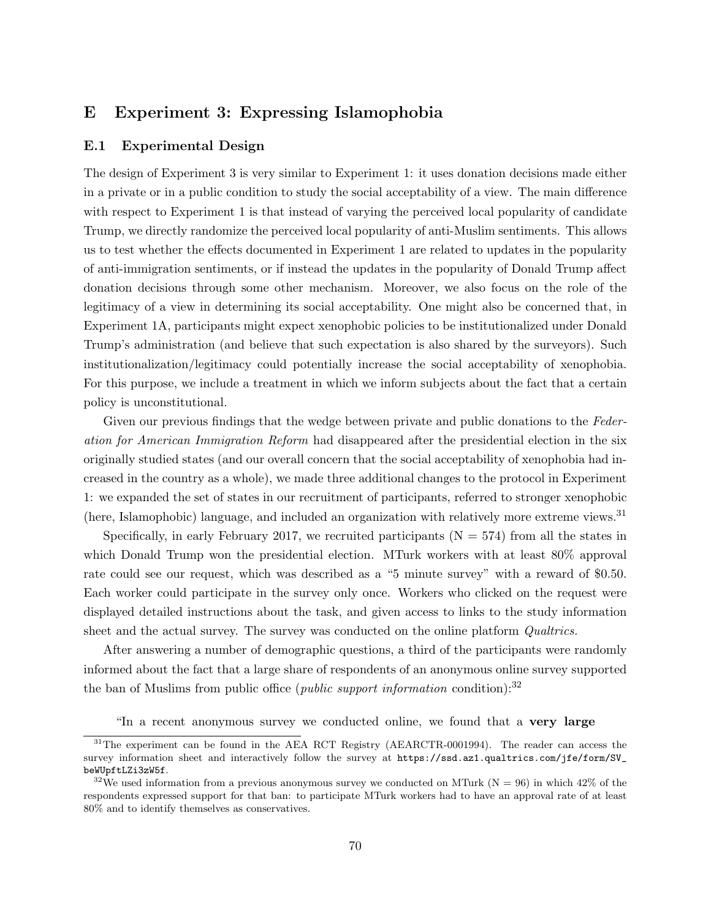# E Experiment 3: Expressing Islamophobia

## E.1 Experimental Design

The design of Experiment 3 is very similar to Experiment 1: it uses donation decisions made either in a private or in a public condition to study the social acceptability of a view. The main difference with respect to Experiment 1 is that instead of varying the perceived local popularity of candidate Trump, we directly randomize the perceived local popularity of anti-Muslim sentiments. This allows us to test whether the effects documented in Experiment 1 are related to updates in the popularity of anti-immigration sentiments, or if instead the updates in the popularity of Donald Trump affect donation decisions through some other mechanism. Moreover, we also focus on the role of the legitimacy of a view in determining its social acceptability. One might also be concerned that, in Experiment 1A, participants might expect xenophobic policies to be institutionalized under Donald Trump's administration (and believe that such expectation is also shared by the surveyors). Such institutionalization/legitimacy could potentially increase the social acceptability of xenophobia. For this purpose, we include a treatment in which we inform subjects about the fact that a certain policy is unconstitutional.

Given our previous findings that the wedge between private and public donations to the Federation for American Immigration Reform had disappeared after the presidential election in the six originally studied states (and our overall concern that the social acceptability of xenophobia had increased in the country as a whole), we made three additional changes to the protocol in Experiment 1: we expanded the set of states in our recruitment of participants, referred to stronger xenophobic (here, Islamophobic) language, and included an organization with relatively more extreme views.<sup>[31](#page-70-0)</sup>

Specifically, in early February 2017, we recruited participants  $(N = 574)$  from all the states in which Donald Trump won the presidential election. MTurk workers with at least  $80\%$  approval rate could see our request, which was described as a "5 minute survey" with a reward of \$0.50. Each worker could participate in the survey only once. Workers who clicked on the request were displayed detailed instructions about the task, and given access to links to the study information sheet and the actual survey. The survey was conducted on the online platform *Qualtrics*.

After answering a number of demographic questions, a third of the participants were randomly informed about the fact that a large share of respondents of an anonymous online survey supported the ban of Muslims from public office (*public support information* condition):<sup>[32](#page-70-1)</sup>

"In a recent anonymous survey we conducted online, we found that a very large

<span id="page-70-0"></span><sup>&</sup>lt;sup>31</sup>The experiment can be found in the AEA RCT Registry (AEARCTR-0001994). The reader can access the survey information sheet and interactively follow the survey at [https://ssd.az1.qualtrics.com/jfe/form/SV\\_](https://ssd.az1.qualtrics.com/jfe/form/SV_beWUpftLZi3zW5f) [beWUpftLZi3zW5f](https://ssd.az1.qualtrics.com/jfe/form/SV_beWUpftLZi3zW5f).

<span id="page-70-1"></span><sup>&</sup>lt;sup>32</sup>We used information from a previous anonymous survey we conducted on MTurk ( $N = 96$ ) in which 42% of the respondents expressed support for that ban: to participate MTurk workers had to have an approval rate of at least 80% and to identify themselves as conservatives.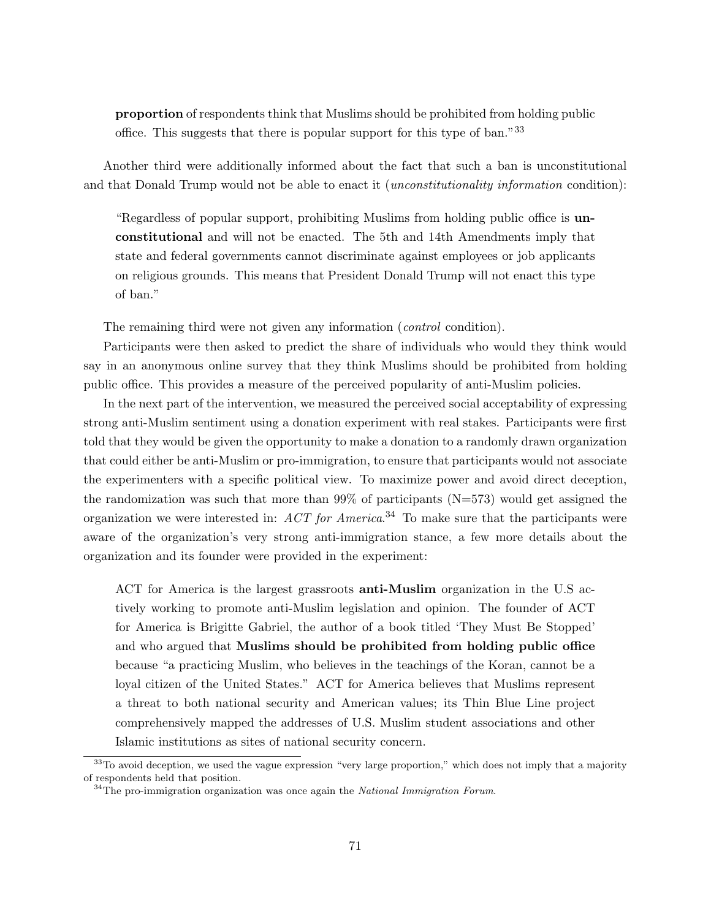proportion of respondents think that Muslims should be prohibited from holding public office. This suggests that there is popular support for this type of ban."[33](#page-71-0)

Another third were additionally informed about the fact that such a ban is unconstitutional and that Donald Trump would not be able to enact it *(unconstitutionality information* condition):

"Regardless of popular support, prohibiting Muslims from holding public office is unconstitutional and will not be enacted. The 5th and 14th Amendments imply that state and federal governments cannot discriminate against employees or job applicants on religious grounds. This means that President Donald Trump will not enact this type of ban."

The remaining third were not given any information (*control* condition).

Participants were then asked to predict the share of individuals who would they think would say in an anonymous online survey that they think Muslims should be prohibited from holding public office. This provides a measure of the perceived popularity of anti-Muslim policies.

In the next part of the intervention, we measured the perceived social acceptability of expressing strong anti-Muslim sentiment using a donation experiment with real stakes. Participants were first told that they would be given the opportunity to make a donation to a randomly drawn organization that could either be anti-Muslim or pro-immigration, to ensure that participants would not associate the experimenters with a specific political view. To maximize power and avoid direct deception, the randomization was such that more than  $99\%$  of participants (N=573) would get assigned the organization we were interested in:  $ACT$  for America.<sup>[34](#page-71-1)</sup> To make sure that the participants were aware of the organization's very strong anti-immigration stance, a few more details about the organization and its founder were provided in the experiment:

ACT for America is the largest grassroots anti-Muslim organization in the U.S actively working to promote anti-Muslim legislation and opinion. The founder of ACT for America is Brigitte Gabriel, the author of a book titled 'They Must Be Stopped' and who argued that Muslims should be prohibited from holding public office because "a practicing Muslim, who believes in the teachings of the Koran, cannot be a loyal citizen of the United States." ACT for America believes that Muslims represent a threat to both national security and American values; its Thin Blue Line project comprehensively mapped the addresses of U.S. Muslim student associations and other Islamic institutions as sites of national security concern.

<span id="page-71-0"></span> $33$ To avoid deception, we used the vague expression "very large proportion," which does not imply that a majority of respondents held that position.

<span id="page-71-1"></span> $34$ The pro-immigration organization was once again the National Immigration Forum.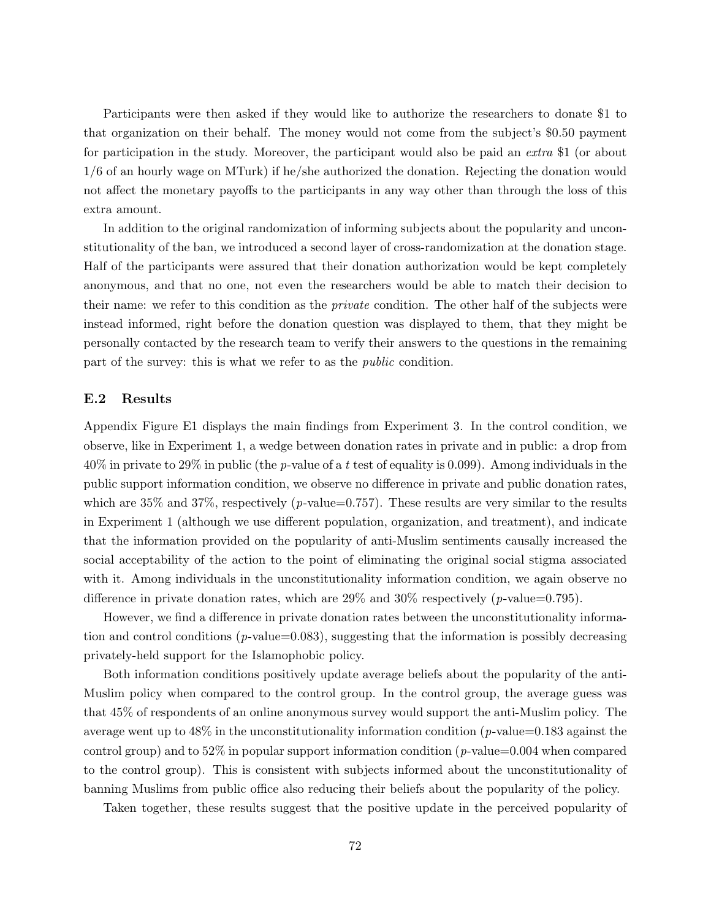Participants were then asked if they would like to authorize the researchers to donate \$1 to that organization on their behalf. The money would not come from the subject's \$0.50 payment for participation in the study. Moreover, the participant would also be paid an extra \$1 (or about 1/6 of an hourly wage on MTurk) if he/she authorized the donation. Rejecting the donation would not affect the monetary payoffs to the participants in any way other than through the loss of this extra amount.

In addition to the original randomization of informing subjects about the popularity and unconstitutionality of the ban, we introduced a second layer of cross-randomization at the donation stage. Half of the participants were assured that their donation authorization would be kept completely anonymous, and that no one, not even the researchers would be able to match their decision to their name: we refer to this condition as the *private* condition. The other half of the subjects were instead informed, right before the donation question was displayed to them, that they might be personally contacted by the research team to verify their answers to the questions in the remaining part of the survey: this is what we refer to as the public condition.

## E.2 Results

Appendix Figure [E1](#page-73-0) displays the main findings from Experiment 3. In the control condition, we observe, like in Experiment 1, a wedge between donation rates in private and in public: a drop from 40% in private to 29% in public (the p-value of a t test of equality is 0.099). Among individuals in the public support information condition, we observe no difference in private and public donation rates, which are  $35\%$  and  $37\%$ , respectively (p-value=0.757). These results are very similar to the results in Experiment 1 (although we use different population, organization, and treatment), and indicate that the information provided on the popularity of anti-Muslim sentiments causally increased the social acceptability of the action to the point of eliminating the original social stigma associated with it. Among individuals in the unconstitutionality information condition, we again observe no difference in private donation rates, which are  $29\%$  and  $30\%$  respectively (p-value=0.795).

However, we find a difference in private donation rates between the unconstitutionality information and control conditions ( $p$ -value=0.083), suggesting that the information is possibly decreasing privately-held support for the Islamophobic policy.

Both information conditions positively update average beliefs about the popularity of the anti-Muslim policy when compared to the control group. In the control group, the average guess was that 45% of respondents of an online anonymous survey would support the anti-Muslim policy. The average went up to  $48\%$  in the unconstitutionality information condition (p-value=0.183 against the control group) and to 52% in popular support information condition ( $p$ -value=0.004 when compared to the control group). This is consistent with subjects informed about the unconstitutionality of banning Muslims from public office also reducing their beliefs about the popularity of the policy.

Taken together, these results suggest that the positive update in the perceived popularity of